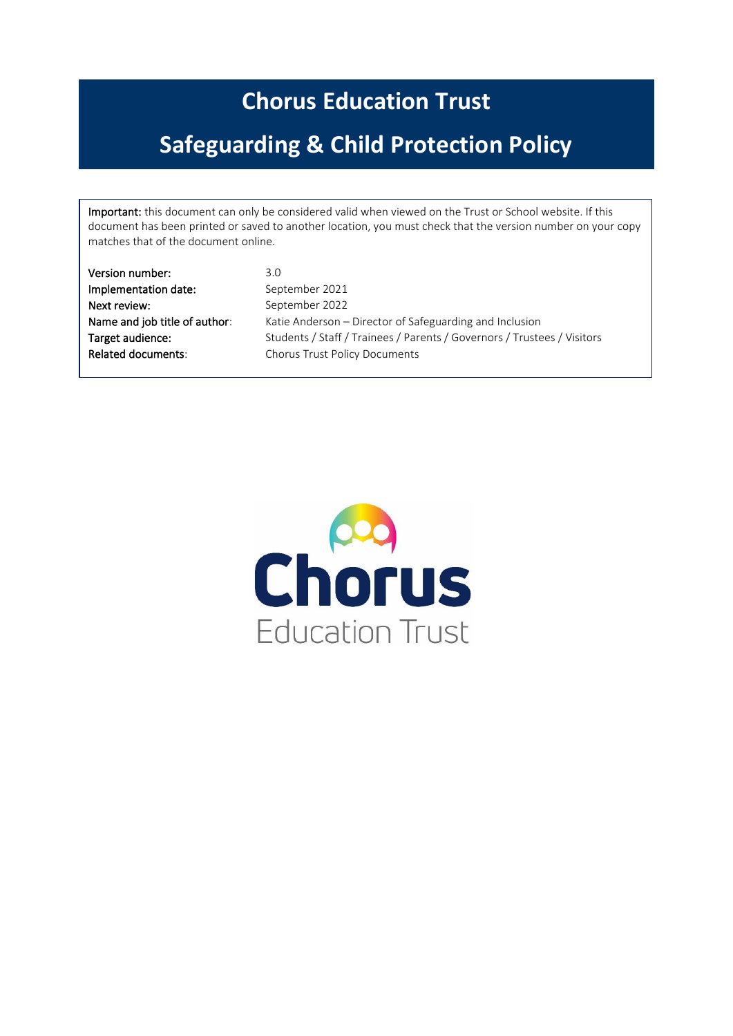# **Chorus Education Trust**

# **Safeguarding & Child Protection Policy**

Important: this document can only be considered valid when viewed on the Trust or School website. If this document has been printed or saved to another location, you must check that the version number on your copy matches that of the document online.

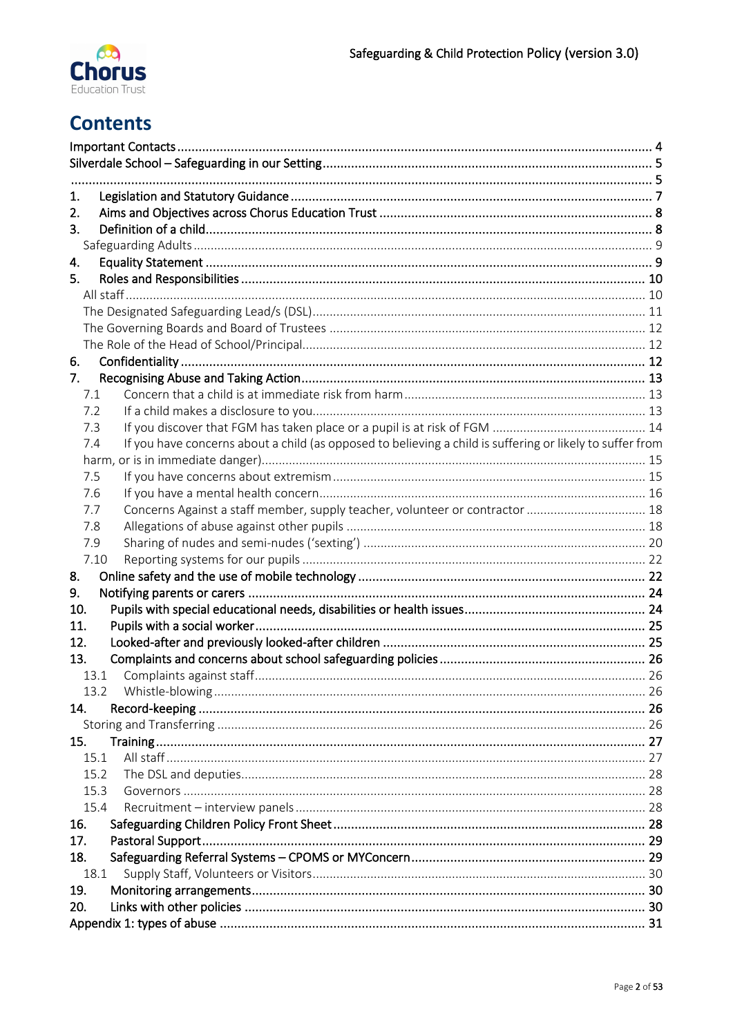

# **Contents**

| 1.<br>2.                                                                                                         |  |  |  |  |  |
|------------------------------------------------------------------------------------------------------------------|--|--|--|--|--|
| 3.                                                                                                               |  |  |  |  |  |
|                                                                                                                  |  |  |  |  |  |
| 4.                                                                                                               |  |  |  |  |  |
| 5.                                                                                                               |  |  |  |  |  |
|                                                                                                                  |  |  |  |  |  |
|                                                                                                                  |  |  |  |  |  |
|                                                                                                                  |  |  |  |  |  |
|                                                                                                                  |  |  |  |  |  |
| 6.                                                                                                               |  |  |  |  |  |
| 7.                                                                                                               |  |  |  |  |  |
| 7.1                                                                                                              |  |  |  |  |  |
| 7.2                                                                                                              |  |  |  |  |  |
| 7.3                                                                                                              |  |  |  |  |  |
| If you have concerns about a child (as opposed to believing a child is suffering or likely to suffer from<br>7.4 |  |  |  |  |  |
|                                                                                                                  |  |  |  |  |  |
| 7.5                                                                                                              |  |  |  |  |  |
| 7.6                                                                                                              |  |  |  |  |  |
| Concerns Against a staff member, supply teacher, volunteer or contractor  18<br>7.7                              |  |  |  |  |  |
| 7.8                                                                                                              |  |  |  |  |  |
| 7.9                                                                                                              |  |  |  |  |  |
| 7.10                                                                                                             |  |  |  |  |  |
| 8.<br>9.                                                                                                         |  |  |  |  |  |
| 10.                                                                                                              |  |  |  |  |  |
| 11.                                                                                                              |  |  |  |  |  |
| 12.                                                                                                              |  |  |  |  |  |
| 13.                                                                                                              |  |  |  |  |  |
| 13.1                                                                                                             |  |  |  |  |  |
| 13.2                                                                                                             |  |  |  |  |  |
| 14.                                                                                                              |  |  |  |  |  |
|                                                                                                                  |  |  |  |  |  |
| 15.                                                                                                              |  |  |  |  |  |
| 15.1                                                                                                             |  |  |  |  |  |
| 15.2                                                                                                             |  |  |  |  |  |
| 15.3                                                                                                             |  |  |  |  |  |
| 15.4                                                                                                             |  |  |  |  |  |
| 16.                                                                                                              |  |  |  |  |  |
| 17.                                                                                                              |  |  |  |  |  |
| 18.                                                                                                              |  |  |  |  |  |
| 18.1                                                                                                             |  |  |  |  |  |
| 19.                                                                                                              |  |  |  |  |  |
| 20.                                                                                                              |  |  |  |  |  |
|                                                                                                                  |  |  |  |  |  |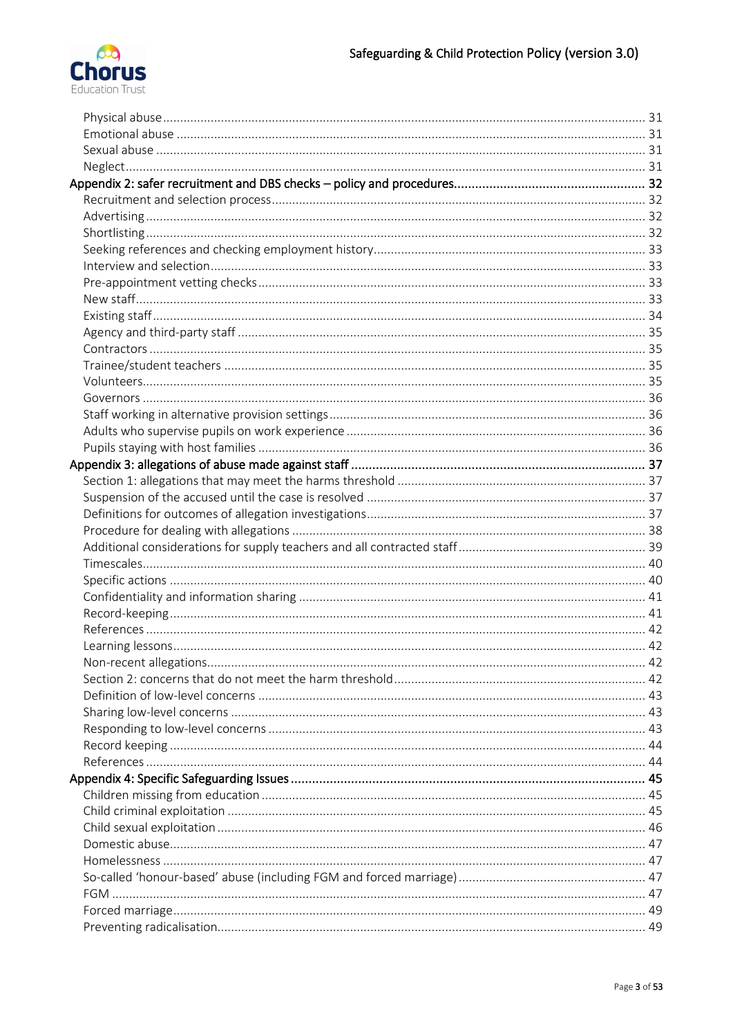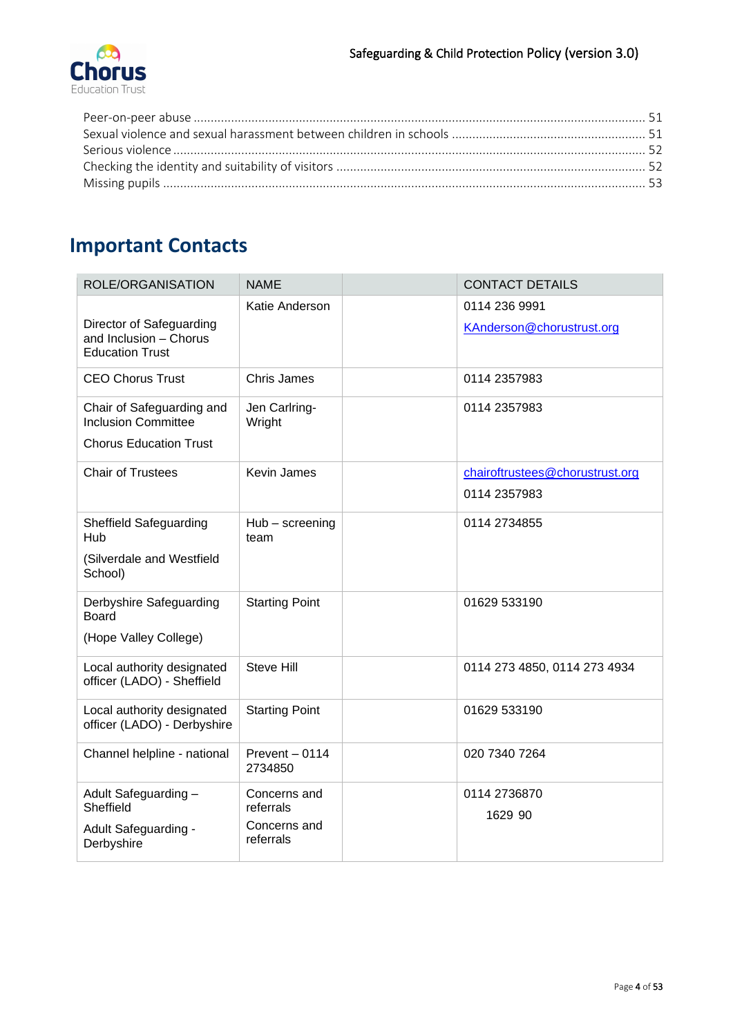# <span id="page-3-0"></span>**Important Contacts**

| ROLE/ORGANISATION                                                                        | <b>NAME</b>                                            | <b>CONTACT DETAILS</b>                     |
|------------------------------------------------------------------------------------------|--------------------------------------------------------|--------------------------------------------|
| Director of Safeguarding<br>and Inclusion - Chorus<br><b>Education Trust</b>             | Katie Anderson                                         | 0114 236 9991<br>KAnderson@chorustrust.org |
| <b>CEO Chorus Trust</b>                                                                  | <b>Chris James</b>                                     | 0114 2357983                               |
| Chair of Safeguarding and<br><b>Inclusion Committee</b><br><b>Chorus Education Trust</b> | Jen Carlring-<br>Wright                                | 0114 2357983                               |
| <b>Chair of Trustees</b>                                                                 | Kevin James                                            | chairoftrustees@chorustrust.org            |
|                                                                                          |                                                        | 0114 2357983                               |
| Sheffield Safeguarding<br>Hub                                                            | Hub - screening<br>team                                | 0114 2734855                               |
| (Silverdale and Westfield<br>School)                                                     |                                                        |                                            |
| Derbyshire Safeguarding<br><b>Board</b>                                                  | <b>Starting Point</b>                                  | 01629 533190                               |
| (Hope Valley College)                                                                    |                                                        |                                            |
| Local authority designated<br>officer (LADO) - Sheffield                                 | <b>Steve Hill</b>                                      | 0114 273 4850, 0114 273 4934               |
| Local authority designated<br>officer (LADO) - Derbyshire                                | <b>Starting Point</b>                                  | 01629 533190                               |
| Channel helpline - national                                                              | Prevent - 0114<br>2734850                              | 020 7340 7264                              |
| Adult Safeguarding -<br>Sheffield<br>Adult Safeguarding -<br>Derbyshire                  | Concerns and<br>referrals<br>Concerns and<br>referrals | 0114 2736870<br>1629 90                    |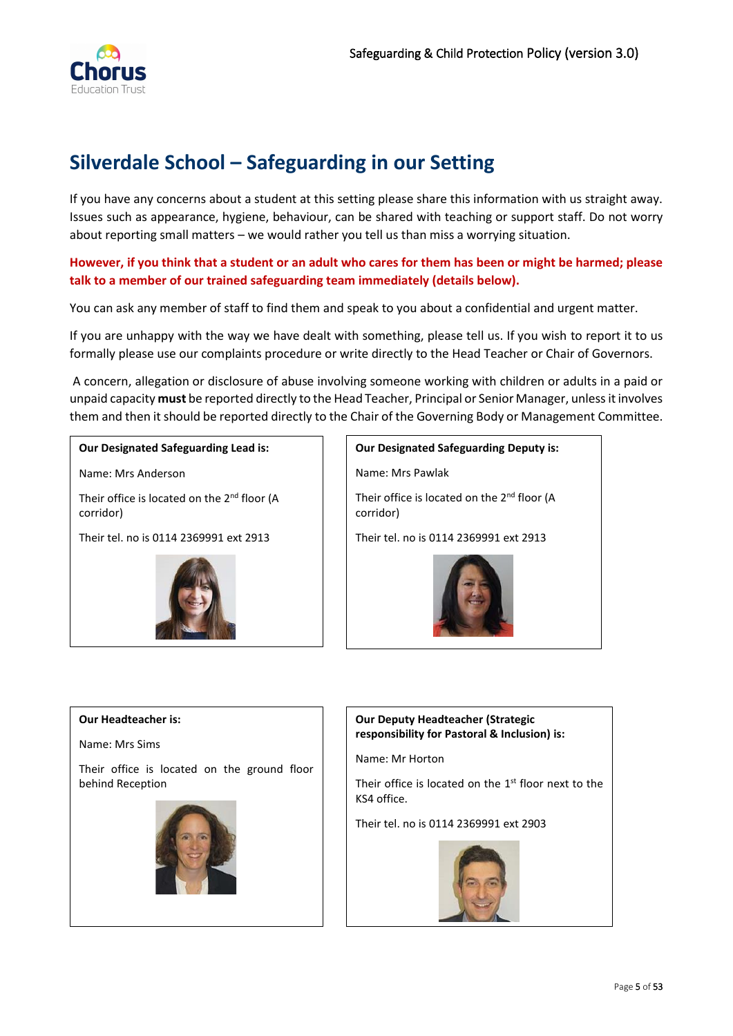

# <span id="page-4-0"></span>**Silverdale School – Safeguarding in our Setting**

If you have any concerns about a student at this setting please share this information with us straight away. Issues such as appearance, hygiene, behaviour, can be shared with teaching or support staff. Do not worry about reporting small matters – we would rather you tell us than miss a worrying situation.

### **However, if you think that a student or an adult who cares for them has been or might be harmed; please talk to a member of our trained safeguarding team immediately (details below).**

You can ask any member of staff to find them and speak to you about a confidential and urgent matter.

If you are unhappy with the way we have dealt with something, please tell us. If you wish to report it to us formally please use our complaints procedure or write directly to the Head Teacher or Chair of Governors.

A concern, allegation or disclosure of abuse involving someone working with children or adults in a paid or unpaid capacity **must** be reported directly to the Head Teacher, Principal or Senior Manager, unless it involves them and then it should be reported directly to the Chair of the Governing Body or Management Committee.

#### **Our Designated Safeguarding Lead is:**

Name: Mrs Anderson

Their office is located on the 2<sup>nd</sup> floor (A corridor)

Their tel. no is 0114 2369991 ext 2913



**Our Designated Safeguarding Deputy is:** Name: Mrs Pawlak Their office is located on the 2<sup>nd</sup> floor (A corridor) Their tel. no is 0114 2369991 ext 2913

#### <span id="page-4-1"></span>**Our Headteacher is:**

Name: Mrs Sims

Their office is located on the ground floor behind Reception



### **Our Deputy Headteacher (Strategic responsibility for Pastoral & Inclusion) is:**

Name: Mr Horton

Their office is located on the  $1<sup>st</sup>$  floor next to the KS4 office.

Their tel. no is 0114 2369991 ext 2903

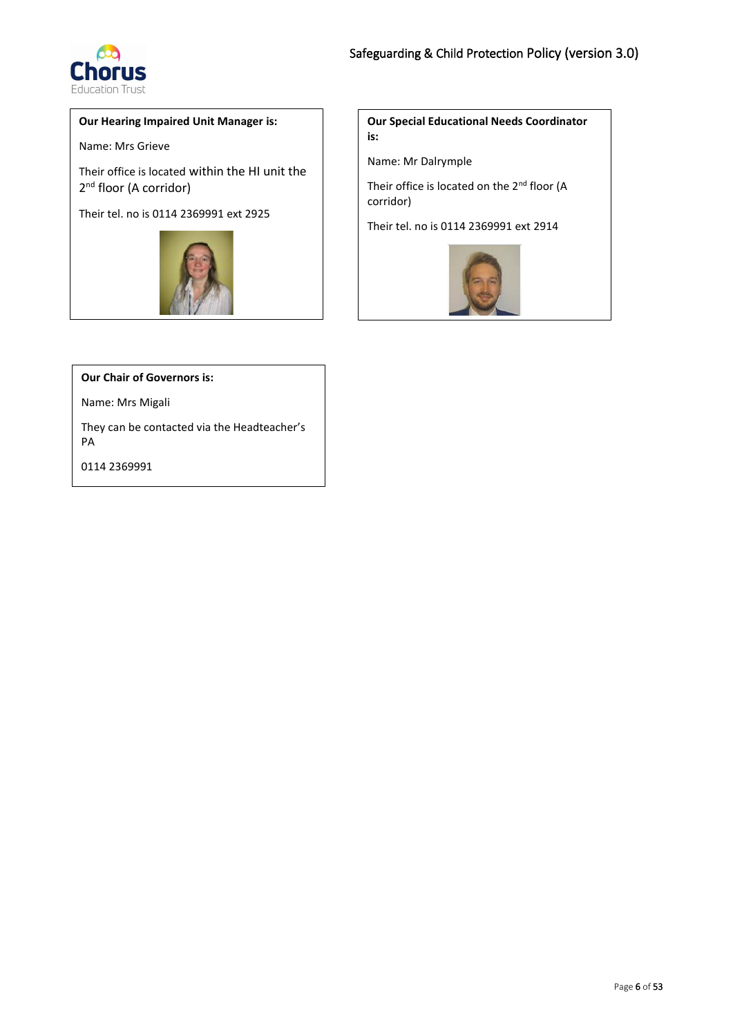

#### **Our Hearing Impaired Unit Manager is:**

Name: Mrs Grieve

Their office is located within the HI unit the 2<sup>nd</sup> floor (A corridor)

Their tel. no is 0114 2369991 ext 2925



**Our Special Educational Needs Coordinator is:**

Name: Mr Dalrymple

Their office is located on the 2<sup>nd</sup> floor (A corridor)

Their tel. no is 0114 2369991 ext 2914



**Our Chair of Governors is:**

Name: Mrs Migali

They can be contacted via the Headteacher's PA

0114 2369991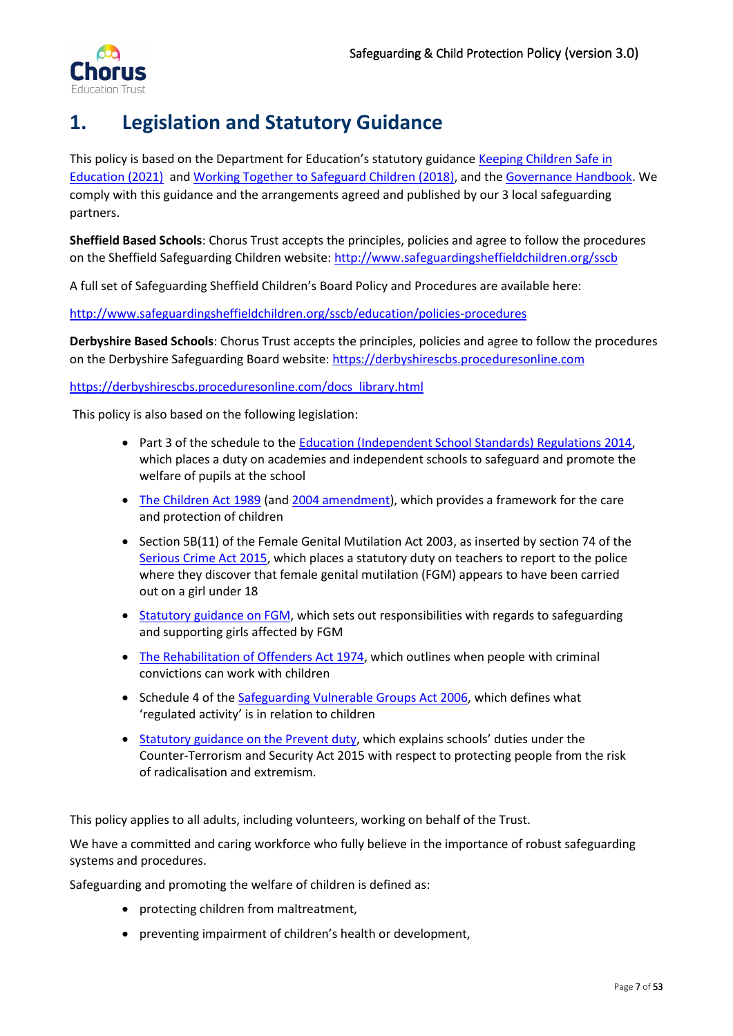

# <span id="page-6-0"></span>**1. Legislation and Statutory Guidance**

This policy is based on the Department for Education's statutory guidance [Keeping Children Safe in](https://www.gov.uk/government/publications/keeping-children-safe-in-education--2)  [Education \(2021\)](https://www.gov.uk/government/publications/keeping-children-safe-in-education--2) and [Working Together to Safeguard Children \(2018\),](https://www.gov.uk/government/publications/working-together-to-safeguard-children--2) and the [Governance Handbook.](https://www.gov.uk/government/publications/governance-handbook) We comply with this guidance and the arrangements agreed and published by our 3 local safeguarding partners.

**Sheffield Based Schools**: Chorus Trust accepts the principles, policies and agree to follow the procedures on the Sheffield Safeguarding Children website[: http://www.safeguardingsheffieldchildren.org/sscb](http://www.safeguardingsheffieldchildren.org/sscb)

A full set of Safeguarding Sheffield Children's Board Policy and Procedures are available here:

<http://www.safeguardingsheffieldchildren.org/sscb/education/policies-procedures>

**Derbyshire Based Schools**: Chorus Trust accepts the principles, policies and agree to follow the procedures on the Derbyshire Safeguarding Board website: [https://derbyshirescbs.proceduresonline.com](https://derbyshirescbs.proceduresonline.com/)

#### [https://derbyshirescbs.proceduresonline.com/docs\\_library.html](https://derbyshirescbs.proceduresonline.com/docs_library.html)

This policy is also based on the following legislation:

- Part 3 of the schedule to the [Education \(Independent School Standards\) Regulations 2014,](http://www.legislation.gov.uk/uksi/2014/3283/schedule/part/3/made) which places a duty on academies and independent schools to safeguard and promote the welfare of pupils at the school
- [The Children Act 1989](http://www.legislation.gov.uk/ukpga/1989/41) (and [2004 amendment\)](http://www.legislation.gov.uk/ukpga/2004/31/contents), which provides a framework for the care and protection of children
- Section 5B(11) of the Female Genital Mutilation Act 2003, as inserted by section 74 of the [Serious Crime Act 2015,](http://www.legislation.gov.uk/ukpga/2015/9/part/5/crossheading/female-genital-mutilation) which places a statutory duty on teachers to report to the police where they discover that female genital mutilation (FGM) appears to have been carried out on a girl under 18
- [Statutory guidance on FGM,](https://www.gov.uk/government/publications/multi-agency-statutory-guidance-on-female-genital-mutilation) which sets out responsibilities with regards to safeguarding and supporting girls affected by FGM
- [The Rehabilitation of Offenders Act 1974,](http://www.legislation.gov.uk/ukpga/1974/53) which outlines when people with criminal convictions can work with children
- Schedule 4 of th[e Safeguarding Vulnerable Groups Act 2006,](http://www.legislation.gov.uk/ukpga/2006/47/schedule/4) which defines what 'regulated activity' is in relation to children
- [Statutory guidance on the Prevent duty](https://www.gov.uk/government/publications/prevent-duty-guidance), which explains schools' duties under the Counter-Terrorism and Security Act 2015 with respect to protecting people from the risk of radicalisation and extremism.

This policy applies to all adults, including volunteers, working on behalf of the Trust.

We have a committed and caring workforce who fully believe in the importance of robust safeguarding systems and procedures.

Safeguarding and promoting the welfare of children is defined as:

- protecting children from maltreatment,
- preventing impairment of children's health or development,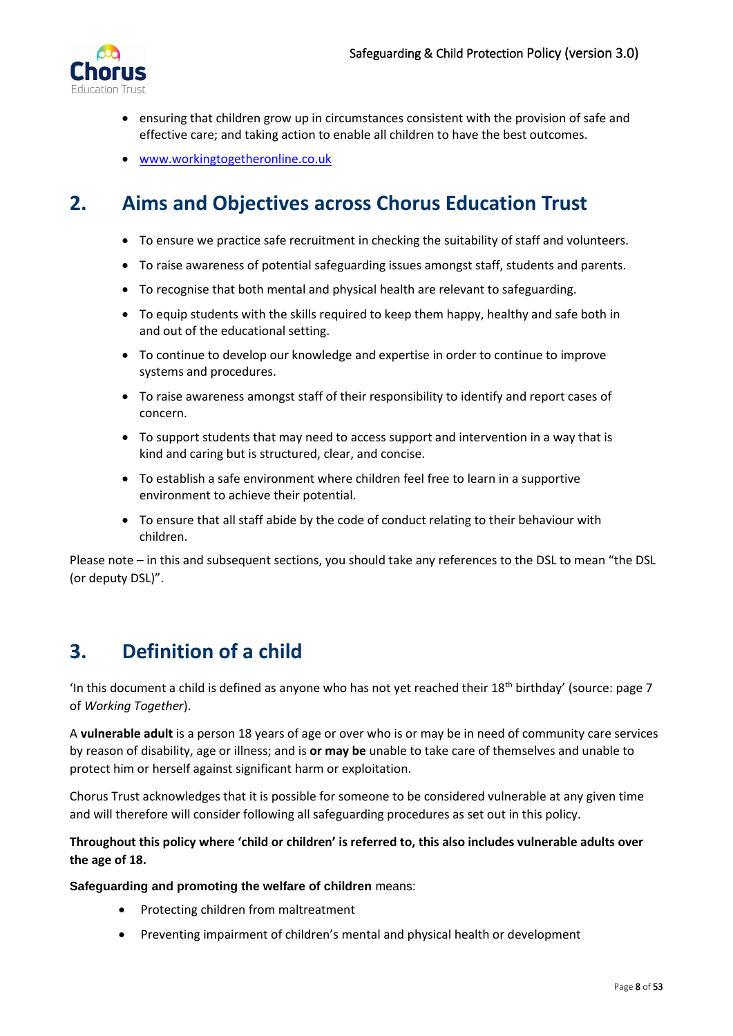

- ensuring that children grow up in circumstances consistent with the provision of safe and effective care; and taking action to enable all children to have the best outcomes.
- [www.workingtogetheronline.co.uk](http://www.workingtogetheronline.co.uk/)

# <span id="page-7-0"></span>**2. Aims and Objectives across Chorus Education Trust**

- To ensure we practice safe recruitment in checking the suitability of staff and volunteers.
- To raise awareness of potential safeguarding issues amongst staff, students and parents.
- To recognise that both mental and physical health are relevant to safeguarding.
- To equip students with the skills required to keep them happy, healthy and safe both in and out of the educational setting.
- To continue to develop our knowledge and expertise in order to continue to improve systems and procedures.
- To raise awareness amongst staff of their responsibility to identify and report cases of concern.
- To support students that may need to access support and intervention in a way that is kind and caring but is structured, clear, and concise.
- To establish a safe environment where children feel free to learn in a supportive environment to achieve their potential.
- To ensure that all staff abide by the code of conduct relating to their behaviour with children.

Please note – in this and subsequent sections, you should take any references to the DSL to mean "the DSL (or deputy DSL)".

# <span id="page-7-1"></span>**3. Definition of a child**

'In this document a child is defined as anyone who has not yet reached their  $18<sup>th</sup>$  birthday' (source: page 7) of *Working Together*).

A **vulnerable adult** is a person 18 years of age or over who is or may be in need of community care services by reason of disability, age or illness; and is **or may be** unable to take care of themselves and unable to protect him or herself against significant harm or exploitation.

Chorus Trust acknowledges that it is possible for someone to be considered vulnerable at any given time and will therefore will consider following all safeguarding procedures as set out in this policy.

### **Throughout this policy where 'child or children' is referred to, this also includes vulnerable adults over the age of 18.**

**Safeguarding and promoting the welfare of children** means:

- Protecting children from maltreatment
- Preventing impairment of children's mental and physical health or development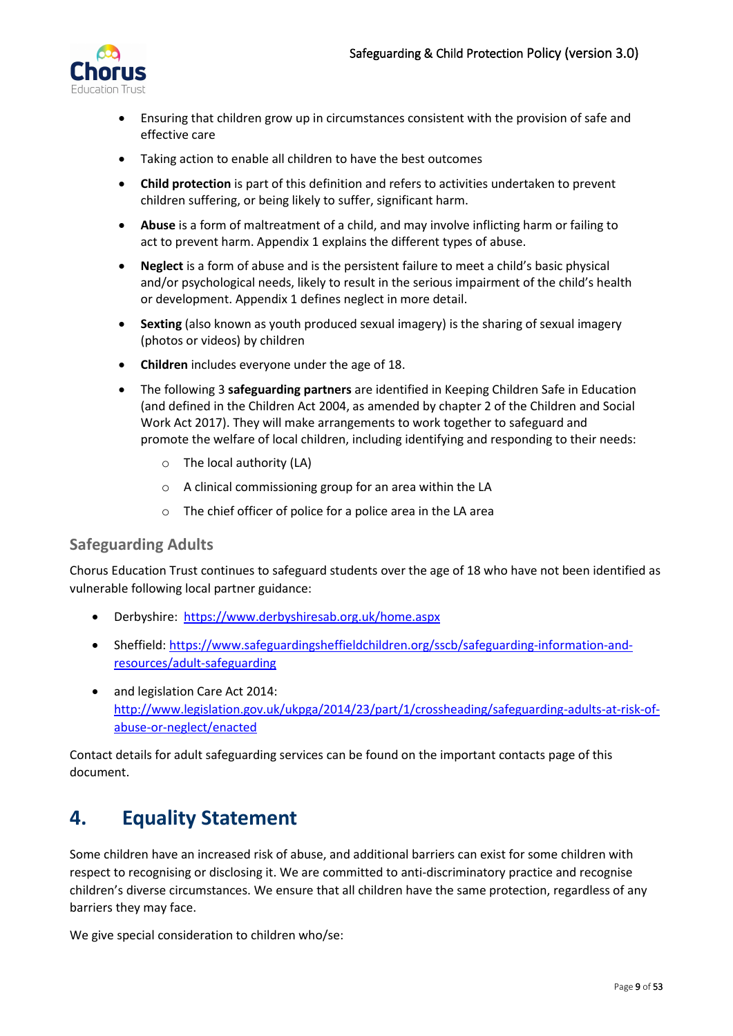

- Ensuring that children grow up in circumstances consistent with the provision of safe and effective care
- Taking action to enable all children to have the best outcomes
- **Child protection** is part of this definition and refers to activities undertaken to prevent children suffering, or being likely to suffer, significant harm.
- **Abuse** is a form of maltreatment of a child, and may involve inflicting harm or failing to act to prevent harm. Appendix 1 explains the different types of abuse.
- **Neglect** is a form of abuse and is the persistent failure to meet a child's basic physical and/or psychological needs, likely to result in the serious impairment of the child's health or development. Appendix 1 defines neglect in more detail.
- **Sexting** (also known as youth produced sexual imagery) is the sharing of sexual imagery (photos or videos) by children
- **Children** includes everyone under the age of 18.
- The following 3 **safeguarding partners** are identified in Keeping Children Safe in Education (and defined in the Children Act 2004, as amended by chapter 2 of the Children and Social Work Act 2017). They will make arrangements to work together to safeguard and promote the welfare of local children, including identifying and responding to their needs:
	- o The local authority (LA)
	- o A clinical commissioning group for an area within the LA
	- o The chief officer of police for a police area in the LA area

## <span id="page-8-0"></span>**Safeguarding Adults**

Chorus Education Trust continues to safeguard students over the age of 18 who have not been identified as vulnerable following local partner guidance:

- Derbyshire: <https://www.derbyshiresab.org.uk/home.aspx>
- Sheffield: [https://www.safeguardingsheffieldchildren.org/sscb/safeguarding-information-and](https://www.safeguardingsheffieldchildren.org/sscb/safeguarding-information-and-resources/adult-safeguarding)[resources/adult-safeguarding](https://www.safeguardingsheffieldchildren.org/sscb/safeguarding-information-and-resources/adult-safeguarding)
- and legislation Care Act 2014: [http://www.legislation.gov.uk/ukpga/2014/23/part/1/crossheading/safeguarding-adults-at-risk-of](http://www.legislation.gov.uk/ukpga/2014/23/part/1/crossheading/safeguarding-adults-at-risk-of-abuse-or-neglect/enacted)[abuse-or-neglect/enacted](http://www.legislation.gov.uk/ukpga/2014/23/part/1/crossheading/safeguarding-adults-at-risk-of-abuse-or-neglect/enacted)

Contact details for adult safeguarding services can be found on the important contacts page of this document.

# <span id="page-8-1"></span>**4. Equality Statement**

Some children have an increased risk of abuse, and additional barriers can exist for some children with respect to recognising or disclosing it. We are committed to anti-discriminatory practice and recognise children's diverse circumstances. We ensure that all children have the same protection, regardless of any barriers they may face.

We give special consideration to children who/se: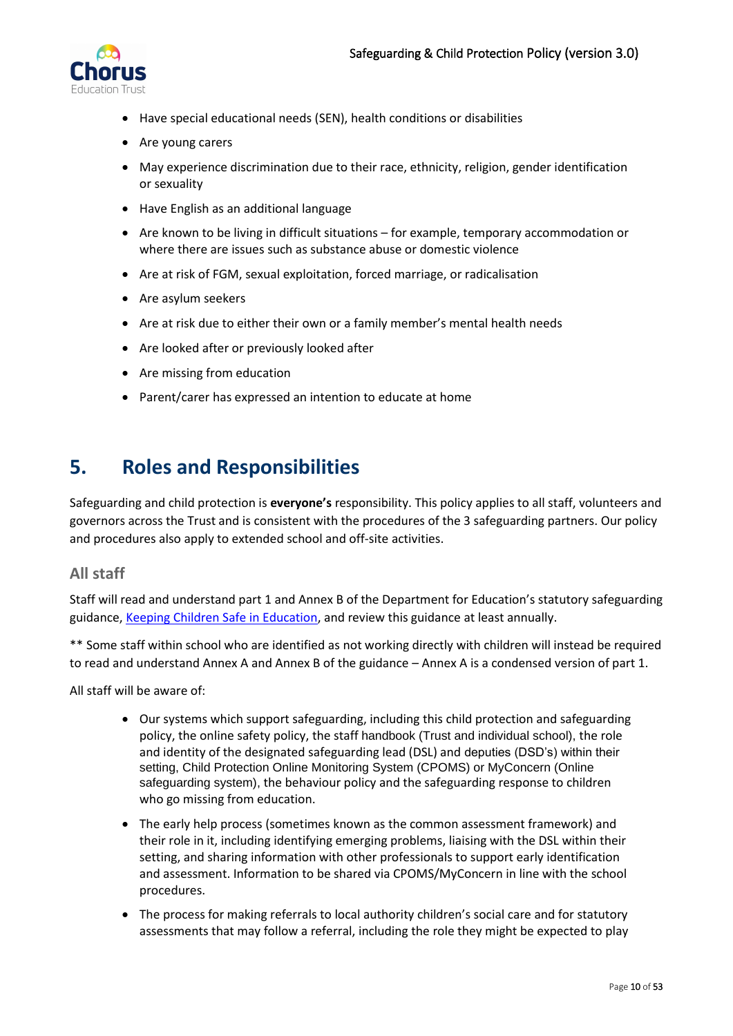

- Have special educational needs (SEN), health conditions or disabilities
- Are young carers
- May experience discrimination due to their race, ethnicity, religion, gender identification or sexuality
- Have English as an additional language
- Are known to be living in difficult situations for example, temporary accommodation or where there are issues such as substance abuse or domestic violence
- Are at risk of FGM, sexual exploitation, forced marriage, or radicalisation
- Are asylum seekers
- Are at risk due to either their own or a family member's mental health needs
- Are looked after or previously looked after
- Are missing from education
- Parent/carer has expressed an intention to educate at home

# <span id="page-9-0"></span>**5. Roles and Responsibilities**

Safeguarding and child protection is **everyone's** responsibility. This policy applies to all staff, volunteers and governors across the Trust and is consistent with the procedures of the 3 safeguarding partners. Our policy and procedures also apply to extended school and off-site activities.

### <span id="page-9-1"></span>**All staff**

Staff will read and understand part 1 and Annex B of the Department for Education's statutory safeguarding guidance, [Keeping Children Safe in Education,](https://www.gov.uk/government/publications/keeping-children-safe-in-education--2) and review this guidance at least annually.

\*\* Some staff within school who are identified as not working directly with children will instead be required to read and understand Annex A and Annex B of the guidance – Annex A is a condensed version of part 1.

All staff will be aware of:

- Our systems which support safeguarding, including this child protection and safeguarding policy, the online safety policy, the staff handbook (Trust and individual school), the role and identity of the designated safeguarding lead (DSL) and deputies (DSD's) within their setting, Child Protection Online Monitoring System (CPOMS) or MyConcern (Online safeguarding system), the behaviour policy and the safeguarding response to children who go missing from education.
- The early help process (sometimes known as the common assessment framework) and their role in it, including identifying emerging problems, liaising with the DSL within their setting, and sharing information with other professionals to support early identification and assessment. Information to be shared via CPOMS/MyConcern in line with the school procedures.
- The process for making referrals to local authority children's social care and for statutory assessments that may follow a referral, including the role they might be expected to play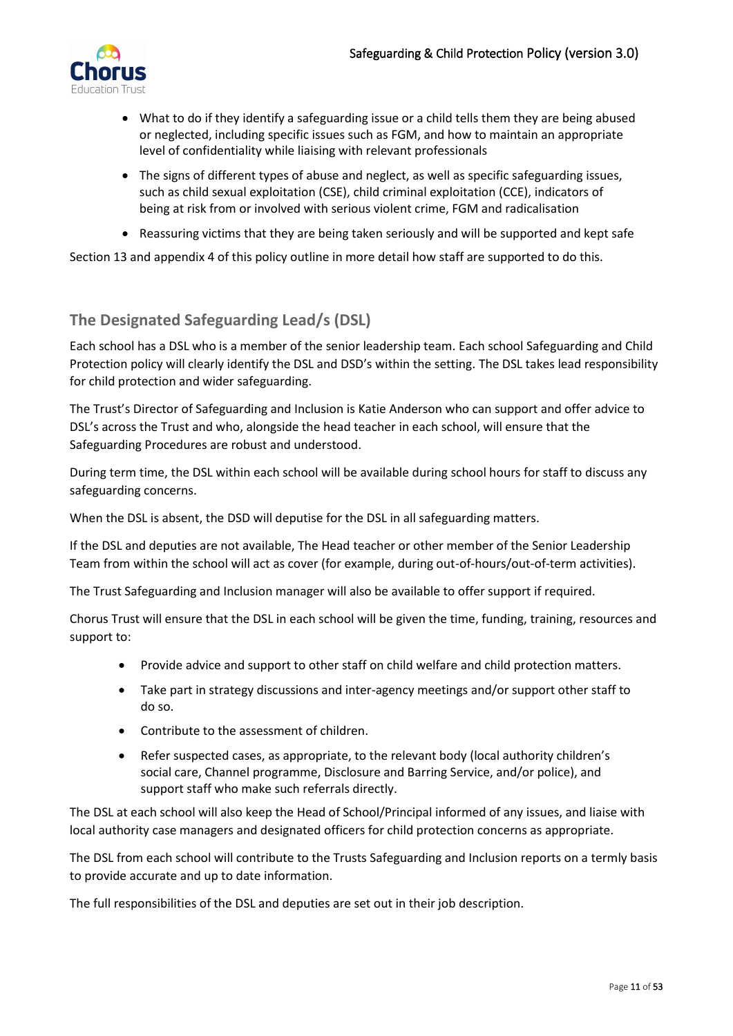

- What to do if they identify a safeguarding issue or a child tells them they are being abused or neglected, including specific issues such as FGM, and how to maintain an appropriate level of confidentiality while liaising with relevant professionals
- The signs of different types of abuse and neglect, as well as specific safeguarding issues, such as child sexual exploitation (CSE), child criminal exploitation (CCE), indicators of being at risk from or involved with serious violent crime, FGM and radicalisation
- Reassuring victims that they are being taken seriously and will be supported and kept safe

Section 13 and appendix 4 of this policy outline in more detail how staff are supported to do this.

# <span id="page-10-0"></span>**The Designated Safeguarding Lead/s (DSL)**

Each school has a DSL who is a member of the senior leadership team. Each school Safeguarding and Child Protection policy will clearly identify the DSL and DSD's within the setting. The DSL takes lead responsibility for child protection and wider safeguarding.

The Trust's Director of Safeguarding and Inclusion is Katie Anderson who can support and offer advice to DSL's across the Trust and who, alongside the head teacher in each school, will ensure that the Safeguarding Procedures are robust and understood.

During term time, the DSL within each school will be available during school hours for staff to discuss any safeguarding concerns.

When the DSL is absent, the DSD will deputise for the DSL in all safeguarding matters.

If the DSL and deputies are not available, The Head teacher or other member of the Senior Leadership Team from within the school will act as cover (for example, during out-of-hours/out-of-term activities).

The Trust Safeguarding and Inclusion manager will also be available to offer support if required.

Chorus Trust will ensure that the DSL in each school will be given the time, funding, training, resources and support to:

- Provide advice and support to other staff on child welfare and child protection matters.
- Take part in strategy discussions and inter-agency meetings and/or support other staff to do so.
- Contribute to the assessment of children.
- Refer suspected cases, as appropriate, to the relevant body (local authority children's social care, Channel programme, Disclosure and Barring Service, and/or police), and support staff who make such referrals directly.

The DSL at each school will also keep the Head of School/Principal informed of any issues, and liaise with local authority case managers and designated officers for child protection concerns as appropriate.

The DSL from each school will contribute to the Trusts Safeguarding and Inclusion reports on a termly basis to provide accurate and up to date information.

The full responsibilities of the DSL and deputies are set out in their job description.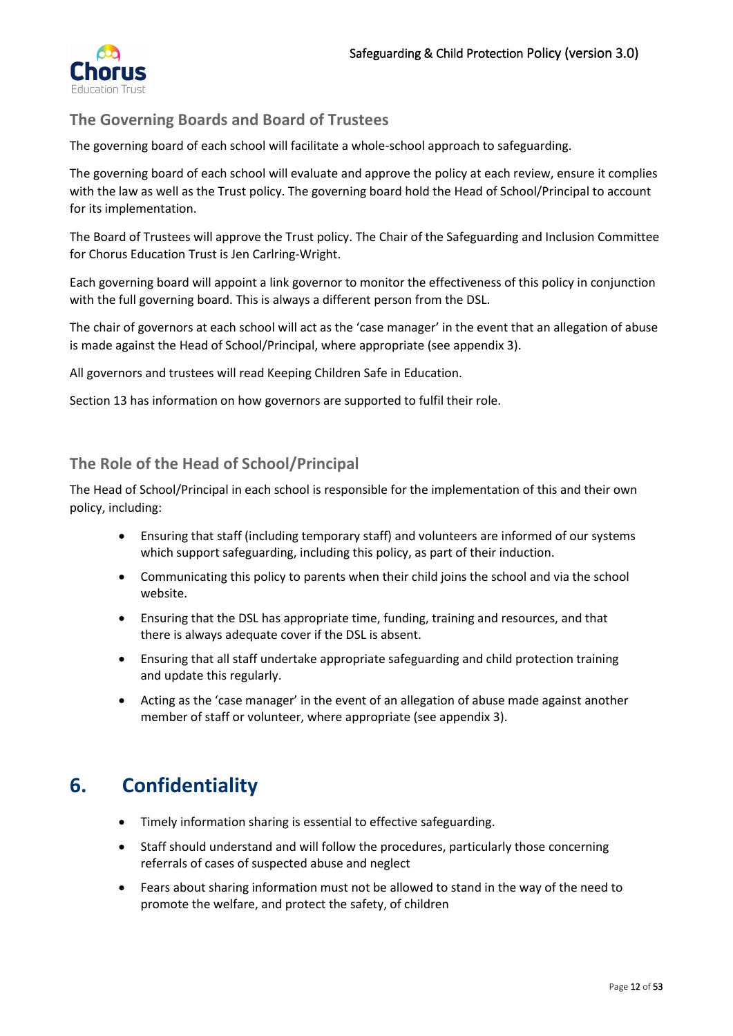

# <span id="page-11-0"></span>**The Governing Boards and Board of Trustees**

The governing board of each school will facilitate a whole-school approach to safeguarding.

The governing board of each school will evaluate and approve the policy at each review, ensure it complies with the law as well as the Trust policy. The governing board hold the Head of School/Principal to account for its implementation.

The Board of Trustees will approve the Trust policy. The Chair of the Safeguarding and Inclusion Committee for Chorus Education Trust is Jen Carlring-Wright.

Each governing board will appoint a link governor to monitor the effectiveness of this policy in conjunction with the full governing board. This is always a different person from the DSL.

The chair of governors at each school will act as the 'case manager' in the event that an allegation of abuse is made against the Head of School/Principal, where appropriate (see appendix 3).

All governors and trustees will read Keeping Children Safe in Education.

Section 13 has information on how governors are supported to fulfil their role.

## <span id="page-11-1"></span>**The Role of the Head of School/Principal**

The Head of School/Principal in each school is responsible for the implementation of this and their own policy, including:

- Ensuring that staff (including temporary staff) and volunteers are informed of our systems which support safeguarding, including this policy, as part of their induction.
- Communicating this policy to parents when their child joins the school and via the school website.
- Ensuring that the DSL has appropriate time, funding, training and resources, and that there is always adequate cover if the DSL is absent.
- Ensuring that all staff undertake appropriate safeguarding and child protection training and update this regularly.
- Acting as the 'case manager' in the event of an allegation of abuse made against another member of staff or volunteer, where appropriate (see appendix 3).

# <span id="page-11-2"></span>**6. Confidentiality**

- Timely information sharing is essential to effective safeguarding.
- Staff should understand and will follow the procedures, particularly those concerning referrals of cases of suspected abuse and neglect
- Fears about sharing information must not be allowed to stand in the way of the need to promote the welfare, and protect the safety, of children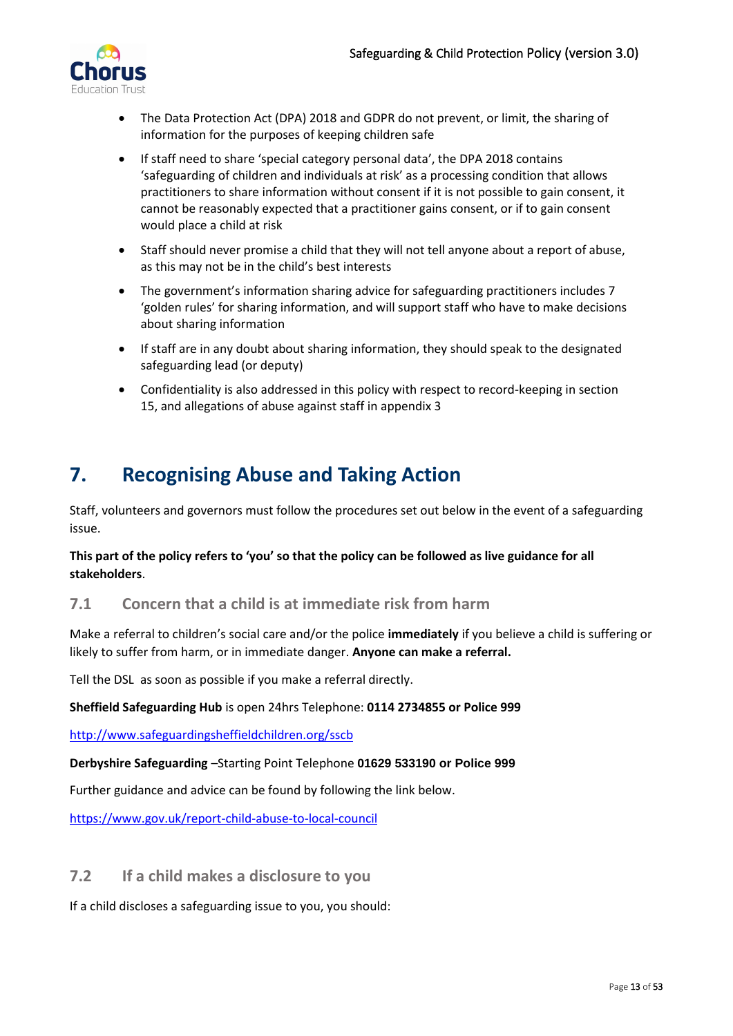

- The Data Protection Act (DPA) 2018 and GDPR do not prevent, or limit, the sharing of information for the purposes of keeping children safe
- If staff need to share 'special category personal data', the DPA 2018 contains 'safeguarding of children and individuals at risk' as a processing condition that allows practitioners to share information without consent if it is not possible to gain consent, it cannot be reasonably expected that a practitioner gains consent, or if to gain consent would place a child at risk
- Staff should never promise a child that they will not tell anyone about a report of abuse, as this may not be in the child's best interests
- The government's [information sharing advice for safeguarding practitioners](https://www.gov.uk/government/publications/safeguarding-practitioners-information-sharing-advice) includes 7 'golden rules' for sharing information, and will support staff who have to make decisions about sharing information
- If staff are in any doubt about sharing information, they should speak to the designated safeguarding lead (or deputy)
- Confidentiality is also addressed in this policy with respect to record-keeping in section 15, and allegations of abuse against staff in appendix 3

# <span id="page-12-0"></span>**7. Recognising Abuse and Taking Action**

Staff, volunteers and governors must follow the procedures set out below in the event of a safeguarding issue.

### **This part of the policy refers to 'you' so that the policy can be followed as live guidance for all stakeholders**.

## <span id="page-12-1"></span>**7.1 Concern that a child is at immediate risk from harm**

Make a referral to children's social care and/or the police **immediately** if you believe a child is suffering or likely to suffer from harm, or in immediate danger. **Anyone can make a referral.**

Tell the DSL as soon as possible if you make a referral directly.

#### **Sheffield Safeguarding Hub** is open 24hrs Telephone: **0114 2734855 or Police 999**

<http://www.safeguardingsheffieldchildren.org/sscb>

#### **Derbyshire Safeguarding** –Starting Point Telephone **01629 533190 or Police 999**

Further guidance and advice can be found by following the link below.

<https://www.gov.uk/report-child-abuse-to-local-council>

## <span id="page-12-2"></span>**7.2 If a child makes a disclosure to you**

If a child discloses a safeguarding issue to you, you should: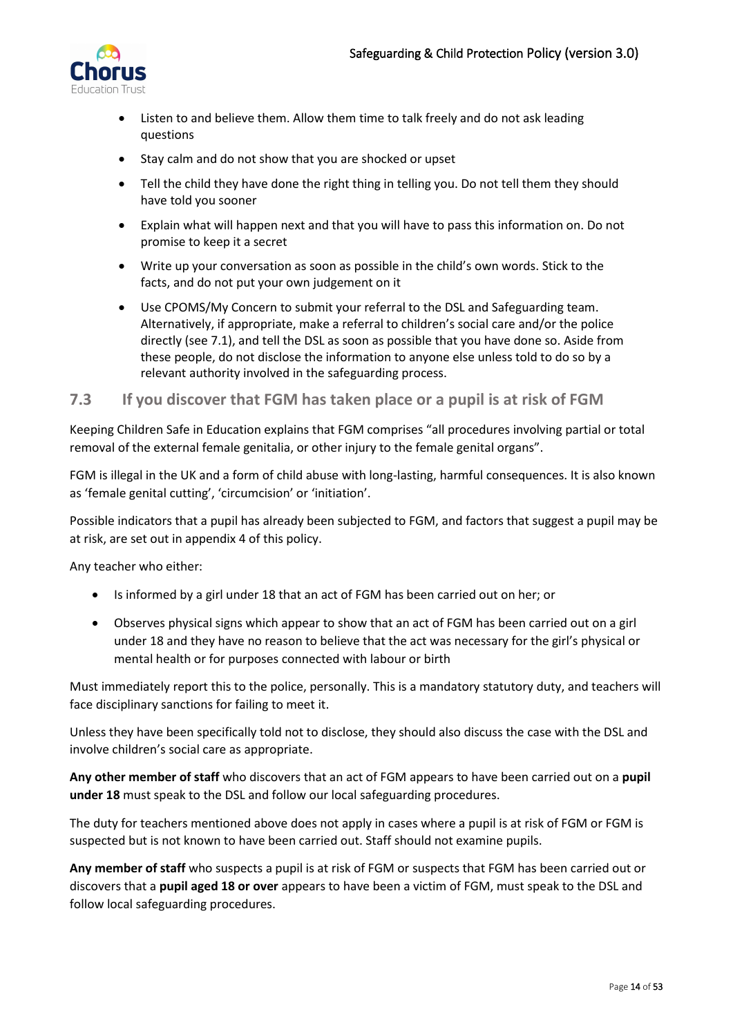

- Listen to and believe them. Allow them time to talk freely and do not ask leading questions
- Stay calm and do not show that you are shocked or upset
- Tell the child they have done the right thing in telling you. Do not tell them they should have told you sooner
- Explain what will happen next and that you will have to pass this information on. Do not promise to keep it a secret
- Write up your conversation as soon as possible in the child's own words. Stick to the facts, and do not put your own judgement on it
- Use CPOMS/My Concern to submit your referral to the DSL and Safeguarding team. Alternatively, if appropriate, make a referral to children's social care and/or the police directly (see 7.1), and tell the DSL as soon as possible that you have done so. Aside from these people, do not disclose the information to anyone else unless told to do so by a relevant authority involved in the safeguarding process.

### <span id="page-13-0"></span>**7.3 If you discover that FGM has taken place or a pupil is at risk of FGM**

Keeping Children Safe in Education explains that FGM comprises "all procedures involving partial or total removal of the external female genitalia, or other injury to the female genital organs".

FGM is illegal in the UK and a form of child abuse with long-lasting, harmful consequences. It is also known as 'female genital cutting', 'circumcision' or 'initiation'.

Possible indicators that a pupil has already been subjected to FGM, and factors that suggest a pupil may be at risk, are set out in appendix 4 of this policy.

Any teacher who either:

- Is informed by a girl under 18 that an act of FGM has been carried out on her; or
- Observes physical signs which appear to show that an act of FGM has been carried out on a girl under 18 and they have no reason to believe that the act was necessary for the girl's physical or mental health or for purposes connected with labour or birth

Must immediately report this to the police, personally. This is a mandatory statutory duty, and teachers will face disciplinary sanctions for failing to meet it.

Unless they have been specifically told not to disclose, they should also discuss the case with the DSL and involve children's social care as appropriate.

**Any other member of staff** who discovers that an act of FGM appears to have been carried out on a **pupil under 18** must speak to the DSL and follow our local safeguarding procedures.

The duty for teachers mentioned above does not apply in cases where a pupil is at risk of FGM or FGM is suspected but is not known to have been carried out. Staff should not examine pupils.

**Any member of staff** who suspects a pupil is at risk of FGM or suspects that FGM has been carried out or discovers that a **pupil aged 18 or over** appears to have been a victim of FGM, must speak to the DSL and follow local safeguarding procedures.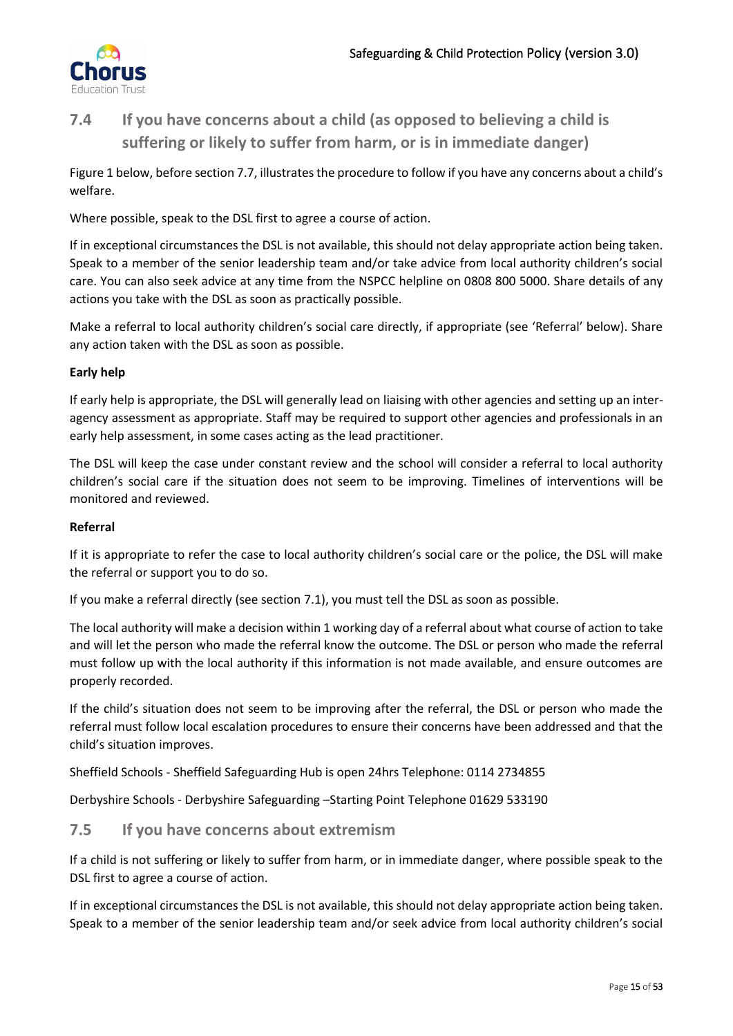

# <span id="page-14-0"></span>**7.4 If you have concerns about a child (as opposed to believing a child is suffering or likely to suffer from harm, or is in immediate danger)**

Figure 1 below, before section 7.7, illustrates the procedure to follow if you have any concerns about a child's welfare.

Where possible, speak to the DSL first to agree a course of action.

If in exceptional circumstances the DSL is not available, this should not delay appropriate action being taken. Speak to a member of the senior leadership team and/or take advice from local authority children's social care. You can also seek advice at any time from the NSPCC helpline on 0808 800 5000. Share details of any actions you take with the DSL as soon as practically possible.

Make a referral to local authority children's social care directly, if appropriate (see 'Referral' below). Share any action taken with the DSL as soon as possible.

### **Early help**

If early help is appropriate, the DSL will generally lead on liaising with other agencies and setting up an interagency assessment as appropriate. Staff may be required to support other agencies and professionals in an early help assessment, in some cases acting as the lead practitioner.

The DSL will keep the case under constant review and the school will consider a referral to local authority children's social care if the situation does not seem to be improving. Timelines of interventions will be monitored and reviewed.

### **Referral**

If it is appropriate to refer the case to local authority children's social care or the police, the DSL will make the referral or support you to do so.

If you make a referral directly (see section 7.1), you must tell the DSL as soon as possible.

The local authority will make a decision within 1 working day of a referral about what course of action to take and will let the person who made the referral know the outcome. The DSL or person who made the referral must follow up with the local authority if this information is not made available, and ensure outcomes are properly recorded.

If the child's situation does not seem to be improving after the referral, the DSL or person who made the referral must follow local escalation procedures to ensure their concerns have been addressed and that the child's situation improves.

Sheffield Schools - Sheffield Safeguarding Hub is open 24hrs Telephone: 0114 2734855

Derbyshire Schools - Derbyshire Safeguarding –Starting Point Telephone 01629 533190

### <span id="page-14-1"></span>**7.5 If you have concerns about extremism**

If a child is not suffering or likely to suffer from harm, or in immediate danger, where possible speak to the DSL first to agree a course of action.

If in exceptional circumstances the DSL is not available, this should not delay appropriate action being taken. Speak to a member of the senior leadership team and/or seek advice from local authority children's social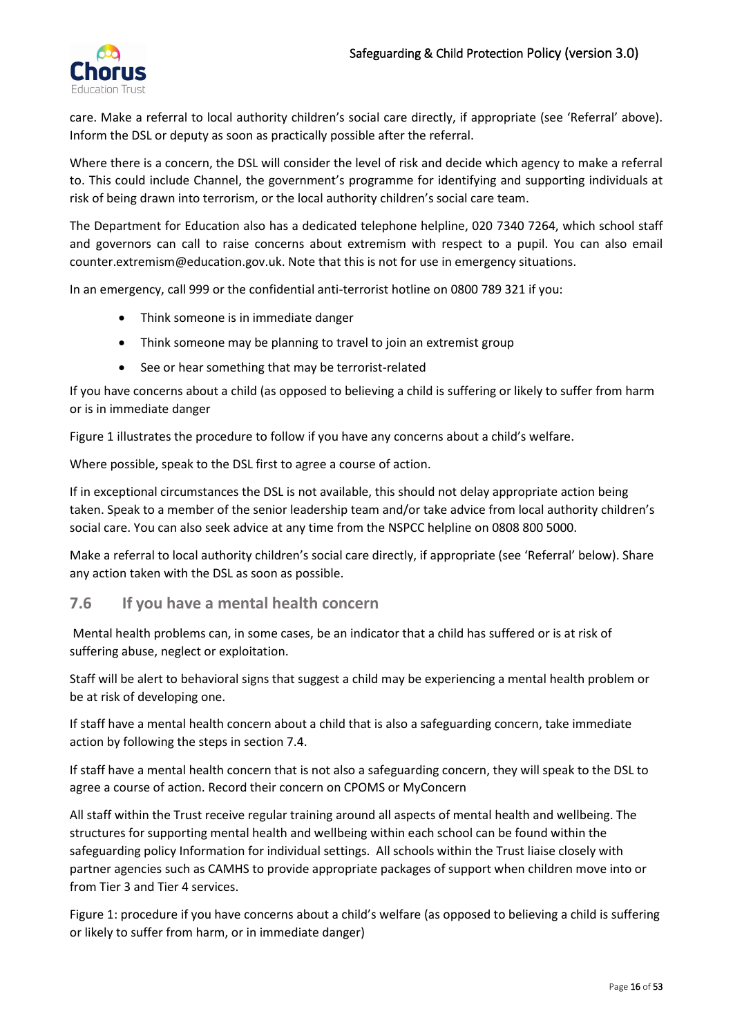

care. Make a referral to local authority children's social care directly, if appropriate (see 'Referral' above). Inform the DSL or deputy as soon as practically possible after the referral.

Where there is a concern, the DSL will consider the level of risk and decide which agency to make a referral to. This could include Channel, the government's programme for identifying and supporting individuals at risk of being drawn into terrorism, or the local authority children's social care team.

The Department for Education also has a dedicated telephone helpline, 020 7340 7264, which school staff and governors can call to raise concerns about extremism with respect to a pupil. You can also email counter.extremism@education.gov.uk. Note that this is not for use in emergency situations.

In an emergency, call 999 or the confidential anti-terrorist hotline on 0800 789 321 if you:

- Think someone is in immediate danger
- Think someone may be planning to travel to join an extremist group
- See or hear something that may be terrorist-related

If you have concerns about a child (as opposed to believing a child is suffering or likely to suffer from harm or is in immediate danger

Figure 1 illustrates the procedure to follow if you have any concerns about a child's welfare.

Where possible, speak to the DSL first to agree a course of action.

If in exceptional circumstances the DSL is not available, this should not delay appropriate action being taken. Speak to a member of the senior leadership team and/or take advice from local authority children's social care. You can also seek advice at any time from the NSPCC helpline on 0808 800 5000.

Make a referral to local authority children's social care directly, if appropriate (see 'Referral' below). Share any action taken with the DSL as soon as possible.

### <span id="page-15-0"></span>**7.6 If you have a mental health concern**

Mental health problems can, in some cases, be an indicator that a child has suffered or is at risk of suffering abuse, neglect or exploitation.

Staff will be alert to behavioral signs that suggest a child may be experiencing a mental health problem or be at risk of developing one.

If staff have a mental health concern about a child that is also a safeguarding concern, take immediate action by following the steps in section 7.4.

If staff have a mental health concern that is not also a safeguarding concern, they will speak to the DSL to agree a course of action. Record their concern on CPOMS or MyConcern

All staff within the Trust receive regular training around all aspects of mental health and wellbeing. The structures for supporting mental health and wellbeing within each school can be found within the safeguarding policy Information for individual settings. All schools within the Trust liaise closely with partner agencies such as CAMHS to provide appropriate packages of support when children move into or from Tier 3 and Tier 4 services.

Figure 1: procedure if you have concerns about a child's welfare (as opposed to believing a child is suffering or likely to suffer from harm, or in immediate danger)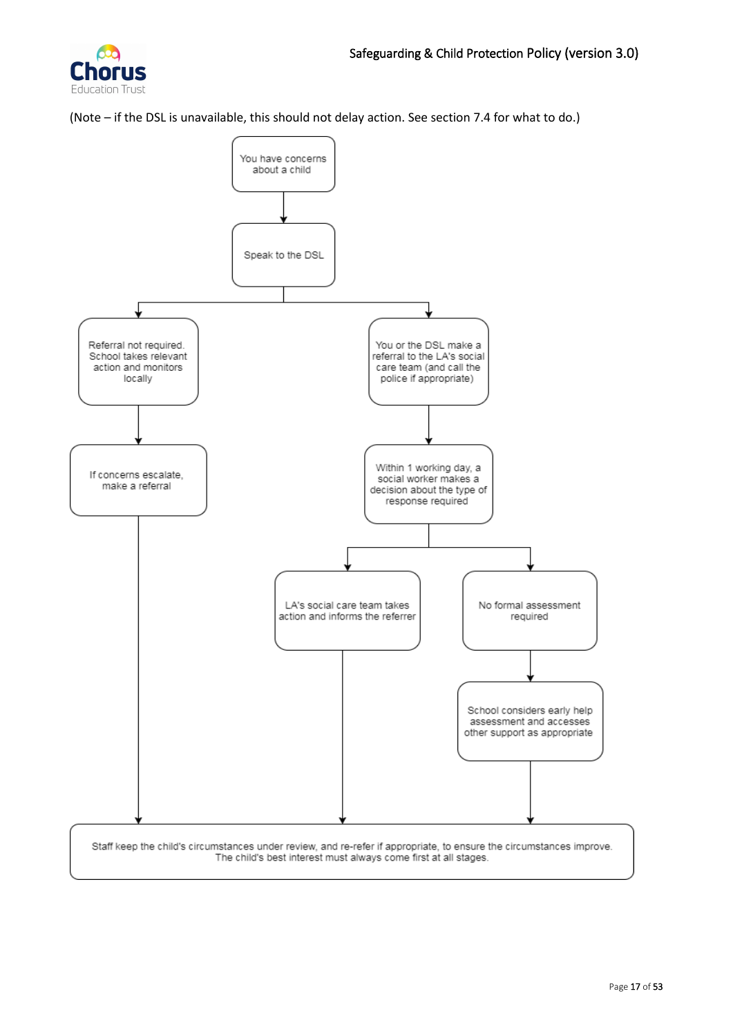

(Note – if the DSL is unavailable, this should not delay action. See section 7.4 for what to do.)

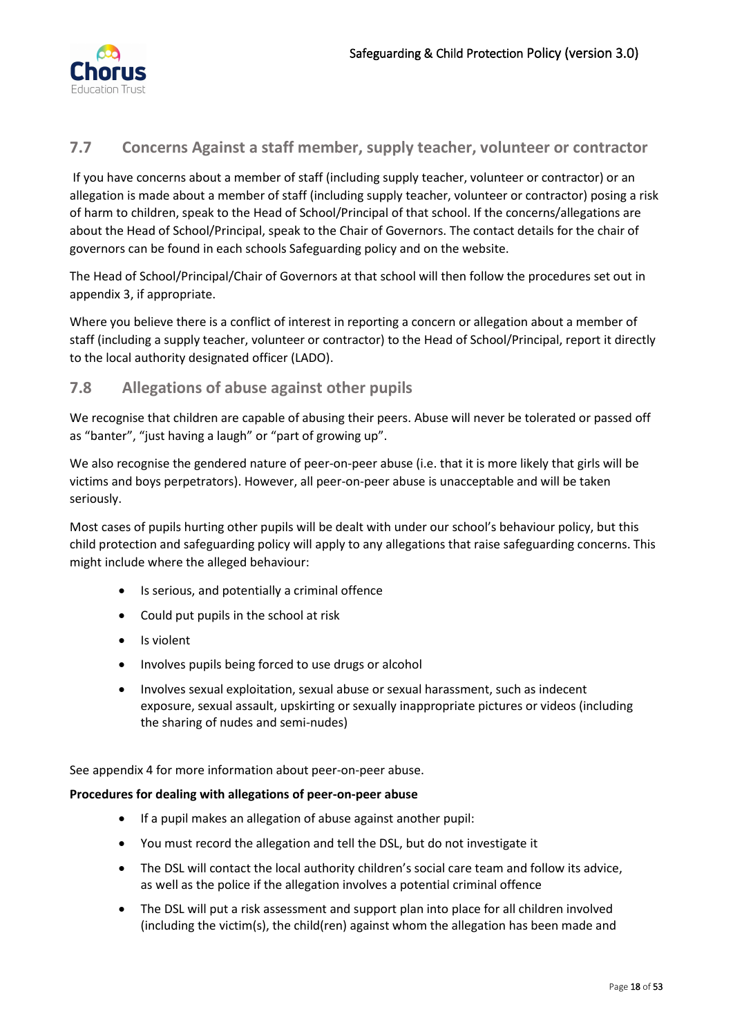

## <span id="page-17-0"></span>**7.7 Concerns Against a staff member, supply teacher, volunteer or contractor**

If you have concerns about a member of staff (including supply teacher, volunteer or contractor) or an allegation is made about a member of staff (including supply teacher, volunteer or contractor) posing a risk of harm to children, speak to the Head of School/Principal of that school. If the concerns/allegations are about the Head of School/Principal, speak to the Chair of Governors. The contact details for the chair of governors can be found in each schools Safeguarding policy and on the website.

The Head of School/Principal/Chair of Governors at that school will then follow the procedures set out in appendix 3, if appropriate.

Where you believe there is a conflict of interest in reporting a concern or allegation about a member of staff (including a supply teacher, volunteer or contractor) to the Head of School/Principal, report it directly to the local authority designated officer (LADO).

## <span id="page-17-1"></span>**7.8 Allegations of abuse against other pupils**

We recognise that children are capable of abusing their peers. Abuse will never be tolerated or passed off as "banter", "just having a laugh" or "part of growing up".

We also recognise the gendered nature of peer-on-peer abuse (i.e. that it is more likely that girls will be victims and boys perpetrators). However, all peer-on-peer abuse is unacceptable and will be taken seriously.

Most cases of pupils hurting other pupils will be dealt with under our school's behaviour policy, but this child protection and safeguarding policy will apply to any allegations that raise safeguarding concerns. This might include where the alleged behaviour:

- Is serious, and potentially a criminal offence
- Could put pupils in the school at risk
- Is violent
- Involves pupils being forced to use drugs or alcohol
- Involves sexual exploitation, sexual abuse or sexual harassment, such as indecent exposure, sexual assault, upskirting or sexually inappropriate pictures or videos (including the sharing of nudes and semi-nudes)

See appendix 4 for more information about peer-on-peer abuse.

#### **Procedures for dealing with allegations of peer-on-peer abuse**

- If a pupil makes an allegation of abuse against another pupil:
- You must record the allegation and tell the DSL, but do not investigate it
- The DSL will contact the local authority children's social care team and follow its advice, as well as the police if the allegation involves a potential criminal offence
- The DSL will put a risk assessment and support plan into place for all children involved (including the victim(s), the child(ren) against whom the allegation has been made and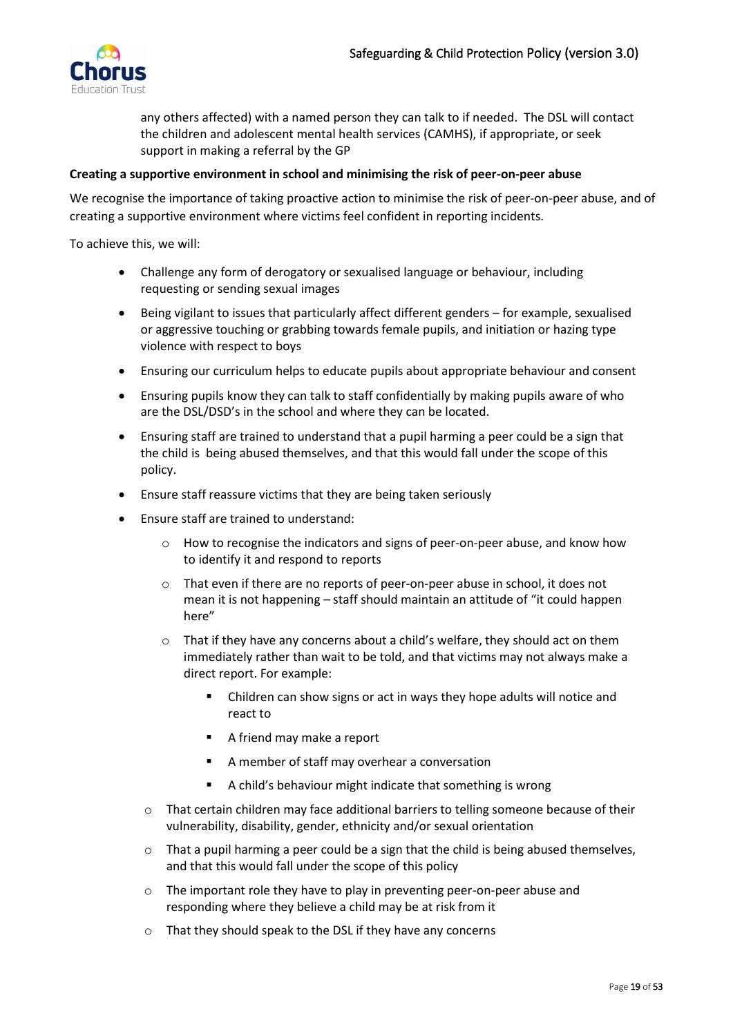

any others affected) with a named person they can talk to if needed. The DSL will contact the children and adolescent mental health services (CAMHS), if appropriate, or seek support in making a referral by the GP

#### **Creating a supportive environment in school and minimising the risk of peer-on-peer abuse**

We recognise the importance of taking proactive action to minimise the risk of peer-on-peer abuse, and of creating a supportive environment where victims feel confident in reporting incidents.

To achieve this, we will:

- Challenge any form of derogatory or sexualised language or behaviour, including requesting or sending sexual images
- Being vigilant to issues that particularly affect different genders for example, sexualised or aggressive touching or grabbing towards female pupils, and initiation or hazing type violence with respect to boys
- Ensuring our curriculum helps to educate pupils about appropriate behaviour and consent
- Ensuring pupils know they can talk to staff confidentially by making pupils aware of who are the DSL/DSD's in the school and where they can be located.
- Ensuring staff are trained to understand that a pupil harming a peer could be a sign that the child is being abused themselves, and that this would fall under the scope of this policy.
- Ensure staff reassure victims that they are being taken seriously
- Ensure staff are trained to understand:
	- o How to recognise the indicators and signs of peer-on-peer abuse, and know how to identify it and respond to reports
	- o That even if there are no reports of peer-on-peer abuse in school, it does not mean it is not happening – staff should maintain an attitude of "it could happen here"
	- $\circ$  That if they have any concerns about a child's welfare, they should act on them immediately rather than wait to be told, and that victims may not always make a direct report. For example:
		- Children can show signs or act in ways they hope adults will notice and react to
		- A friend may make a report
		- A member of staff may overhear a conversation
		- A child's behaviour might indicate that something is wrong
	- o That certain children may face additional barriers to telling someone because of their vulnerability, disability, gender, ethnicity and/or sexual orientation
	- $\circ$  That a pupil harming a peer could be a sign that the child is being abused themselves, and that this would fall under the scope of this policy
	- o The important role they have to play in preventing peer-on-peer abuse and responding where they believe a child may be at risk from it
	- o That they should speak to the DSL if they have any concerns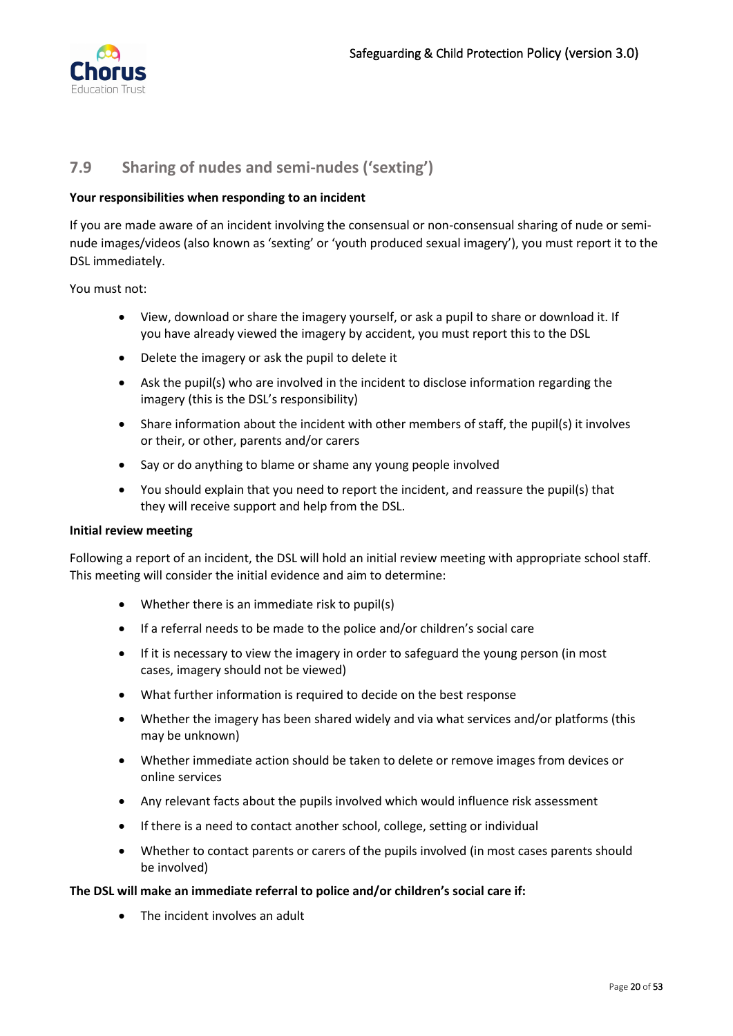

## <span id="page-19-0"></span>**7.9 Sharing of nudes and semi-nudes ('sexting')**

#### **Your responsibilities when responding to an incident**

If you are made aware of an incident involving the consensual or non-consensual sharing of nude or seminude images/videos (also known as 'sexting' or 'youth produced sexual imagery'), you must report it to the DSL immediately.

You must not:

- View, download or share the imagery yourself, or ask a pupil to share or download it. If you have already viewed the imagery by accident, you must report this to the DSL
- Delete the imagery or ask the pupil to delete it
- Ask the pupil(s) who are involved in the incident to disclose information regarding the imagery (this is the DSL's responsibility)
- Share information about the incident with other members of staff, the pupil(s) it involves or their, or other, parents and/or carers
- Say or do anything to blame or shame any young people involved
- You should explain that you need to report the incident, and reassure the pupil(s) that they will receive support and help from the DSL.

#### **Initial review meeting**

Following a report of an incident, the DSL will hold an initial review meeting with appropriate school staff. This meeting will consider the initial evidence and aim to determine:

- Whether there is an immediate risk to pupil(s)
- If a referral needs to be made to the police and/or children's social care
- If it is necessary to view the imagery in order to safeguard the young person (in most cases, imagery should not be viewed)
- What further information is required to decide on the best response
- Whether the imagery has been shared widely and via what services and/or platforms (this may be unknown)
- Whether immediate action should be taken to delete or remove images from devices or online services
- Any relevant facts about the pupils involved which would influence risk assessment
- If there is a need to contact another school, college, setting or individual
- Whether to contact parents or carers of the pupils involved (in most cases parents should be involved)

#### **The DSL will make an immediate referral to police and/or children's social care if:**

• The incident involves an adult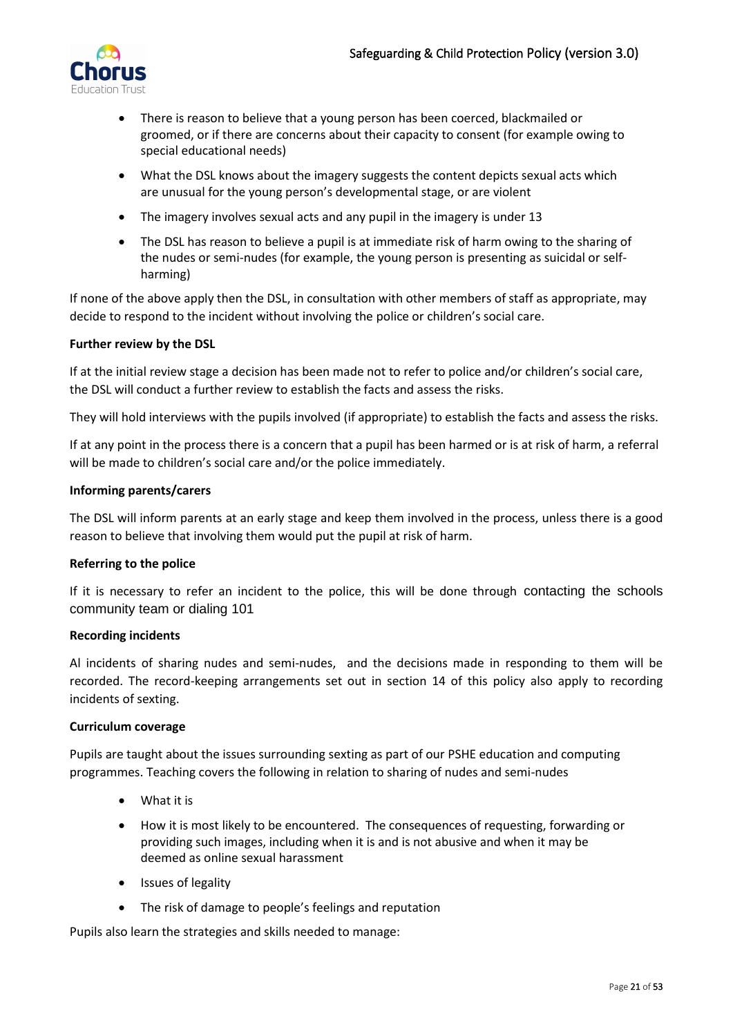

- There is reason to believe that a young person has been coerced, blackmailed or groomed, or if there are concerns about their capacity to consent (for example owing to special educational needs)
- What the DSL knows about the imagery suggests the content depicts sexual acts which are unusual for the young person's developmental stage, or are violent
- The imagery involves sexual acts and any pupil in the imagery is under 13
- The DSL has reason to believe a pupil is at immediate risk of harm owing to the sharing of the nudes or semi-nudes (for example, the young person is presenting as suicidal or selfharming)

If none of the above apply then the DSL, in consultation with other members of staff as appropriate, may decide to respond to the incident without involving the police or children's social care.

#### **Further review by the DSL**

If at the initial review stage a decision has been made not to refer to police and/or children's social care, the DSL will conduct a further review to establish the facts and assess the risks.

They will hold interviews with the pupils involved (if appropriate) to establish the facts and assess the risks.

If at any point in the process there is a concern that a pupil has been harmed or is at risk of harm, a referral will be made to children's social care and/or the police immediately.

#### **Informing parents/carers**

The DSL will inform parents at an early stage and keep them involved in the process, unless there is a good reason to believe that involving them would put the pupil at risk of harm.

#### **Referring to the police**

If it is necessary to refer an incident to the police, this will be done through contacting the schools community team or dialing 101

#### **Recording incidents**

Al incidents of sharing nudes and semi-nudes, and the decisions made in responding to them will be recorded. The record-keeping arrangements set out in section 14 of this policy also apply to recording incidents of sexting.

#### **Curriculum coverage**

Pupils are taught about the issues surrounding sexting as part of our PSHE education and computing programmes. Teaching covers the following in relation to sharing of nudes and semi-nudes

- What it is
- How it is most likely to be encountered. The consequences of requesting, forwarding or providing such images, including when it is and is not abusive and when it may be deemed as online sexual harassment
- Issues of legality
- The risk of damage to people's feelings and reputation

Pupils also learn the strategies and skills needed to manage: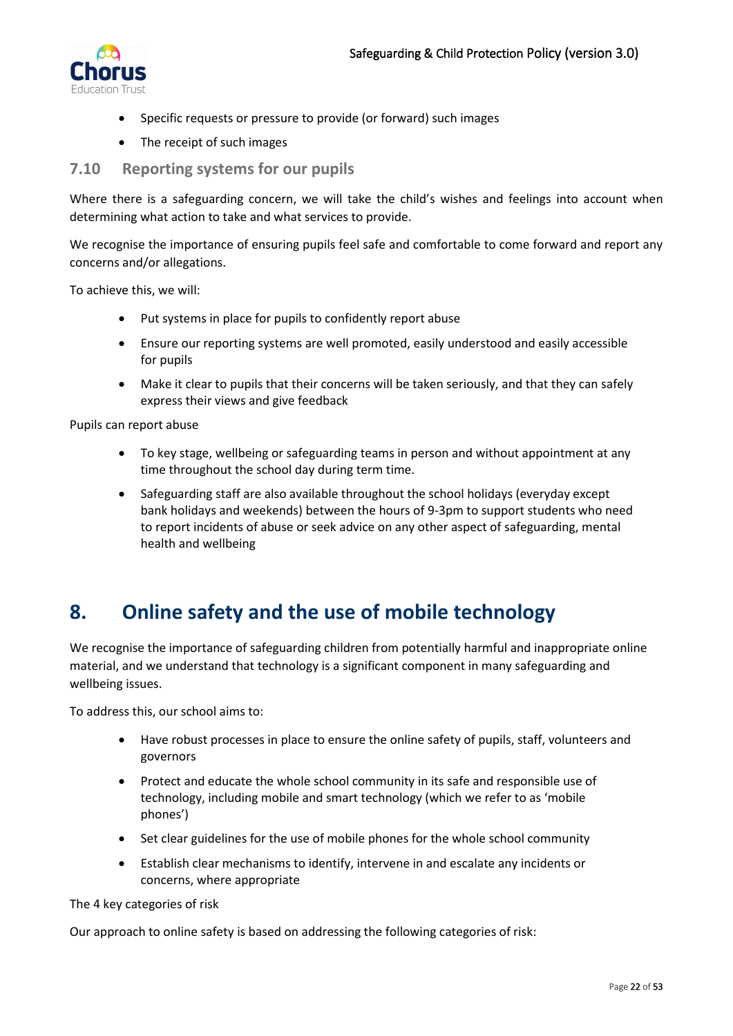

- Specific requests or pressure to provide (or forward) such images
- The receipt of such images

### <span id="page-21-0"></span>**7.10 Reporting systems for our pupils**

Where there is a safeguarding concern, we will take the child's wishes and feelings into account when determining what action to take and what services to provide.

We recognise the importance of ensuring pupils feel safe and comfortable to come forward and report any concerns and/or allegations.

To achieve this, we will:

- Put systems in place for pupils to confidently report abuse
- Ensure our reporting systems are well promoted, easily understood and easily accessible for pupils
- Make it clear to pupils that their concerns will be taken seriously, and that they can safely express their views and give feedback

Pupils can report abuse

- To key stage, wellbeing or safeguarding teams in person and without appointment at any time throughout the school day during term time.
- Safeguarding staff are also available throughout the school holidays (everyday except bank holidays and weekends) between the hours of 9-3pm to support students who need to report incidents of abuse or seek advice on any other aspect of safeguarding, mental health and wellbeing

# <span id="page-21-1"></span>**8. Online safety and the use of mobile technology**

We recognise the importance of safeguarding children from potentially harmful and inappropriate online material, and we understand that technology is a significant component in many safeguarding and wellbeing issues.

To address this, our school aims to:

- Have robust processes in place to ensure the online safety of pupils, staff, volunteers and governors
- Protect and educate the whole school community in its safe and responsible use of technology, including mobile and smart technology (which we refer to as 'mobile phones')
- Set clear guidelines for the use of mobile phones for the whole school community
- Establish clear mechanisms to identify, intervene in and escalate any incidents or concerns, where appropriate

The 4 key categories of risk

Our approach to online safety is based on addressing the following categories of risk: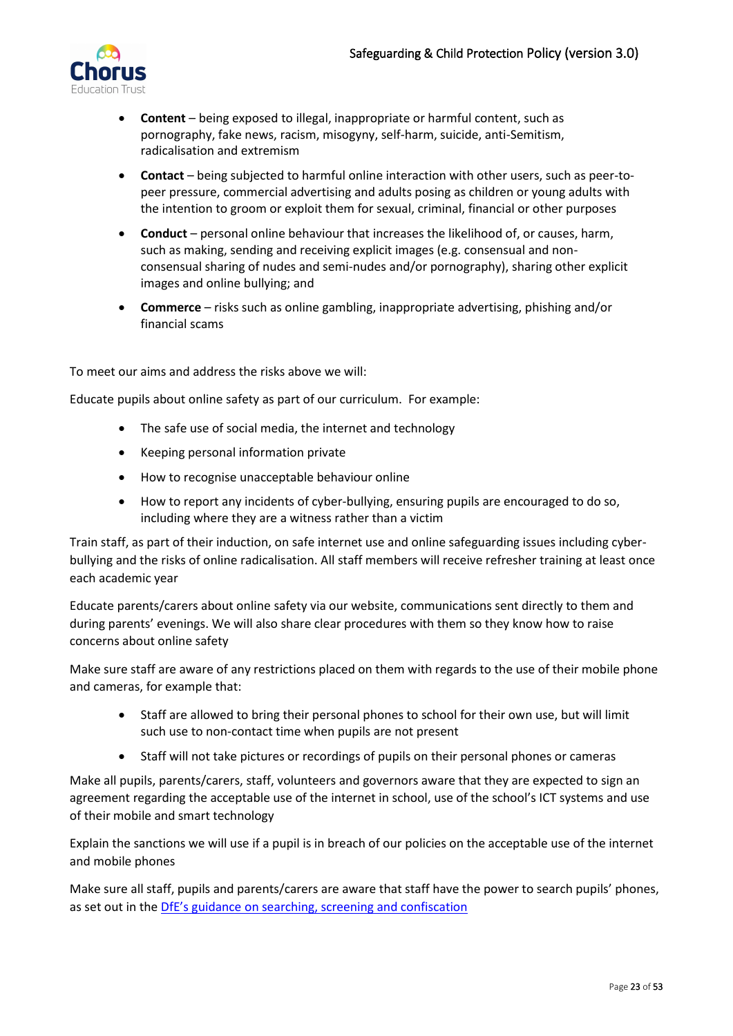

- **Content** being exposed to illegal, inappropriate or harmful content, such as pornography, fake news, racism, misogyny, self-harm, suicide, anti-Semitism, radicalisation and extremism
- **Contact** being subjected to harmful online interaction with other users, such as peer-topeer pressure, commercial advertising and adults posing as children or young adults with the intention to groom or exploit them for sexual, criminal, financial or other purposes
- **Conduct** personal online behaviour that increases the likelihood of, or causes, harm, such as making, sending and receiving explicit images (e.g. consensual and nonconsensual sharing of nudes and semi-nudes and/or pornography), sharing other explicit images and online bullying; and
- **Commerce** risks such as online gambling, inappropriate advertising, phishing and/or financial scams

To meet our aims and address the risks above we will:

Educate pupils about online safety as part of our curriculum. For example:

- The safe use of social media, the internet and technology
- Keeping personal information private
- How to recognise unacceptable behaviour online
- How to report any incidents of cyber-bullying, ensuring pupils are encouraged to do so, including where they are a witness rather than a victim

Train staff, as part of their induction, on safe internet use and online safeguarding issues including cyberbullying and the risks of online radicalisation. All staff members will receive refresher training at least once each academic year

Educate parents/carers about online safety via our website, communications sent directly to them and during parents' evenings. We will also share clear procedures with them so they know how to raise concerns about online safety

Make sure staff are aware of any restrictions placed on them with regards to the use of their mobile phone and cameras, for example that:

- Staff are allowed to bring their personal phones to school for their own use, but will limit such use to non-contact time when pupils are not present
- Staff will not take pictures or recordings of pupils on their personal phones or cameras

Make all pupils, parents/carers, staff, volunteers and governors aware that they are expected to sign an agreement regarding the acceptable use of the internet in school, use of the school's ICT systems and use of their mobile and smart technology

Explain the sanctions we will use if a pupil is in breach of our policies on the acceptable use of the internet and mobile phones

Make sure all staff, pupils and parents/carers are aware that staff have the power to search pupils' phones, as set out in the [DfE's guidance on searching, screening and confiscation](https://www.gov.uk/government/publications/searching-screening-and-confiscation)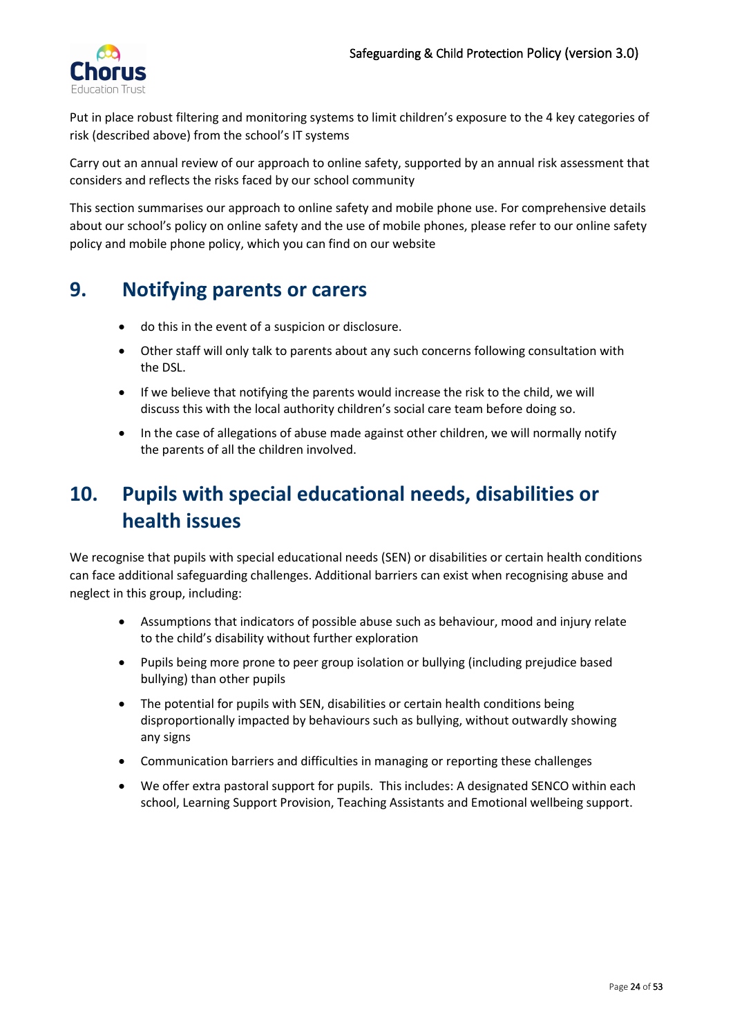

Put in place robust filtering and monitoring systems to limit children's exposure to the 4 key categories of risk (described above) from the school's IT systems

Carry out an annual review of our approach to online safety, supported by an annual risk assessment that considers and reflects the risks faced by our school community

This section summarises our approach to online safety and mobile phone use. For comprehensive details about our school's policy on online safety and the use of mobile phones, please refer to our online safety policy and mobile phone policy, which you can find on our website

# <span id="page-23-0"></span>**9. Notifying parents or carers**

- do this in the event of a suspicion or disclosure.
- Other staff will only talk to parents about any such concerns following consultation with the DSL.
- If we believe that notifying the parents would increase the risk to the child, we will discuss this with the local authority children's social care team before doing so.
- In the case of allegations of abuse made against other children, we will normally notify the parents of all the children involved.

# <span id="page-23-1"></span>**10. Pupils with special educational needs, disabilities or health issues**

We recognise that pupils with special educational needs (SEN) or disabilities or certain health conditions can face additional safeguarding challenges. Additional barriers can exist when recognising abuse and neglect in this group, including:

- Assumptions that indicators of possible abuse such as behaviour, mood and injury relate to the child's disability without further exploration
- Pupils being more prone to peer group isolation or bullying (including prejudice based bullying) than other pupils
- The potential for pupils with SEN, disabilities or certain health conditions being disproportionally impacted by behaviours such as bullying, without outwardly showing any signs
- Communication barriers and difficulties in managing or reporting these challenges
- We offer extra pastoral support for pupils. This includes: A designated SENCO within each school, Learning Support Provision, Teaching Assistants and Emotional wellbeing support.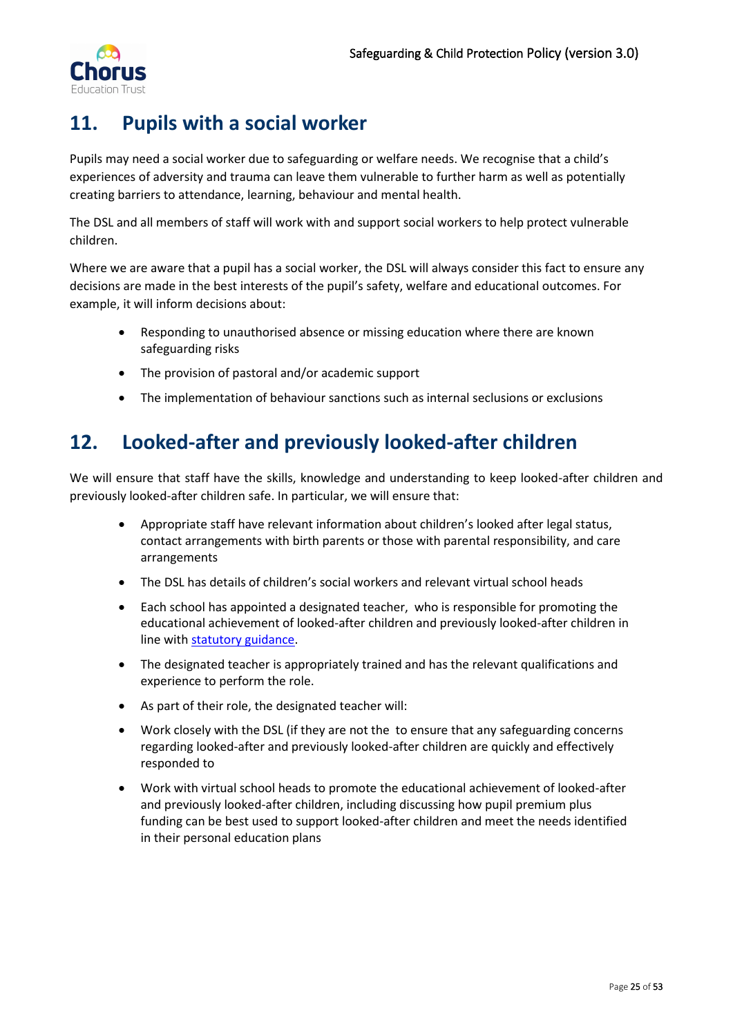

# <span id="page-24-0"></span>**11. Pupils with a social worker**

Pupils may need a social worker due to safeguarding or welfare needs. We recognise that a child's experiences of adversity and trauma can leave them vulnerable to further harm as well as potentially creating barriers to attendance, learning, behaviour and mental health.

The DSL and all members of staff will work with and support social workers to help protect vulnerable children.

Where we are aware that a pupil has a social worker, the DSL will always consider this fact to ensure any decisions are made in the best interests of the pupil's safety, welfare and educational outcomes. For example, it will inform decisions about:

- Responding to unauthorised absence or missing education where there are known safeguarding risks
- The provision of pastoral and/or academic support
- The implementation of behaviour sanctions such as internal seclusions or exclusions

# <span id="page-24-1"></span>**12. Looked-after and previously looked-after children**

We will ensure that staff have the skills, knowledge and understanding to keep looked-after children and previously looked-after children safe. In particular, we will ensure that:

- Appropriate staff have relevant information about children's looked after legal status, contact arrangements with birth parents or those with parental responsibility, and care arrangements
- The DSL has details of children's social workers and relevant virtual school heads
- Each school has appointed a designated teacher, who is responsible for promoting the educational achievement of looked-after children and previously looked-after children in line wit[h statutory guidance.](https://www.gov.uk/government/publications/designated-teacher-for-looked-after-children)
- The designated teacher is appropriately trained and has the relevant qualifications and experience to perform the role.
- As part of their role, the designated teacher will:
- Work closely with the DSL (if they are not the to ensure that any safeguarding concerns regarding looked-after and previously looked-after children are quickly and effectively responded to
- Work with virtual school heads to promote the educational achievement of looked-after and previously looked-after children, including discussing how pupil premium plus funding can be best used to support looked-after children and meet the needs identified in their personal education plans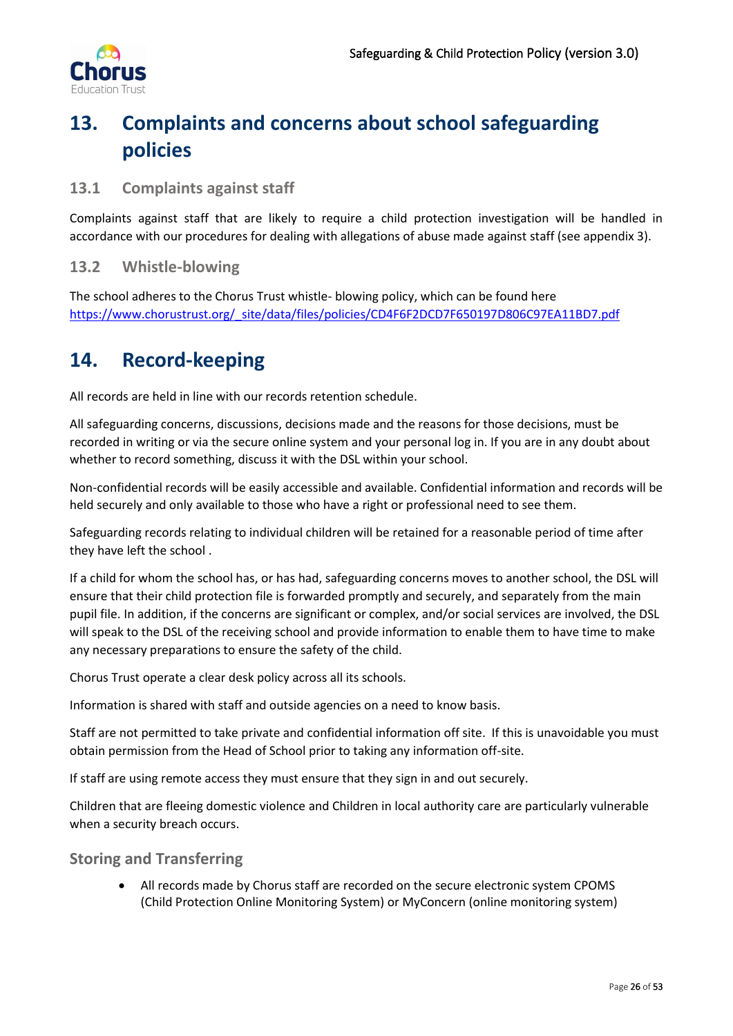

# <span id="page-25-0"></span>**13. Complaints and concerns about school safeguarding policies**

## <span id="page-25-1"></span>**13.1 Complaints against staff**

Complaints against staff that are likely to require a child protection investigation will be handled in accordance with our procedures for dealing with allegations of abuse made against staff (see appendix 3).

## <span id="page-25-2"></span>**13.2 Whistle-blowing**

The school adheres to the Chorus Trust whistle- blowing policy, which can be found here [https://www.chorustrust.org/\\_site/data/files/policies/CD4F6F2DCD7F650197D806C97EA11BD7.pdf](https://www.chorustrust.org/_site/data/files/policies/CD4F6F2DCD7F650197D806C97EA11BD7.pdf)

# <span id="page-25-3"></span>**14. Record-keeping**

All records are held in line with our records retention schedule.

All safeguarding concerns, discussions, decisions made and the reasons for those decisions, must be recorded in writing or via the secure online system and your personal log in. If you are in any doubt about whether to record something, discuss it with the DSL within your school.

Non-confidential records will be easily accessible and available. Confidential information and records will be held securely and only available to those who have a right or professional need to see them.

Safeguarding records relating to individual children will be retained for a reasonable period of time after they have left the school .

If a child for whom the school has, or has had, safeguarding concerns moves to another school, the DSL will ensure that their child protection file is forwarded promptly and securely, and separately from the main pupil file. In addition, if the concerns are significant or complex, and/or social services are involved, the DSL will speak to the DSL of the receiving school and provide information to enable them to have time to make any necessary preparations to ensure the safety of the child.

Chorus Trust operate a clear desk policy across all its schools.

Information is shared with staff and outside agencies on a need to know basis.

Staff are not permitted to take private and confidential information off site. If this is unavoidable you must obtain permission from the Head of School prior to taking any information off-site.

If staff are using remote access they must ensure that they sign in and out securely.

Children that are fleeing domestic violence and Children in local authority care are particularly vulnerable when a security breach occurs.

<span id="page-25-4"></span>**Storing and Transferring**

• All records made by Chorus staff are recorded on the secure electronic system CPOMS (Child Protection Online Monitoring System) or MyConcern (online monitoring system)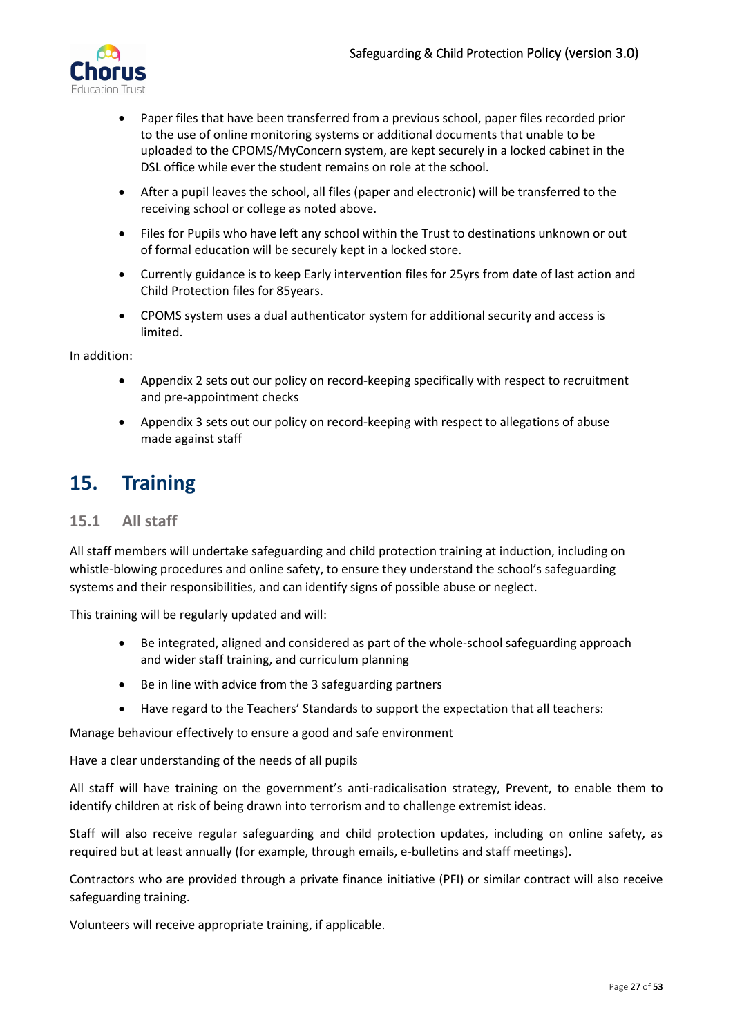

- Paper files that have been transferred from a previous school, paper files recorded prior to the use of online monitoring systems or additional documents that unable to be uploaded to the CPOMS/MyConcern system, are kept securely in a locked cabinet in the DSL office while ever the student remains on role at the school.
- After a pupil leaves the school, all files (paper and electronic) will be transferred to the receiving school or college as noted above.
- Files for Pupils who have left any school within the Trust to destinations unknown or out of formal education will be securely kept in a locked store.
- Currently guidance is to keep Early intervention files for 25yrs from date of last action and Child Protection files for 85years.
- CPOMS system uses a dual authenticator system for additional security and access is limited.

In addition:

- Appendix 2 sets out our policy on record-keeping specifically with respect to recruitment and pre-appointment checks
- Appendix 3 sets out our policy on record-keeping with respect to allegations of abuse made against staff

# <span id="page-26-0"></span>**15. Training**

### <span id="page-26-1"></span>**15.1 All staff**

All staff members will undertake safeguarding and child protection training at induction, including on whistle-blowing procedures and online safety, to ensure they understand the school's safeguarding systems and their responsibilities, and can identify signs of possible abuse or neglect.

This training will be regularly updated and will:

- Be integrated, aligned and considered as part of the whole-school safeguarding approach and wider staff training, and curriculum planning
- Be in line with advice from the 3 safeguarding partners
- Have regard to the Teachers' Standards to support the expectation that all teachers:

Manage behaviour effectively to ensure a good and safe environment

Have a clear understanding of the needs of all pupils

All staff will have training on the government's anti-radicalisation strategy, Prevent, to enable them to identify children at risk of being drawn into terrorism and to challenge extremist ideas.

Staff will also receive regular safeguarding and child protection updates, including on online safety, as required but at least annually (for example, through emails, e-bulletins and staff meetings).

Contractors who are provided through a private finance initiative (PFI) or similar contract will also receive safeguarding training.

Volunteers will receive appropriate training, if applicable.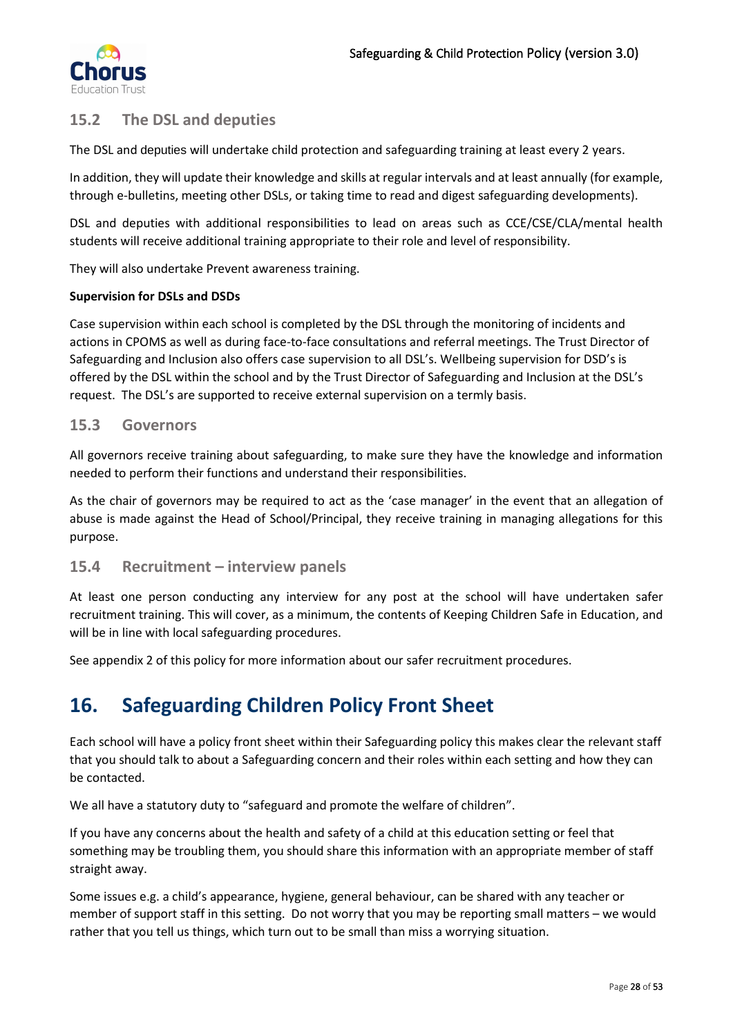

# <span id="page-27-0"></span>**15.2 The DSL and deputies**

The DSL and deputies will undertake child protection and safeguarding training at least every 2 years.

In addition, they will update their knowledge and skills at regular intervals and at least annually (for example, through e-bulletins, meeting other DSLs, or taking time to read and digest safeguarding developments).

DSL and deputies with additional responsibilities to lead on areas such as CCE/CSE/CLA/mental health students will receive additional training appropriate to their role and level of responsibility.

They will also undertake Prevent awareness training.

#### **Supervision for DSLs and DSDs**

Case supervision within each school is completed by the DSL through the monitoring of incidents and actions in CPOMS as well as during face-to-face consultations and referral meetings. The Trust Director of Safeguarding and Inclusion also offers case supervision to all DSL's. Wellbeing supervision for DSD's is offered by the DSL within the school and by the Trust Director of Safeguarding and Inclusion at the DSL's request. The DSL's are supported to receive external supervision on a termly basis.

### <span id="page-27-1"></span>**15.3 Governors**

All governors receive training about safeguarding, to make sure they have the knowledge and information needed to perform their functions and understand their responsibilities.

As the chair of governors may be required to act as the 'case manager' in the event that an allegation of abuse is made against the Head of School/Principal, they receive training in managing allegations for this purpose.

### <span id="page-27-2"></span>**15.4 Recruitment – interview panels**

At least one person conducting any interview for any post at the school will have undertaken safer recruitment training. This will cover, as a minimum, the contents of Keeping Children Safe in Education, and will be in line with local safeguarding procedures.

See appendix 2 of this policy for more information about our safer recruitment procedures.

# <span id="page-27-3"></span>**16. Safeguarding Children Policy Front Sheet**

Each school will have a policy front sheet within their Safeguarding policy this makes clear the relevant staff that you should talk to about a Safeguarding concern and their roles within each setting and how they can be contacted.

We all have a statutory duty to "safeguard and promote the welfare of children".

If you have any concerns about the health and safety of a child at this education setting or feel that something may be troubling them, you should share this information with an appropriate member of staff straight away.

Some issues e.g. a child's appearance, hygiene, general behaviour, can be shared with any teacher or member of support staff in this setting. Do not worry that you may be reporting small matters – we would rather that you tell us things, which turn out to be small than miss a worrying situation.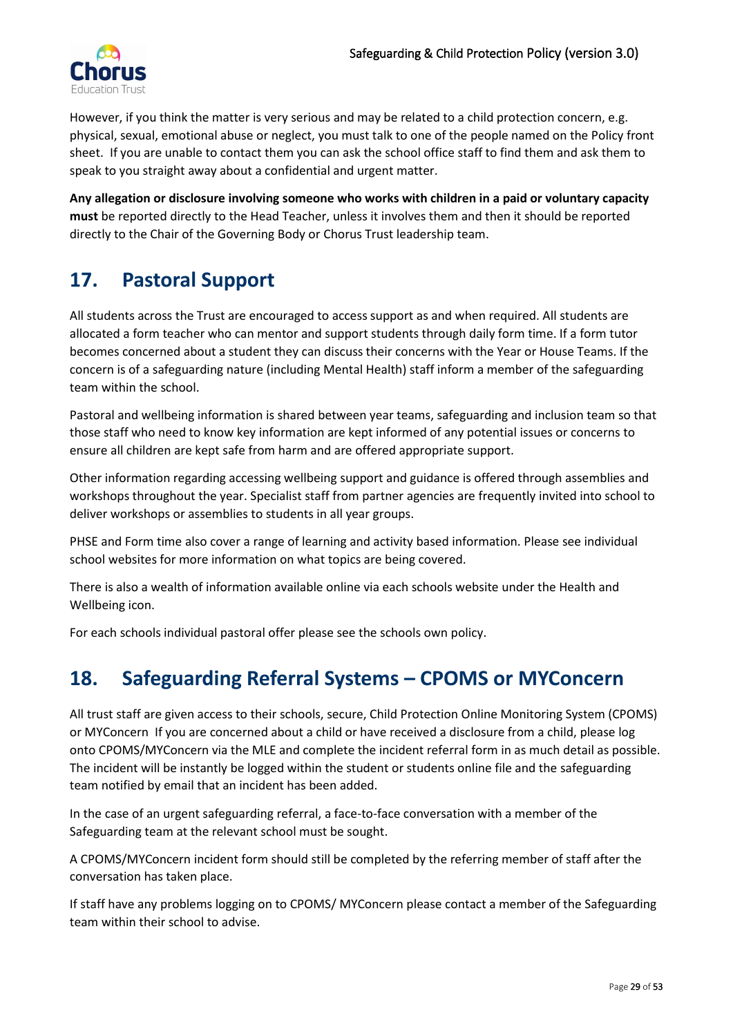

However, if you think the matter is very serious and may be related to a child protection concern, e.g. physical, sexual, emotional abuse or neglect, you must talk to one of the people named on the Policy front sheet. If you are unable to contact them you can ask the school office staff to find them and ask them to speak to you straight away about a confidential and urgent matter.

**Any allegation or disclosure involving someone who works with children in a paid or voluntary capacity must** be reported directly to the Head Teacher, unless it involves them and then it should be reported directly to the Chair of the Governing Body or Chorus Trust leadership team.

# <span id="page-28-0"></span>**17. Pastoral Support**

All students across the Trust are encouraged to access support as and when required. All students are allocated a form teacher who can mentor and support students through daily form time. If a form tutor becomes concerned about a student they can discuss their concerns with the Year or House Teams. If the concern is of a safeguarding nature (including Mental Health) staff inform a member of the safeguarding team within the school.

Pastoral and wellbeing information is shared between year teams, safeguarding and inclusion team so that those staff who need to know key information are kept informed of any potential issues or concerns to ensure all children are kept safe from harm and are offered appropriate support.

Other information regarding accessing wellbeing support and guidance is offered through assemblies and workshops throughout the year. Specialist staff from partner agencies are frequently invited into school to deliver workshops or assemblies to students in all year groups.

PHSE and Form time also cover a range of learning and activity based information. Please see individual school websites for more information on what topics are being covered.

There is also a wealth of information available online via each schools website under the Health and Wellbeing icon.

For each schools individual pastoral offer please see the schools own policy.

# <span id="page-28-1"></span>**18. Safeguarding Referral Systems – CPOMS or MYConcern**

All trust staff are given access to their schools, secure, Child Protection Online Monitoring System (CPOMS) or MYConcern If you are concerned about a child or have received a disclosure from a child, please log onto CPOMS/MYConcern via the MLE and complete the incident referral form in as much detail as possible. The incident will be instantly be logged within the student or students online file and the safeguarding team notified by email that an incident has been added.

In the case of an urgent safeguarding referral, a face-to-face conversation with a member of the Safeguarding team at the relevant school must be sought.

A CPOMS/MYConcern incident form should still be completed by the referring member of staff after the conversation has taken place.

If staff have any problems logging on to CPOMS/ MYConcern please contact a member of the Safeguarding team within their school to advise.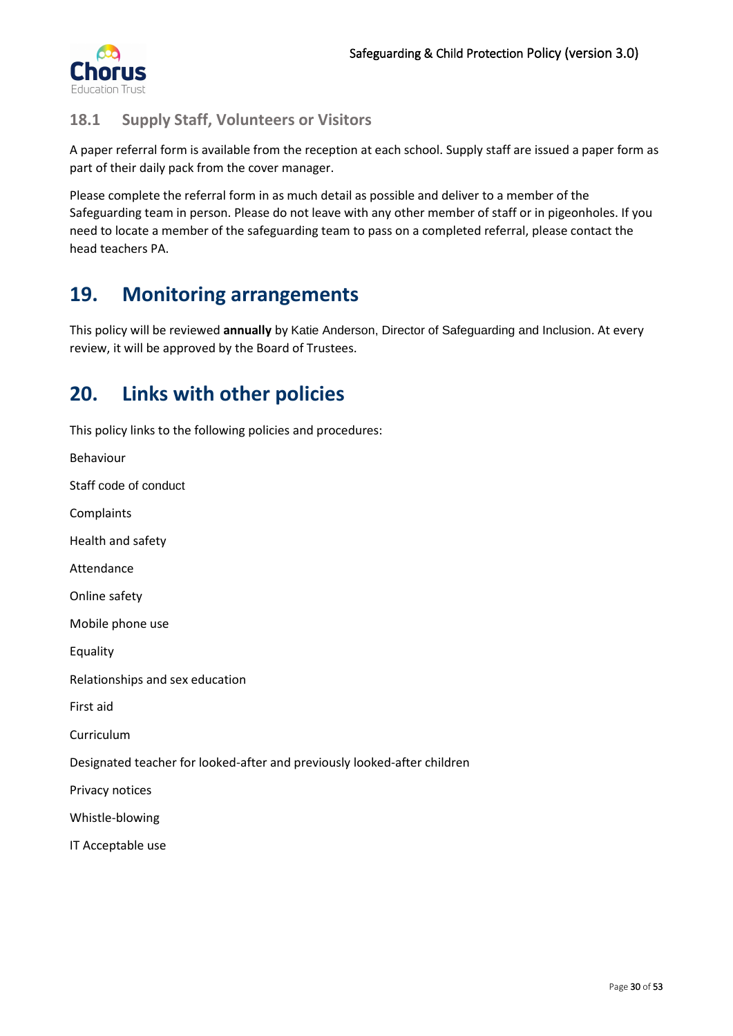

# <span id="page-29-0"></span>**18.1 Supply Staff, Volunteers or Visitors**

A paper referral form is available from the reception at each school. Supply staff are issued a paper form as part of their daily pack from the cover manager.

Please complete the referral form in as much detail as possible and deliver to a member of the Safeguarding team in person. Please do not leave with any other member of staff or in pigeonholes. If you need to locate a member of the safeguarding team to pass on a completed referral, please contact the head teachers PA.

# <span id="page-29-1"></span>**19. Monitoring arrangements**

This policy will be reviewed **annually** by Katie Anderson, Director of Safeguarding and Inclusion. At every review, it will be approved by the Board of Trustees.

# <span id="page-29-2"></span>**20. Links with other policies**

This policy links to the following policies and procedures:

Behaviour Staff code of conduct Complaints Health and safety Attendance Online safety Mobile phone use Equality Relationships and sex education First aid Curriculum Designated teacher for looked-after and previously looked-after children Privacy notices Whistle-blowing IT Acceptable use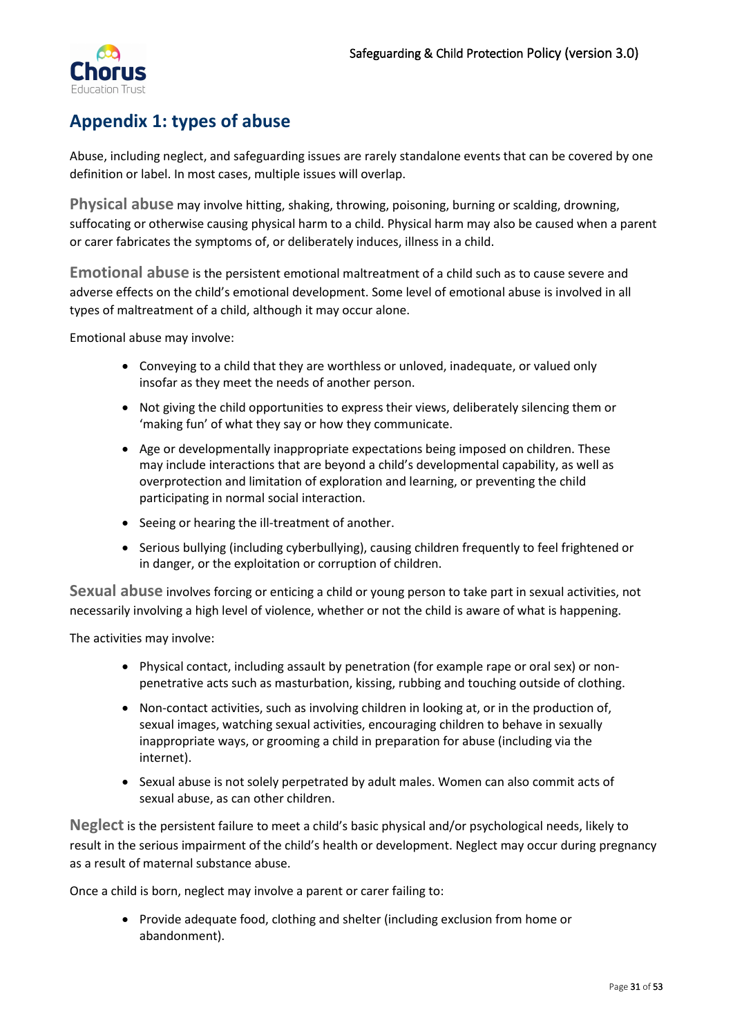

# <span id="page-30-0"></span>**Appendix 1: types of abuse**

Abuse, including neglect, and safeguarding issues are rarely standalone events that can be covered by one definition or label. In most cases, multiple issues will overlap.

<span id="page-30-1"></span>**Physical abuse** may involve hitting, shaking, throwing, poisoning, burning or scalding, drowning, suffocating or otherwise causing physical harm to a child. Physical harm may also be caused when a parent or carer fabricates the symptoms of, or deliberately induces, illness in a child.

<span id="page-30-2"></span>**Emotional abuse** is the persistent emotional maltreatment of a child such as to cause severe and adverse effects on the child's emotional development. Some level of emotional abuse is involved in all types of maltreatment of a child, although it may occur alone.

Emotional abuse may involve:

- Conveying to a child that they are worthless or unloved, inadequate, or valued only insofar as they meet the needs of another person.
- Not giving the child opportunities to express their views, deliberately silencing them or 'making fun' of what they say or how they communicate.
- Age or developmentally inappropriate expectations being imposed on children. These may include interactions that are beyond a child's developmental capability, as well as overprotection and limitation of exploration and learning, or preventing the child participating in normal social interaction.
- Seeing or hearing the ill-treatment of another.
- Serious bullying (including cyberbullying), causing children frequently to feel frightened or in danger, or the exploitation or corruption of children.

<span id="page-30-3"></span>**Sexual abuse** involves forcing or enticing a child or young person to take part in sexual activities, not necessarily involving a high level of violence, whether or not the child is aware of what is happening.

The activities may involve:

- Physical contact, including assault by penetration (for example rape or oral sex) or nonpenetrative acts such as masturbation, kissing, rubbing and touching outside of clothing.
- Non-contact activities, such as involving children in looking at, or in the production of, sexual images, watching sexual activities, encouraging children to behave in sexually inappropriate ways, or grooming a child in preparation for abuse (including via the internet).
- Sexual abuse is not solely perpetrated by adult males. Women can also commit acts of sexual abuse, as can other children.

<span id="page-30-4"></span>**Neglect** is the persistent failure to meet a child's basic physical and/or psychological needs, likely to result in the serious impairment of the child's health or development. Neglect may occur during pregnancy as a result of maternal substance abuse.

Once a child is born, neglect may involve a parent or carer failing to:

• Provide adequate food, clothing and shelter (including exclusion from home or abandonment).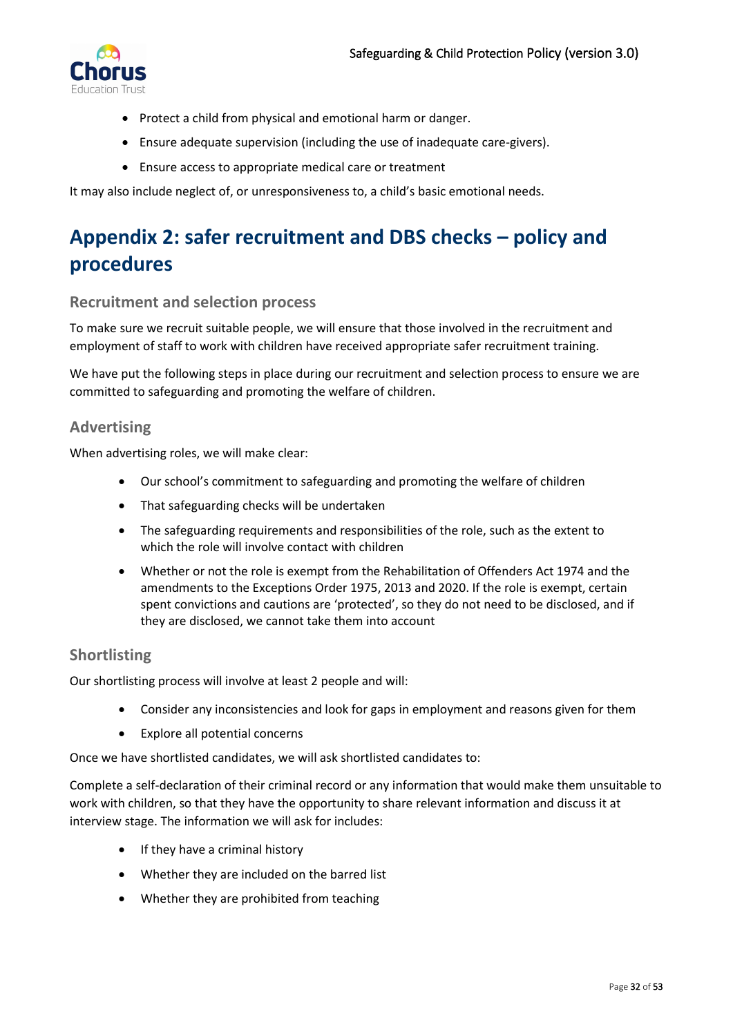

- Protect a child from physical and emotional harm or danger.
- Ensure adequate supervision (including the use of inadequate care-givers).
- Ensure access to appropriate medical care or treatment

It may also include neglect of, or unresponsiveness to, a child's basic emotional needs.

# <span id="page-31-0"></span>**Appendix 2: safer recruitment and DBS checks – policy and procedures**

### <span id="page-31-1"></span>**Recruitment and selection process**

To make sure we recruit suitable people, we will ensure that those involved in the recruitment and employment of staff to work with children have received appropriate safer recruitment training.

We have put the following steps in place during our recruitment and selection process to ensure we are committed to safeguarding and promoting the welfare of children.

### <span id="page-31-2"></span>**Advertising**

When advertising roles, we will make clear:

- Our school's commitment to safeguarding and promoting the welfare of children
- That safeguarding checks will be undertaken
- The safeguarding requirements and responsibilities of the role, such as the extent to which the role will involve contact with children
- Whether or not the role is exempt from the Rehabilitation of Offenders Act 1974 and the amendments to the Exceptions Order 1975, 2013 and 2020. If the role is exempt, certain spent convictions and cautions are 'protected', so they do not need to be disclosed, and if they are disclosed, we cannot take them into account

## <span id="page-31-3"></span>**Shortlisting**

Our shortlisting process will involve at least 2 people and will:

- Consider any inconsistencies and look for gaps in employment and reasons given for them
- Explore all potential concerns

Once we have shortlisted candidates, we will ask shortlisted candidates to:

Complete a self-declaration of their criminal record or any information that would make them unsuitable to work with children, so that they have the opportunity to share relevant information and discuss it at interview stage. The information we will ask for includes:

- If they have a criminal history
- Whether they are included on the barred list
- Whether they are prohibited from teaching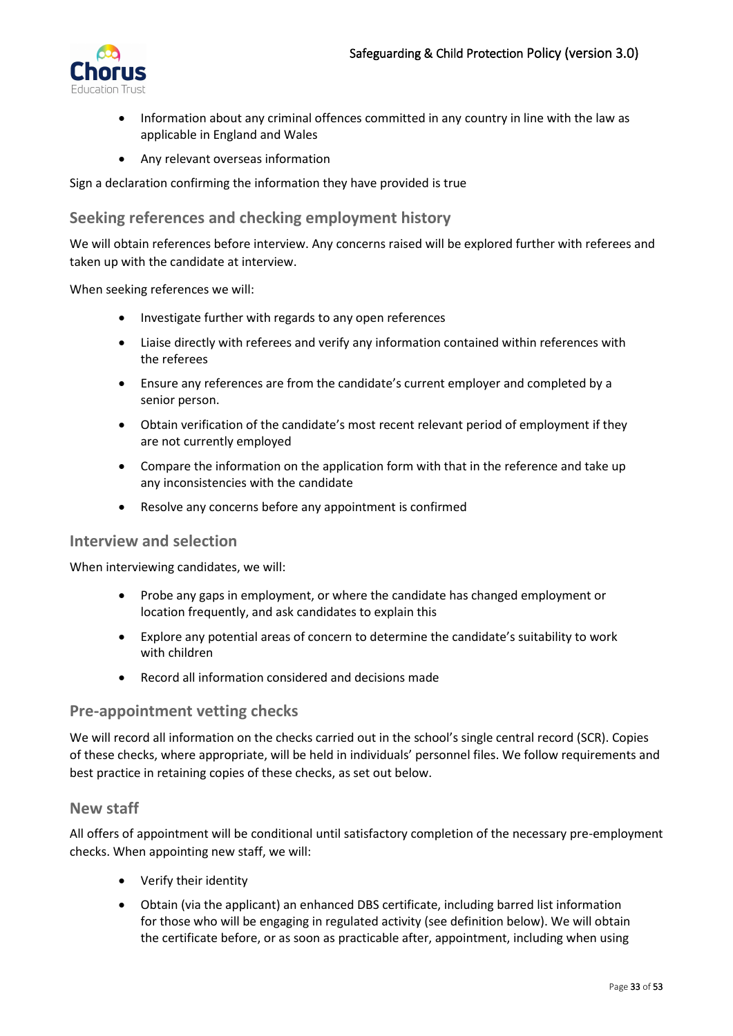

- Information about any criminal offences committed in any country in line with the law as applicable in England and Wales
- Any relevant overseas information

Sign a declaration confirming the information they have provided is true

## <span id="page-32-0"></span>**Seeking references and checking employment history**

We will obtain references before interview. Any concerns raised will be explored further with referees and taken up with the candidate at interview.

When seeking references we will:

- Investigate further with regards to any open references
- Liaise directly with referees and verify any information contained within references with the referees
- Ensure any references are from the candidate's current employer and completed by a senior person.
- Obtain verification of the candidate's most recent relevant period of employment if they are not currently employed
- Compare the information on the application form with that in the reference and take up any inconsistencies with the candidate
- Resolve any concerns before any appointment is confirmed

### <span id="page-32-1"></span>**Interview and selection**

When interviewing candidates, we will:

- Probe any gaps in employment, or where the candidate has changed employment or location frequently, and ask candidates to explain this
- Explore any potential areas of concern to determine the candidate's suitability to work with children
- Record all information considered and decisions made

### <span id="page-32-2"></span>**Pre-appointment vetting checks**

We will record all information on the checks carried out in the school's single central record (SCR). Copies of these checks, where appropriate, will be held in individuals' personnel files. We follow requirements and best practice in retaining copies of these checks, as set out below.

### <span id="page-32-3"></span>**New staff**

All offers of appointment will be conditional until satisfactory completion of the necessary pre-employment checks. When appointing new staff, we will:

- Verify their identity
- Obtain (via the applicant) an enhanced DBS certificate, including barred list information for those who will be engaging in regulated activity (see definition below). We will obtain the certificate before, or as soon as practicable after, appointment, including when using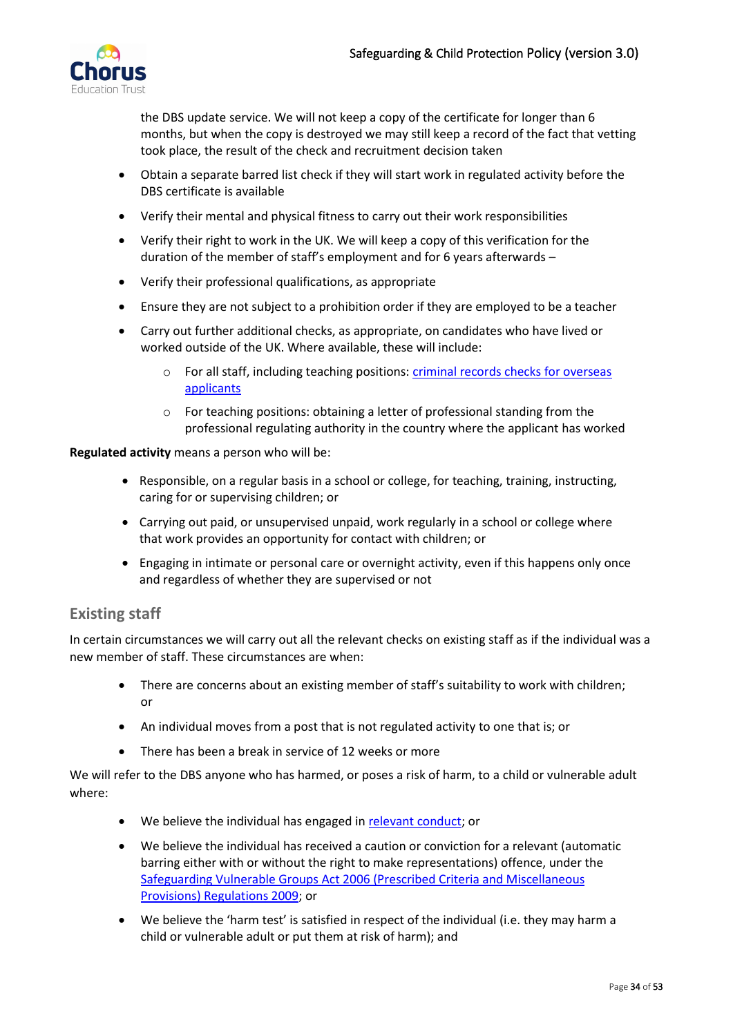

the DBS update service. We will not keep a copy of the certificate for longer than 6 months, but when the copy is destroyed we may still keep a record of the fact that vetting took place, the result of the check and recruitment decision taken

- Obtain a separate barred list check if they will start work in regulated activity before the DBS certificate is available
- Verify their mental and physical fitness to carry out their work responsibilities
- Verify their right to work in the UK. We will keep a copy of this verification for the duration of the member of staff's employment and for 6 years afterwards –
- Verify their professional qualifications, as appropriate
- Ensure they are not subject to a prohibition order if they are employed to be a teacher
- Carry out further additional checks, as appropriate, on candidates who have lived or worked outside of the UK. Where available, these will include:
	- o For all staff, including teaching positions: [criminal records checks for overseas](https://www.gov.uk/government/publications/criminal-records-checks-for-overseas-applicants)  [applicants](https://www.gov.uk/government/publications/criminal-records-checks-for-overseas-applicants)
	- o For teaching positions: obtaining a letter of professional standing from the professional regulating authority in the country where the applicant has worked

**Regulated activity** means a person who will be:

- Responsible, on a regular basis in a school or college, for teaching, training, instructing, caring for or supervising children; or
- Carrying out paid, or unsupervised unpaid, work regularly in a school or college where that work provides an opportunity for contact with children; or
- Engaging in intimate or personal care or overnight activity, even if this happens only once and regardless of whether they are supervised or not

# <span id="page-33-0"></span>**Existing staff**

In certain circumstances we will carry out all the relevant checks on existing staff as if the individual was a new member of staff. These circumstances are when:

- There are concerns about an existing member of staff's suitability to work with children; or
- An individual moves from a post that is not regulated activity to one that is; or
- There has been a break in service of 12 weeks or more

We will refer to the DBS anyone who has harmed, or poses a risk of harm, to a child or vulnerable adult where:

- We believe the individual has engaged in [relevant conduct;](https://www.gov.uk/guidance/making-barring-referrals-to-the-dbs#relevant-conduct-in-relation-to-children) or
- We believe the individual has received a caution or conviction for a relevant (automatic barring either with or without the right to make representations) offence, under the [Safeguarding Vulnerable Groups Act 2006 \(Prescribed Criteria and Miscellaneous](http://www.legislation.gov.uk/uksi/2009/37/contents/made)  [Provisions\) Regulations 2009;](http://www.legislation.gov.uk/uksi/2009/37/contents/made) or
- We believe the 'harm test' is satisfied in respect of the individual (i.e. they may harm a child or vulnerable adult or put them at risk of harm); and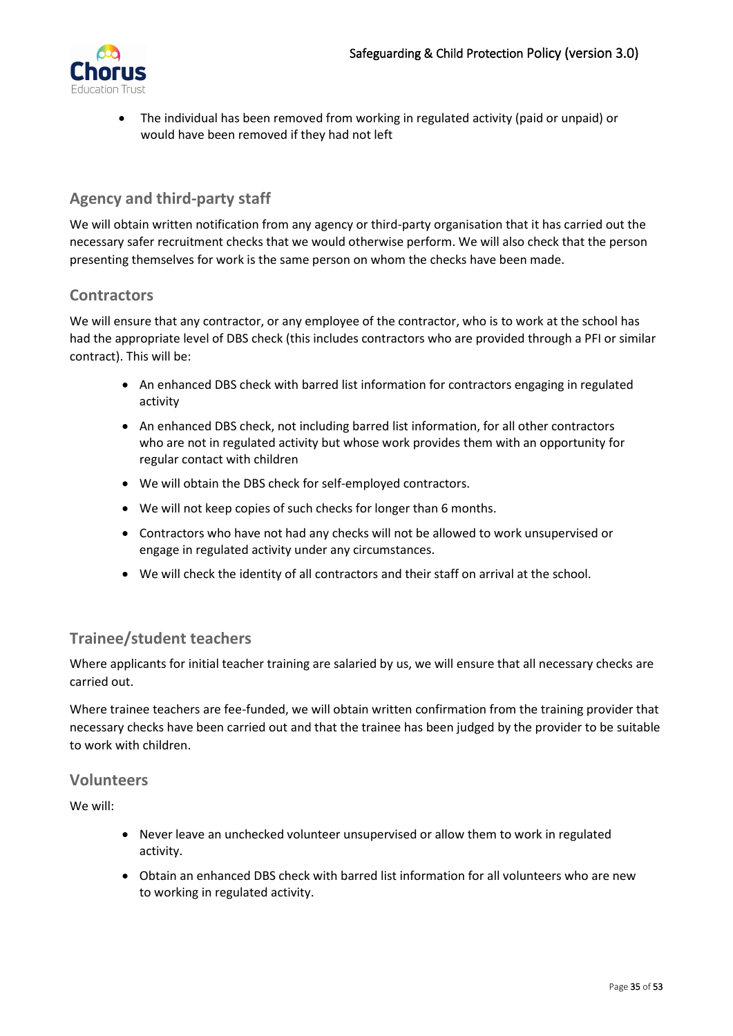

• The individual has been removed from working in regulated activity (paid or unpaid) or would have been removed if they had not left

## <span id="page-34-0"></span>**Agency and third-party staff**

We will obtain written notification from any agency or third-party organisation that it has carried out the necessary safer recruitment checks that we would otherwise perform. We will also check that the person presenting themselves for work is the same person on whom the checks have been made.

### <span id="page-34-1"></span>**Contractors**

We will ensure that any contractor, or any employee of the contractor, who is to work at the school has had the appropriate level of DBS check (this includes contractors who are provided through a PFI or similar contract). This will be:

- An enhanced DBS check with barred list information for contractors engaging in regulated activity
- An enhanced DBS check, not including barred list information, for all other contractors who are not in regulated activity but whose work provides them with an opportunity for regular contact with children
- We will obtain the DBS check for self-employed contractors.
- We will not keep copies of such checks for longer than 6 months.
- Contractors who have not had any checks will not be allowed to work unsupervised or engage in regulated activity under any circumstances.
- We will check the identity of all contractors and their staff on arrival at the school.

## <span id="page-34-2"></span>**Trainee/student teachers**

Where applicants for initial teacher training are salaried by us, we will ensure that all necessary checks are carried out.

Where trainee teachers are fee-funded, we will obtain written confirmation from the training provider that necessary checks have been carried out and that the trainee has been judged by the provider to be suitable to work with children.

### <span id="page-34-3"></span>**Volunteers**

We will:

- Never leave an unchecked volunteer unsupervised or allow them to work in regulated activity.
- Obtain an enhanced DBS check with barred list information for all volunteers who are new to working in regulated activity.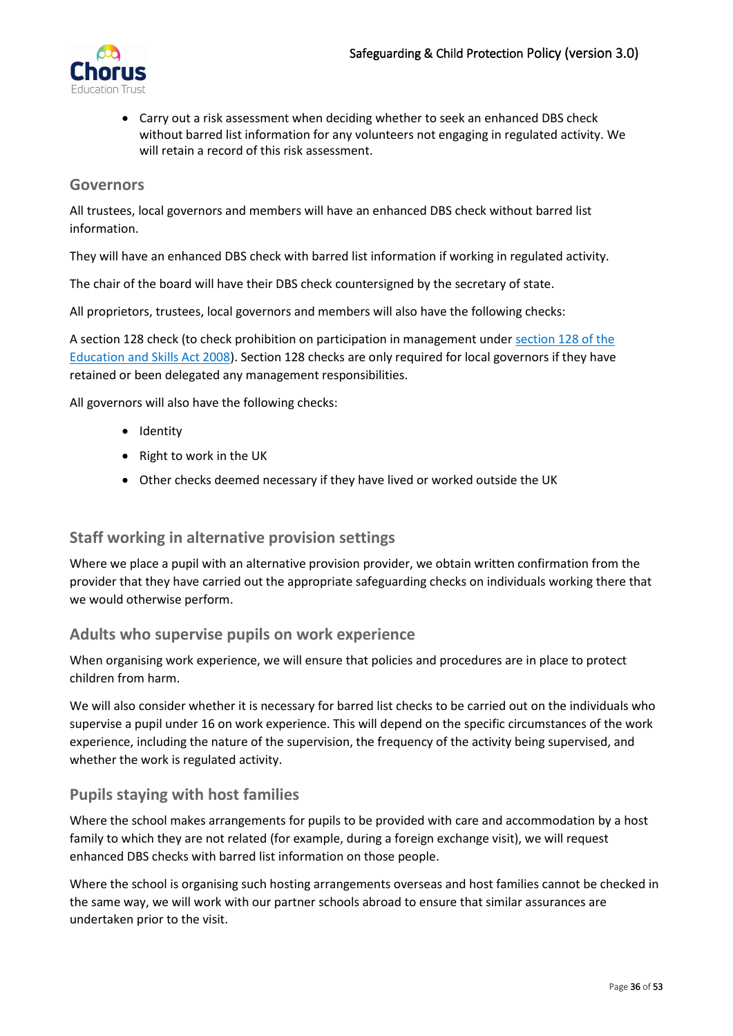

• Carry out a risk assessment when deciding whether to seek an enhanced DBS check without barred list information for any volunteers not engaging in regulated activity. We will retain a record of this risk assessment.

### <span id="page-35-0"></span>**Governors**

All trustees, local governors and members will have an enhanced DBS check without barred list information.

They will have an enhanced DBS check with barred list information if working in regulated activity.

The chair of the board will have their DBS check countersigned by the secretary of state.

All proprietors, trustees, local governors and members will also have the following checks:

A section 128 check (to check prohibition on participation in management unde[r section 128 of the](https://www.legislation.gov.uk/ukpga/2008/25/section/128)  [Education and Skills Act 2008\)](https://www.legislation.gov.uk/ukpga/2008/25/section/128). Section 128 checks are only required for local governors if they have retained or been delegated any management responsibilities.

All governors will also have the following checks:

- Identity
- Right to work in the UK
- Other checks deemed necessary if they have lived or worked outside the UK

## <span id="page-35-1"></span>**Staff working in alternative provision settings**

Where we place a pupil with an alternative provision provider, we obtain written confirmation from the provider that they have carried out the appropriate safeguarding checks on individuals working there that we would otherwise perform.

### <span id="page-35-2"></span>**Adults who supervise pupils on work experience**

When organising work experience, we will ensure that policies and procedures are in place to protect children from harm.

We will also consider whether it is necessary for barred list checks to be carried out on the individuals who supervise a pupil under 16 on work experience. This will depend on the specific circumstances of the work experience, including the nature of the supervision, the frequency of the activity being supervised, and whether the work is regulated activity.

## <span id="page-35-3"></span>**Pupils staying with host families**

Where the school makes arrangements for pupils to be provided with care and accommodation by a host family to which they are not related (for example, during a foreign exchange visit), we will request enhanced DBS checks with barred list information on those people.

Where the school is organising such hosting arrangements overseas and host families cannot be checked in the same way, we will work with our partner schools abroad to ensure that similar assurances are undertaken prior to the visit.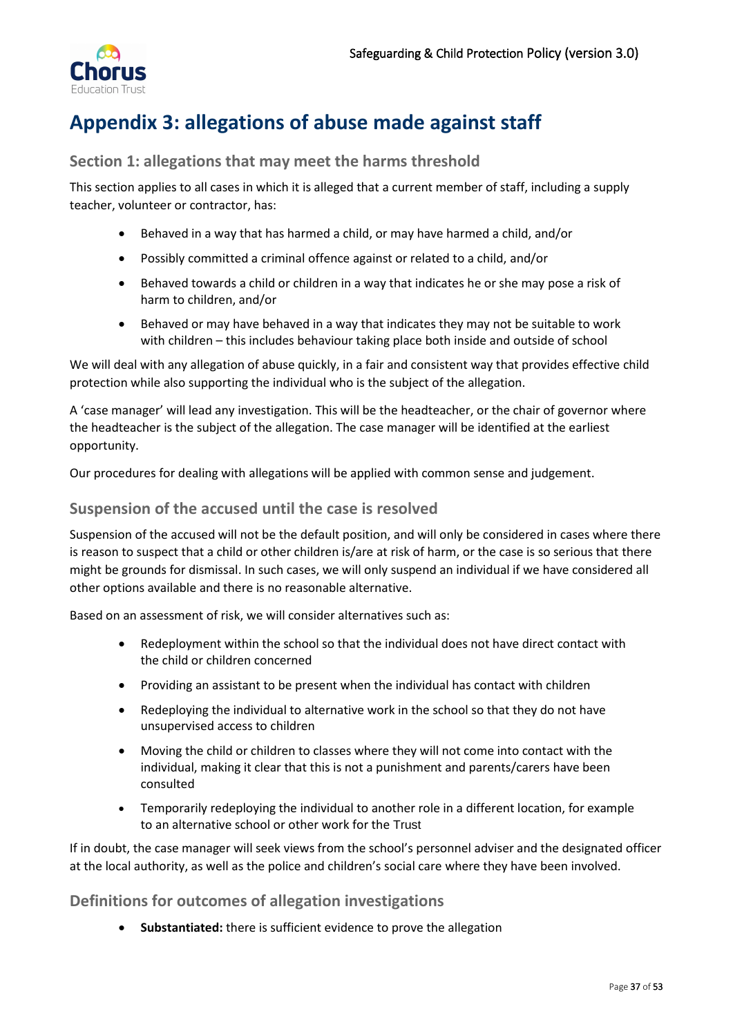

# <span id="page-36-0"></span>**Appendix 3: allegations of abuse made against staff**

## <span id="page-36-1"></span>**Section 1: allegations that may meet the harms threshold**

This section applies to all cases in which it is alleged that a current member of staff, including a supply teacher, volunteer or contractor, has:

- Behaved in a way that has harmed a child, or may have harmed a child, and/or
- Possibly committed a criminal offence against or related to a child, and/or
- Behaved towards a child or children in a way that indicates he or she may pose a risk of harm to children, and/or
- Behaved or may have behaved in a way that indicates they may not be suitable to work with children – this includes behaviour taking place both inside and outside of school

We will deal with any allegation of abuse quickly, in a fair and consistent way that provides effective child protection while also supporting the individual who is the subject of the allegation.

A 'case manager' will lead any investigation. This will be the headteacher, or the chair of governor where the headteacher is the subject of the allegation. The case manager will be identified at the earliest opportunity.

Our procedures for dealing with allegations will be applied with common sense and judgement.

## <span id="page-36-2"></span>**Suspension of the accused until the case is resolved**

Suspension of the accused will not be the default position, and will only be considered in cases where there is reason to suspect that a child or other children is/are at risk of harm, or the case is so serious that there might be grounds for dismissal. In such cases, we will only suspend an individual if we have considered all other options available and there is no reasonable alternative.

Based on an assessment of risk, we will consider alternatives such as:

- Redeployment within the school so that the individual does not have direct contact with the child or children concerned
- Providing an assistant to be present when the individual has contact with children
- Redeploying the individual to alternative work in the school so that they do not have unsupervised access to children
- Moving the child or children to classes where they will not come into contact with the individual, making it clear that this is not a punishment and parents/carers have been consulted
- Temporarily redeploying the individual to another role in a different location, for example to an alternative school or other work for the Trust

If in doubt, the case manager will seek views from the school's personnel adviser and the designated officer at the local authority, as well as the police and children's social care where they have been involved.

## <span id="page-36-3"></span>**Definitions for outcomes of allegation investigations**

• **Substantiated:** there is sufficient evidence to prove the allegation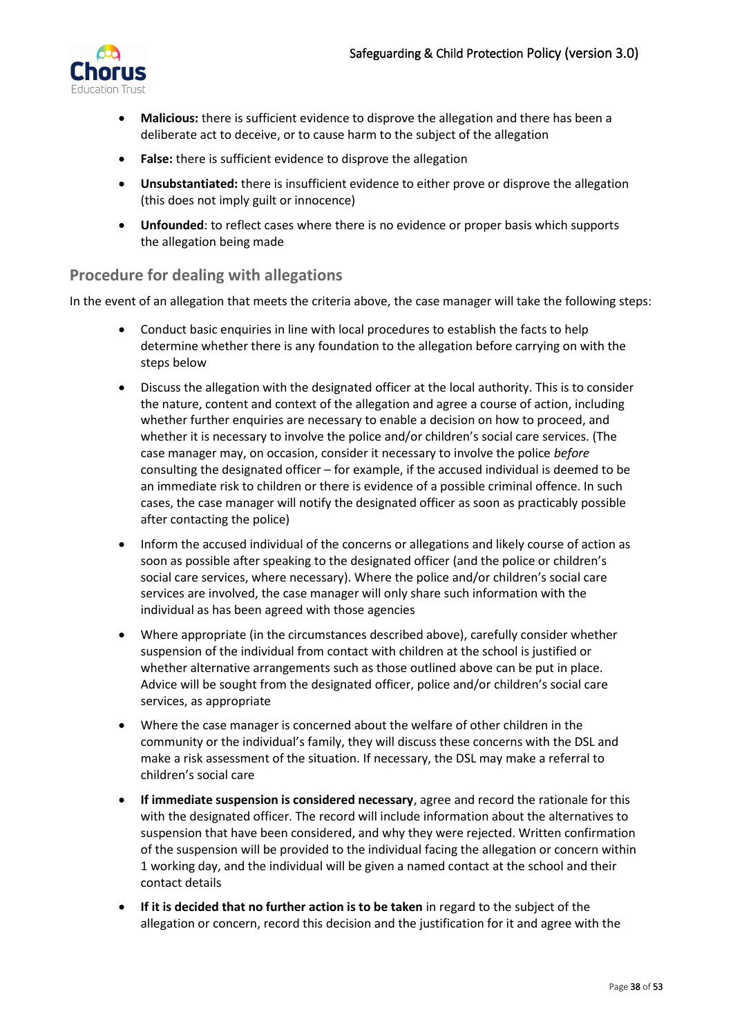

- **Malicious:** there is sufficient evidence to disprove the allegation and there has been a deliberate act to deceive, or to cause harm to the subject of the allegation
- **False:** there is sufficient evidence to disprove the allegation
- **Unsubstantiated:** there is insufficient evidence to either prove or disprove the allegation (this does not imply guilt or innocence)
- **Unfounded**: to reflect cases where there is no evidence or proper basis which supports the allegation being made

## <span id="page-37-0"></span>**Procedure for dealing with allegations**

In the event of an allegation that meets the criteria above, the case manager will take the following steps:

- Conduct basic enquiries in line with local procedures to establish the facts to help determine whether there is any foundation to the allegation before carrying on with the steps below
- Discuss the allegation with the designated officer at the local authority. This is to consider the nature, content and context of the allegation and agree a course of action, including whether further enquiries are necessary to enable a decision on how to proceed, and whether it is necessary to involve the police and/or children's social care services. (The case manager may, on occasion, consider it necessary to involve the police *before* consulting the designated officer – for example, if the accused individual is deemed to be an immediate risk to children or there is evidence of a possible criminal offence. In such cases, the case manager will notify the designated officer as soon as practicably possible after contacting the police)
- Inform the accused individual of the concerns or allegations and likely course of action as soon as possible after speaking to the designated officer (and the police or children's social care services, where necessary). Where the police and/or children's social care services are involved, the case manager will only share such information with the individual as has been agreed with those agencies
- Where appropriate (in the circumstances described above), carefully consider whether suspension of the individual from contact with children at the school is justified or whether alternative arrangements such as those outlined above can be put in place. Advice will be sought from the designated officer, police and/or children's social care services, as appropriate
- Where the case manager is concerned about the welfare of other children in the community or the individual's family, they will discuss these concerns with the DSL and make a risk assessment of the situation. If necessary, the DSL may make a referral to children's social care
- **If immediate suspension is considered necessary**, agree and record the rationale for this with the designated officer. The record will include information about the alternatives to suspension that have been considered, and why they were rejected. Written confirmation of the suspension will be provided to the individual facing the allegation or concern within 1 working day, and the individual will be given a named contact at the school and their contact details
- **If it is decided that no further action is to be taken** in regard to the subject of the allegation or concern, record this decision and the justification for it and agree with the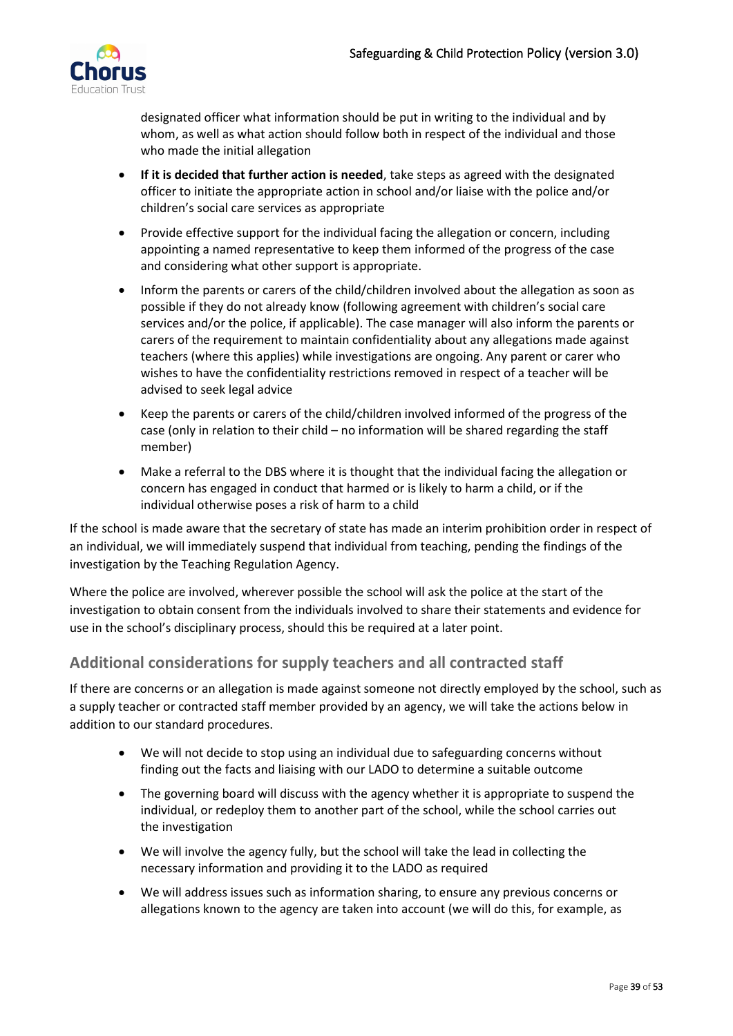

designated officer what information should be put in writing to the individual and by whom, as well as what action should follow both in respect of the individual and those who made the initial allegation

- **If it is decided that further action is needed**, take steps as agreed with the designated officer to initiate the appropriate action in school and/or liaise with the police and/or children's social care services as appropriate
- Provide effective support for the individual facing the allegation or concern, including appointing a named representative to keep them informed of the progress of the case and considering what other support is appropriate.
- Inform the parents or carers of the child/children involved about the allegation as soon as possible if they do not already know (following agreement with children's social care services and/or the police, if applicable). The case manager will also inform the parents or carers of the requirement to maintain confidentiality about any allegations made against teachers (where this applies) while investigations are ongoing. Any parent or carer who wishes to have the confidentiality restrictions removed in respect of a teacher will be advised to seek legal advice
- Keep the parents or carers of the child/children involved informed of the progress of the case (only in relation to their child – no information will be shared regarding the staff member)
- Make a referral to the DBS where it is thought that the individual facing the allegation or concern has engaged in conduct that harmed or is likely to harm a child, or if the individual otherwise poses a risk of harm to a child

If the school is made aware that the secretary of state has made an interim prohibition order in respect of an individual, we will immediately suspend that individual from teaching, pending the findings of the investigation by the Teaching Regulation Agency.

Where the police are involved, wherever possible the school will ask the police at the start of the investigation to obtain consent from the individuals involved to share their statements and evidence for use in the school's disciplinary process, should this be required at a later point.

# <span id="page-38-0"></span>**Additional considerations for supply teachers and all contracted staff**

If there are concerns or an allegation is made against someone not directly employed by the school, such as a supply teacher or contracted staff member provided by an agency, we will take the actions below in addition to our standard procedures.

- We will not decide to stop using an individual due to safeguarding concerns without finding out the facts and liaising with our LADO to determine a suitable outcome
- The governing board will discuss with the agency whether it is appropriate to suspend the individual, or redeploy them to another part of the school, while the school carries out the investigation
- We will involve the agency fully, but the school will take the lead in collecting the necessary information and providing it to the LADO as required
- We will address issues such as information sharing, to ensure any previous concerns or allegations known to the agency are taken into account (we will do this, for example, as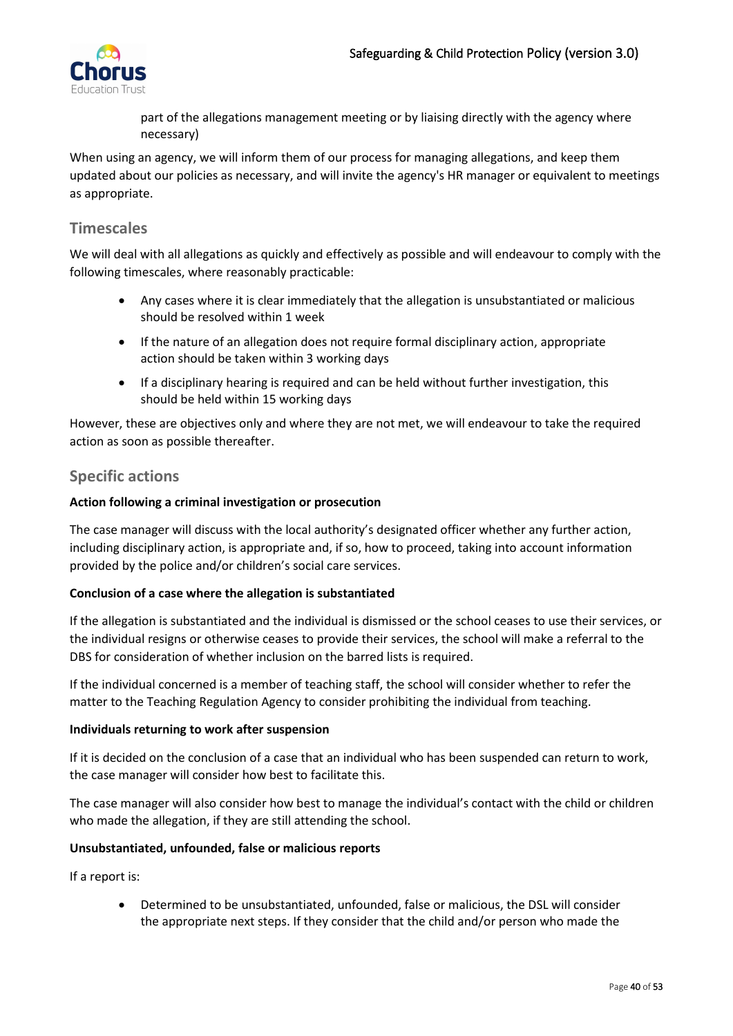

part of the allegations management meeting or by liaising directly with the agency where necessary)

When using an agency, we will inform them of our process for managing allegations, and keep them updated about our policies as necessary, and will invite the agency's HR manager or equivalent to meetings as appropriate.

## <span id="page-39-0"></span>**Timescales**

We will deal with all allegations as quickly and effectively as possible and will endeavour to comply with the following timescales, where reasonably practicable:

- Any cases where it is clear immediately that the allegation is unsubstantiated or malicious should be resolved within 1 week
- If the nature of an allegation does not require formal disciplinary action, appropriate action should be taken within 3 working days
- If a disciplinary hearing is required and can be held without further investigation, this should be held within 15 working days

However, these are objectives only and where they are not met, we will endeavour to take the required action as soon as possible thereafter.

## <span id="page-39-1"></span>**Specific actions**

#### **Action following a criminal investigation or prosecution**

The case manager will discuss with the local authority's designated officer whether any further action, including disciplinary action, is appropriate and, if so, how to proceed, taking into account information provided by the police and/or children's social care services.

#### **Conclusion of a case where the allegation is substantiated**

If the allegation is substantiated and the individual is dismissed or the school ceases to use their services, or the individual resigns or otherwise ceases to provide their services, the school will make a referral to the DBS for consideration of whether inclusion on the barred lists is required.

If the individual concerned is a member of teaching staff, the school will consider whether to refer the matter to the Teaching Regulation Agency to consider prohibiting the individual from teaching.

#### **Individuals returning to work after suspension**

If it is decided on the conclusion of a case that an individual who has been suspended can return to work, the case manager will consider how best to facilitate this.

The case manager will also consider how best to manage the individual's contact with the child or children who made the allegation, if they are still attending the school.

#### **Unsubstantiated, unfounded, false or malicious reports**

If a report is:

• Determined to be unsubstantiated, unfounded, false or malicious, the DSL will consider the appropriate next steps. If they consider that the child and/or person who made the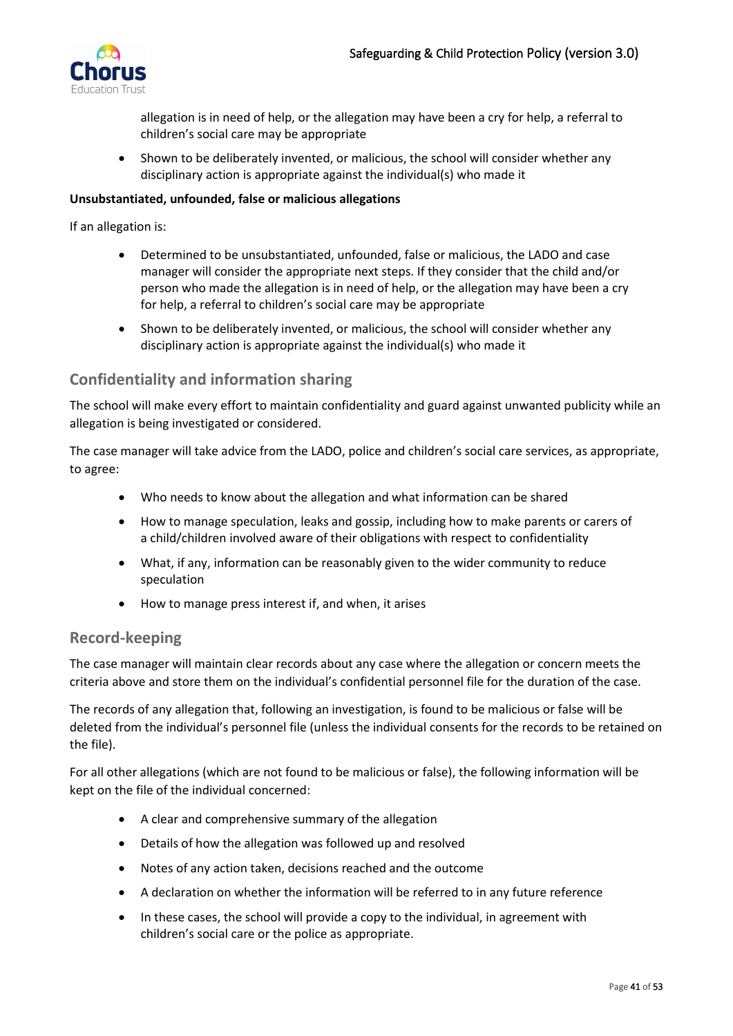

allegation is in need of help, or the allegation may have been a cry for help, a referral to children's social care may be appropriate

• Shown to be deliberately invented, or malicious, the school will consider whether any disciplinary action is appropriate against the individual(s) who made it

#### **Unsubstantiated, unfounded, false or malicious allegations**

If an allegation is:

- Determined to be unsubstantiated, unfounded, false or malicious, the LADO and case manager will consider the appropriate next steps. If they consider that the child and/or person who made the allegation is in need of help, or the allegation may have been a cry for help, a referral to children's social care may be appropriate
- Shown to be deliberately invented, or malicious, the school will consider whether any disciplinary action is appropriate against the individual(s) who made it

## <span id="page-40-0"></span>**Confidentiality and information sharing**

The school will make every effort to maintain confidentiality and guard against unwanted publicity while an allegation is being investigated or considered.

The case manager will take advice from the LADO, police and children's social care services, as appropriate, to agree:

- Who needs to know about the allegation and what information can be shared
- How to manage speculation, leaks and gossip, including how to make parents or carers of a child/children involved aware of their obligations with respect to confidentiality
- What, if any, information can be reasonably given to the wider community to reduce speculation
- How to manage press interest if, and when, it arises

### <span id="page-40-1"></span>**Record-keeping**

The case manager will maintain clear records about any case where the allegation or concern meets the criteria above and store them on the individual's confidential personnel file for the duration of the case.

The records of any allegation that, following an investigation, is found to be malicious or false will be deleted from the individual's personnel file (unless the individual consents for the records to be retained on the file).

For all other allegations (which are not found to be malicious or false), the following information will be kept on the file of the individual concerned:

- A clear and comprehensive summary of the allegation
- Details of how the allegation was followed up and resolved
- Notes of any action taken, decisions reached and the outcome
- A declaration on whether the information will be referred to in any future reference
- In these cases, the school will provide a copy to the individual, in agreement with children's social care or the police as appropriate.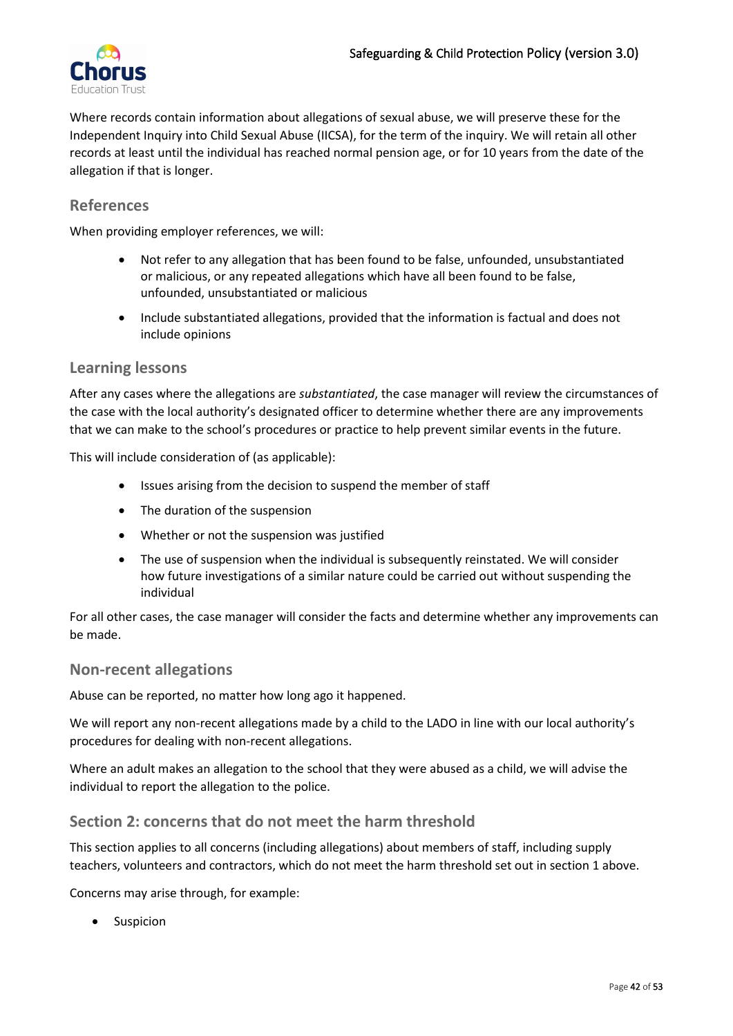

Where records contain information about allegations of sexual abuse, we will preserve these for the Independent Inquiry into Child Sexual Abuse (IICSA), for the term of the inquiry. We will retain all other records at least until the individual has reached normal pension age, or for 10 years from the date of the allegation if that is longer.

## <span id="page-41-0"></span>**References**

When providing employer references, we will:

- Not refer to any allegation that has been found to be false, unfounded, unsubstantiated or malicious, or any repeated allegations which have all been found to be false, unfounded, unsubstantiated or malicious
- Include substantiated allegations, provided that the information is factual and does not include opinions

### <span id="page-41-1"></span>**Learning lessons**

After any cases where the allegations are *substantiated*, the case manager will review the circumstances of the case with the local authority's designated officer to determine whether there are any improvements that we can make to the school's procedures or practice to help prevent similar events in the future.

This will include consideration of (as applicable):

- Issues arising from the decision to suspend the member of staff
- The duration of the suspension
- Whether or not the suspension was justified
- The use of suspension when the individual is subsequently reinstated. We will consider how future investigations of a similar nature could be carried out without suspending the individual

For all other cases, the case manager will consider the facts and determine whether any improvements can be made.

#### <span id="page-41-2"></span>**Non-recent allegations**

Abuse can be reported, no matter how long ago it happened.

We will report any non-recent allegations made by a child to the LADO in line with our local authority's procedures for dealing with non-recent allegations.

Where an adult makes an allegation to the school that they were abused as a child, we will advise the individual to report the allegation to the police.

### <span id="page-41-3"></span>**Section 2: concerns that do not meet the harm threshold**

This section applies to all concerns (including allegations) about members of staff, including supply teachers, volunteers and contractors, which do not meet the harm threshold set out in section 1 above.

Concerns may arise through, for example:

• Suspicion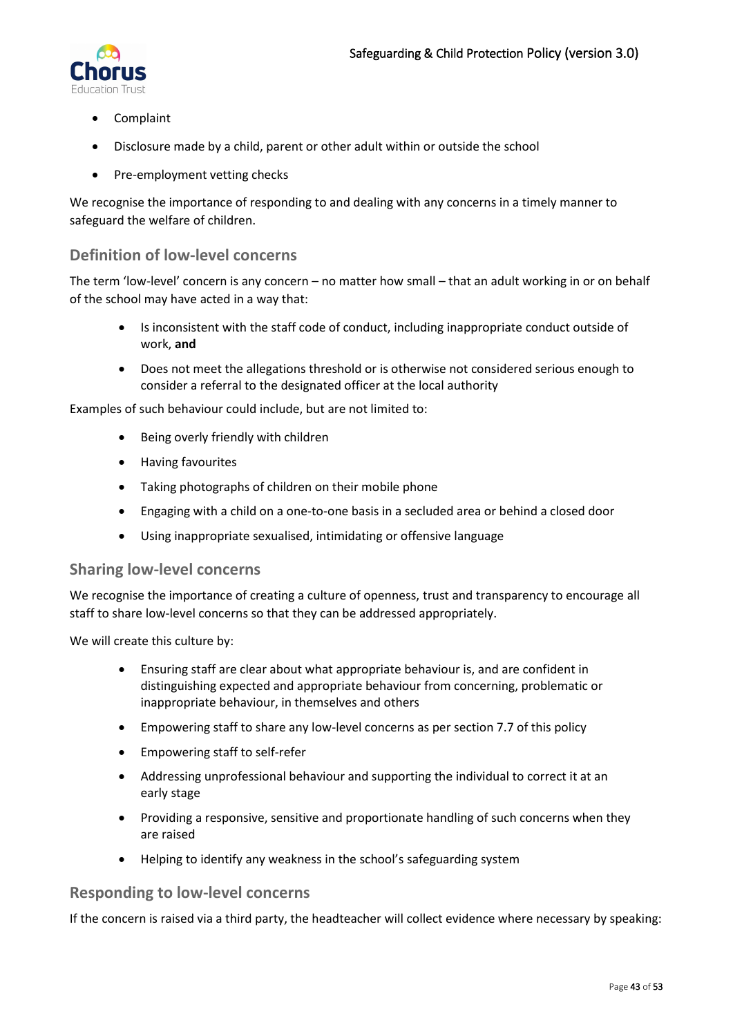

- Complaint
- Disclosure made by a child, parent or other adult within or outside the school
- Pre-employment vetting checks

We recognise the importance of responding to and dealing with any concerns in a timely manner to safeguard the welfare of children.

## <span id="page-42-0"></span>**Definition of low-level concerns**

The term 'low-level' concern is any concern – no matter how small – that an adult working in or on behalf of the school may have acted in a way that:

- Is inconsistent with the staff code of conduct, including inappropriate conduct outside of work, **and**
- Does not meet the allegations threshold or is otherwise not considered serious enough to consider a referral to the designated officer at the local authority

Examples of such behaviour could include, but are not limited to:

- Being overly friendly with children
- Having favourites
- Taking photographs of children on their mobile phone
- Engaging with a child on a one-to-one basis in a secluded area or behind a closed door
- Using inappropriate sexualised, intimidating or offensive language

## <span id="page-42-1"></span>**Sharing low-level concerns**

We recognise the importance of creating a culture of openness, trust and transparency to encourage all staff to share low-level concerns so that they can be addressed appropriately.

We will create this culture by:

- Ensuring staff are clear about what appropriate behaviour is, and are confident in distinguishing expected and appropriate behaviour from concerning, problematic or inappropriate behaviour, in themselves and others
- Empowering staff to share any low-level concerns as per section 7.7 of this policy
- Empowering staff to self-refer
- Addressing unprofessional behaviour and supporting the individual to correct it at an early stage
- Providing a responsive, sensitive and proportionate handling of such concerns when they are raised
- Helping to identify any weakness in the school's safeguarding system

## <span id="page-42-2"></span>**Responding to low-level concerns**

If the concern is raised via a third party, the headteacher will collect evidence where necessary by speaking: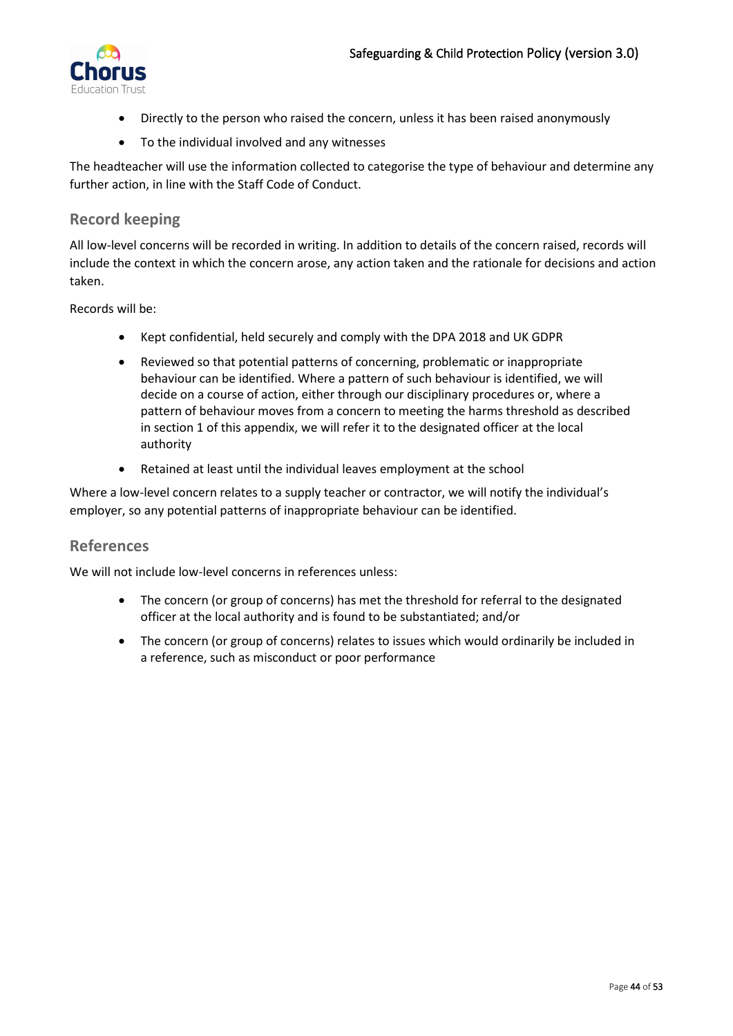

- Directly to the person who raised the concern, unless it has been raised anonymously
- To the individual involved and any witnesses

The headteacher will use the information collected to categorise the type of behaviour and determine any further action, in line with the Staff Code of Conduct.

## <span id="page-43-0"></span>**Record keeping**

All low-level concerns will be recorded in writing. In addition to details of the concern raised, records will include the context in which the concern arose, any action taken and the rationale for decisions and action taken.

Records will be:

- Kept confidential, held securely and comply with the DPA 2018 and UK GDPR
- Reviewed so that potential patterns of concerning, problematic or inappropriate behaviour can be identified. Where a pattern of such behaviour is identified, we will decide on a course of action, either through our disciplinary procedures or, where a pattern of behaviour moves from a concern to meeting the harms threshold as described in section 1 of this appendix, we will refer it to the designated officer at the local authority
- Retained at least until the individual leaves employment at the school

Where a low-level concern relates to a supply teacher or contractor, we will notify the individual's employer, so any potential patterns of inappropriate behaviour can be identified.

## <span id="page-43-1"></span>**References**

We will not include low-level concerns in references unless:

- The concern (or group of concerns) has met the threshold for referral to the designated officer at the local authority and is found to be substantiated; and/or
- The concern (or group of concerns) relates to issues which would ordinarily be included in a reference, such as misconduct or poor performance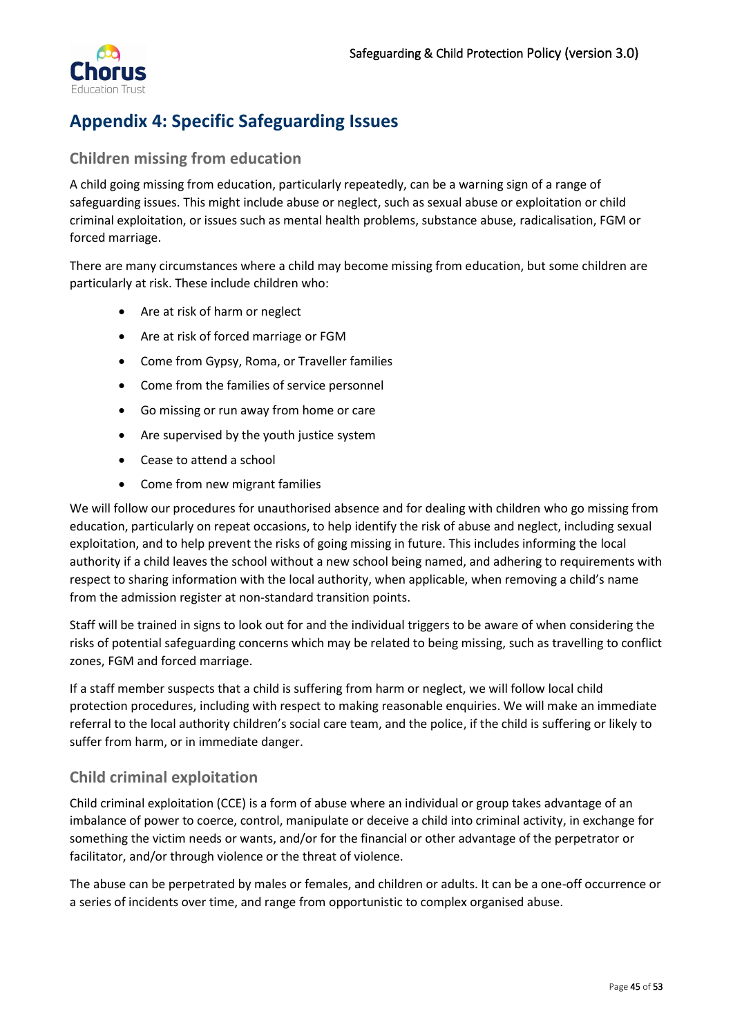

# <span id="page-44-0"></span>**Appendix 4: Specific Safeguarding Issues**

# <span id="page-44-1"></span>**Children missing from education**

A child going missing from education, particularly repeatedly, can be a warning sign of a range of safeguarding issues. This might include abuse or neglect, such as sexual abuse or exploitation or child criminal exploitation, or issues such as mental health problems, substance abuse, radicalisation, FGM or forced marriage.

There are many circumstances where a child may become missing from education, but some children are particularly at risk. These include children who:

- Are at risk of harm or neglect
- Are at risk of forced marriage or FGM
- Come from Gypsy, Roma, or Traveller families
- Come from the families of service personnel
- Go missing or run away from home or care
- Are supervised by the youth justice system
- Cease to attend a school
- Come from new migrant families

We will follow our procedures for unauthorised absence and for dealing with children who go missing from education, particularly on repeat occasions, to help identify the risk of abuse and neglect, including sexual exploitation, and to help prevent the risks of going missing in future. This includes informing the local authority if a child leaves the school without a new school being named, and adhering to requirements with respect to sharing information with the local authority, when applicable, when removing a child's name from the admission register at non-standard transition points.

Staff will be trained in signs to look out for and the individual triggers to be aware of when considering the risks of potential safeguarding concerns which may be related to being missing, such as travelling to conflict zones, FGM and forced marriage.

If a staff member suspects that a child is suffering from harm or neglect, we will follow local child protection procedures, including with respect to making reasonable enquiries. We will make an immediate referral to the local authority children's social care team, and the police, if the child is suffering or likely to suffer from harm, or in immediate danger.

# <span id="page-44-2"></span>**Child criminal exploitation**

Child criminal exploitation (CCE) is a form of abuse where an individual or group takes advantage of an imbalance of power to coerce, control, manipulate or deceive a child into criminal activity, in exchange for something the victim needs or wants, and/or for the financial or other advantage of the perpetrator or facilitator, and/or through violence or the threat of violence.

The abuse can be perpetrated by males or females, and children or adults. It can be a one-off occurrence or a series of incidents over time, and range from opportunistic to complex organised abuse.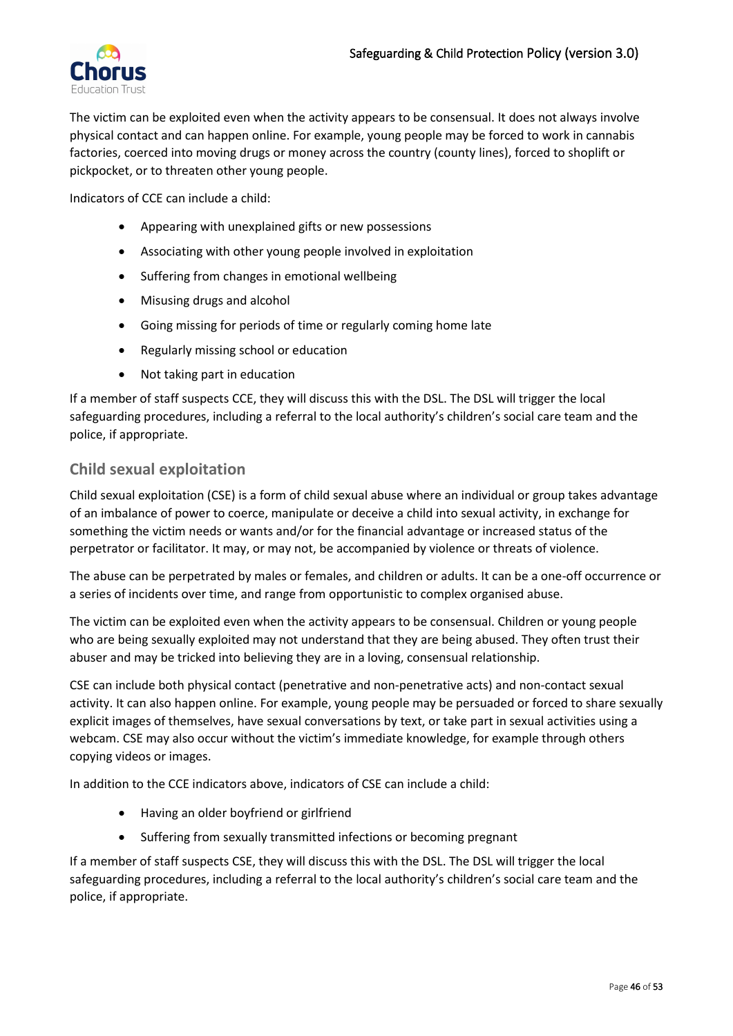

The victim can be exploited even when the activity appears to be consensual. It does not always involve physical contact and can happen online. For example, young people may be forced to work in cannabis factories, coerced into moving drugs or money across the country (county lines), forced to shoplift or pickpocket, or to threaten other young people.

Indicators of CCE can include a child:

- Appearing with unexplained gifts or new possessions
- Associating with other young people involved in exploitation
- Suffering from changes in emotional wellbeing
- Misusing drugs and alcohol
- Going missing for periods of time or regularly coming home late
- Regularly missing school or education
- Not taking part in education

If a member of staff suspects CCE, they will discuss this with the DSL. The DSL will trigger the local safeguarding procedures, including a referral to the local authority's children's social care team and the police, if appropriate.

### <span id="page-45-0"></span>**Child sexual exploitation**

Child sexual exploitation (CSE) is a form of child sexual abuse where an individual or group takes advantage of an imbalance of power to coerce, manipulate or deceive a child into sexual activity, in exchange for something the victim needs or wants and/or for the financial advantage or increased status of the perpetrator or facilitator. It may, or may not, be accompanied by violence or threats of violence.

The abuse can be perpetrated by males or females, and children or adults. It can be a one-off occurrence or a series of incidents over time, and range from opportunistic to complex organised abuse.

The victim can be exploited even when the activity appears to be consensual. Children or young people who are being sexually exploited may not understand that they are being abused. They often trust their abuser and may be tricked into believing they are in a loving, consensual relationship.

CSE can include both physical contact (penetrative and non-penetrative acts) and non-contact sexual activity. It can also happen online. For example, young people may be persuaded or forced to share sexually explicit images of themselves, have sexual conversations by text, or take part in sexual activities using a webcam. CSE may also occur without the victim's immediate knowledge, for example through others copying videos or images.

In addition to the CCE indicators above, indicators of CSE can include a child:

- Having an older boyfriend or girlfriend
- Suffering from sexually transmitted infections or becoming pregnant

If a member of staff suspects CSE, they will discuss this with the DSL. The DSL will trigger the local safeguarding procedures, including a referral to the local authority's children's social care team and the police, if appropriate.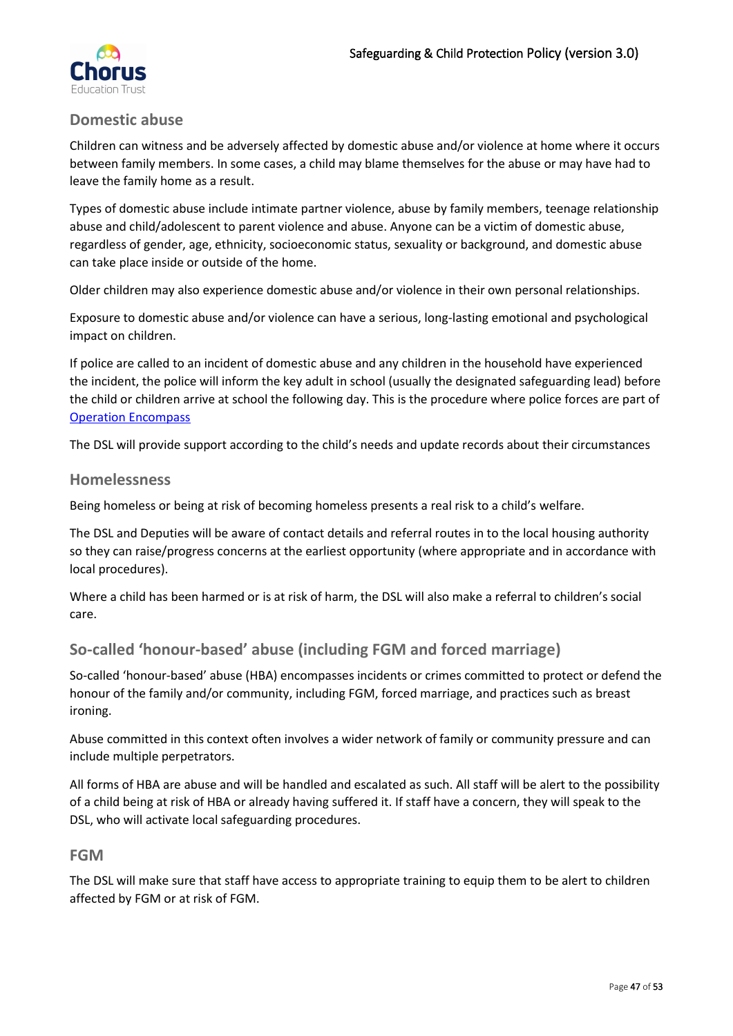

### <span id="page-46-0"></span>**Domestic abuse**

Children can witness and be adversely affected by domestic abuse and/or violence at home where it occurs between family members. In some cases, a child may blame themselves for the abuse or may have had to leave the family home as a result.

Types of domestic abuse include intimate partner violence, abuse by family members, teenage relationship abuse and child/adolescent to parent violence and abuse. Anyone can be a victim of domestic abuse, regardless of gender, age, ethnicity, socioeconomic status, sexuality or background, and domestic abuse can take place inside or outside of the home.

Older children may also experience domestic abuse and/or violence in their own personal relationships.

Exposure to domestic abuse and/or violence can have a serious, long-lasting emotional and psychological impact on children.

If police are called to an incident of domestic abuse and any children in the household have experienced the incident, the police will inform the key adult in school (usually the designated safeguarding lead) before the child or children arrive at school the following day. This is the procedure where police forces are part of [Operation Encompass](https://www.operationencompass.org/)

The DSL will provide support according to the child's needs and update records about their circumstances

#### <span id="page-46-1"></span>**Homelessness**

Being homeless or being at risk of becoming homeless presents a real risk to a child's welfare.

The DSL and Deputies will be aware of contact details and referral routes in to the local housing authority so they can raise/progress concerns at the earliest opportunity (where appropriate and in accordance with local procedures).

Where a child has been harmed or is at risk of harm, the DSL will also make a referral to children's social care.

## <span id="page-46-2"></span>**So-called 'honour-based' abuse (including FGM and forced marriage)**

So-called 'honour-based' abuse (HBA) encompasses incidents or crimes committed to protect or defend the honour of the family and/or community, including FGM, forced marriage, and practices such as breast ironing.

Abuse committed in this context often involves a wider network of family or community pressure and can include multiple perpetrators.

All forms of HBA are abuse and will be handled and escalated as such. All staff will be alert to the possibility of a child being at risk of HBA or already having suffered it. If staff have a concern, they will speak to the DSL, who will activate local safeguarding procedures.

### <span id="page-46-3"></span>**FGM**

The DSL will make sure that staff have access to appropriate training to equip them to be alert to children affected by FGM or at risk of FGM.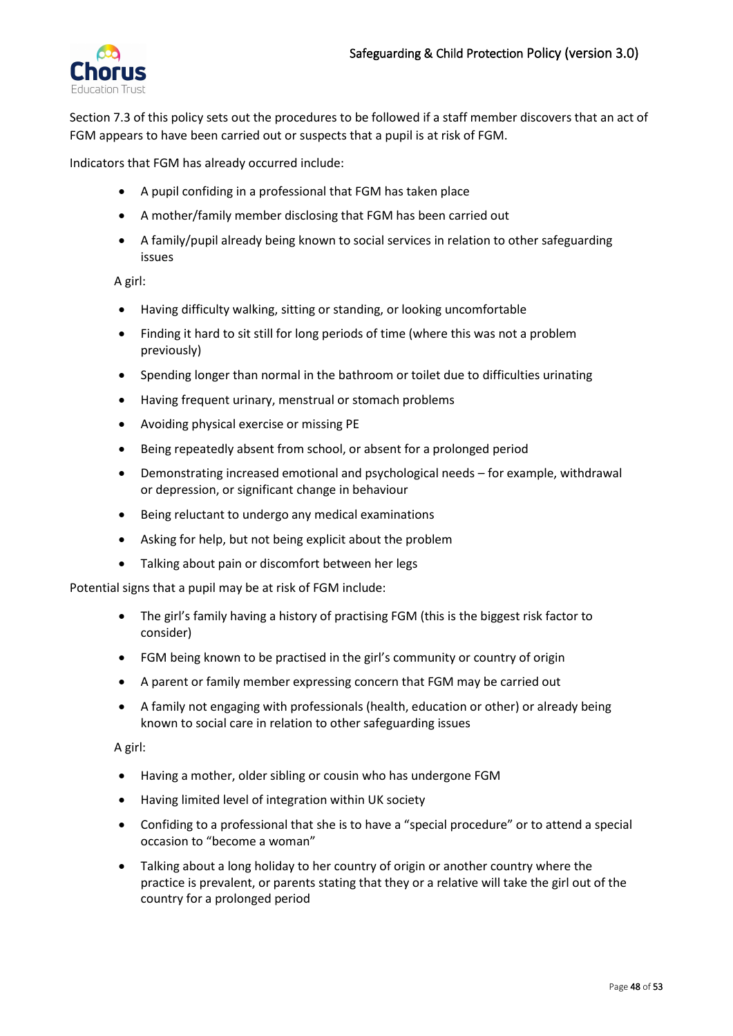

Section 7.3 of this policy sets out the procedures to be followed if a staff member discovers that an act of FGM appears to have been carried out or suspects that a pupil is at risk of FGM.

Indicators that FGM has already occurred include:

- A pupil confiding in a professional that FGM has taken place
- A mother/family member disclosing that FGM has been carried out
- A family/pupil already being known to social services in relation to other safeguarding issues

A girl:

- Having difficulty walking, sitting or standing, or looking uncomfortable
- Finding it hard to sit still for long periods of time (where this was not a problem previously)
- Spending longer than normal in the bathroom or toilet due to difficulties urinating
- Having frequent urinary, menstrual or stomach problems
- Avoiding physical exercise or missing PE
- Being repeatedly absent from school, or absent for a prolonged period
- Demonstrating increased emotional and psychological needs for example, withdrawal or depression, or significant change in behaviour
- Being reluctant to undergo any medical examinations
- Asking for help, but not being explicit about the problem
- Talking about pain or discomfort between her legs

Potential signs that a pupil may be at risk of FGM include:

- The girl's family having a history of practising FGM (this is the biggest risk factor to consider)
- FGM being known to be practised in the girl's community or country of origin
- A parent or family member expressing concern that FGM may be carried out
- A family not engaging with professionals (health, education or other) or already being known to social care in relation to other safeguarding issues

A girl:

- Having a mother, older sibling or cousin who has undergone FGM
- Having limited level of integration within UK society
- Confiding to a professional that she is to have a "special procedure" or to attend a special occasion to "become a woman"
- Talking about a long holiday to her country of origin or another country where the practice is prevalent, or parents stating that they or a relative will take the girl out of the country for a prolonged period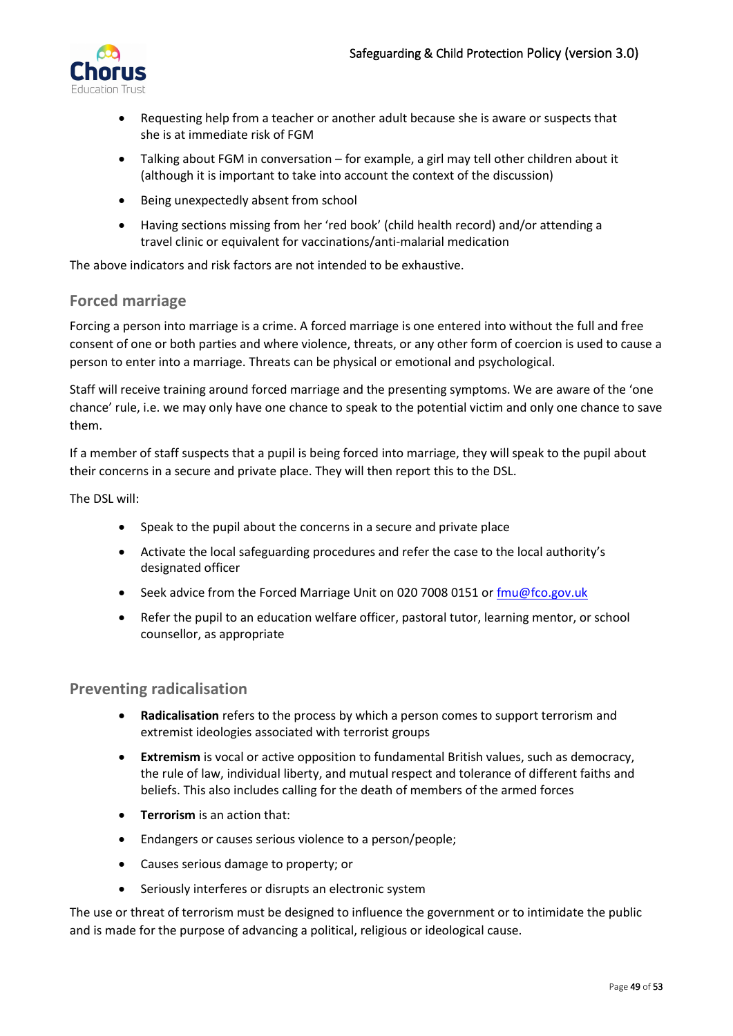

- Requesting help from a teacher or another adult because she is aware or suspects that she is at immediate risk of FGM
- Talking about FGM in conversation for example, a girl may tell other children about it (although it is important to take into account the context of the discussion)
- Being unexpectedly absent from school
- Having sections missing from her 'red book' (child health record) and/or attending a travel clinic or equivalent for vaccinations/anti-malarial medication

The above indicators and risk factors are not intended to be exhaustive.

### <span id="page-48-0"></span>**Forced marriage**

Forcing a person into marriage is a crime. A forced marriage is one entered into without the full and free consent of one or both parties and where violence, threats, or any other form of coercion is used to cause a person to enter into a marriage. Threats can be physical or emotional and psychological.

Staff will receive training around forced marriage and the presenting symptoms. We are aware of the 'one chance' rule, i.e. we may only have one chance to speak to the potential victim and only one chance to save them.

If a member of staff suspects that a pupil is being forced into marriage, they will speak to the pupil about their concerns in a secure and private place. They will then report this to the DSL.

The DSL will:

- Speak to the pupil about the concerns in a secure and private place
- Activate the local safeguarding procedures and refer the case to the local authority's designated officer
- Seek advice from the Forced Marriage Unit on 020 7008 0151 o[r fmu@fco.gov.uk](mailto:fmu@fco.gov.uk)
- Refer the pupil to an education welfare officer, pastoral tutor, learning mentor, or school counsellor, as appropriate

### <span id="page-48-1"></span>**Preventing radicalisation**

- **Radicalisation** refers to the process by which a person comes to support terrorism and extremist ideologies associated with terrorist groups
- **Extremism** is vocal or active opposition to fundamental British values, such as democracy, the rule of law, individual liberty, and mutual respect and tolerance of different faiths and beliefs. This also includes calling for the death of members of the armed forces
- **Terrorism** is an action that:
- Endangers or causes serious violence to a person/people;
- Causes serious damage to property; or
- Seriously interferes or disrupts an electronic system

The use or threat of terrorism must be designed to influence the government or to intimidate the public and is made for the purpose of advancing a political, religious or ideological cause.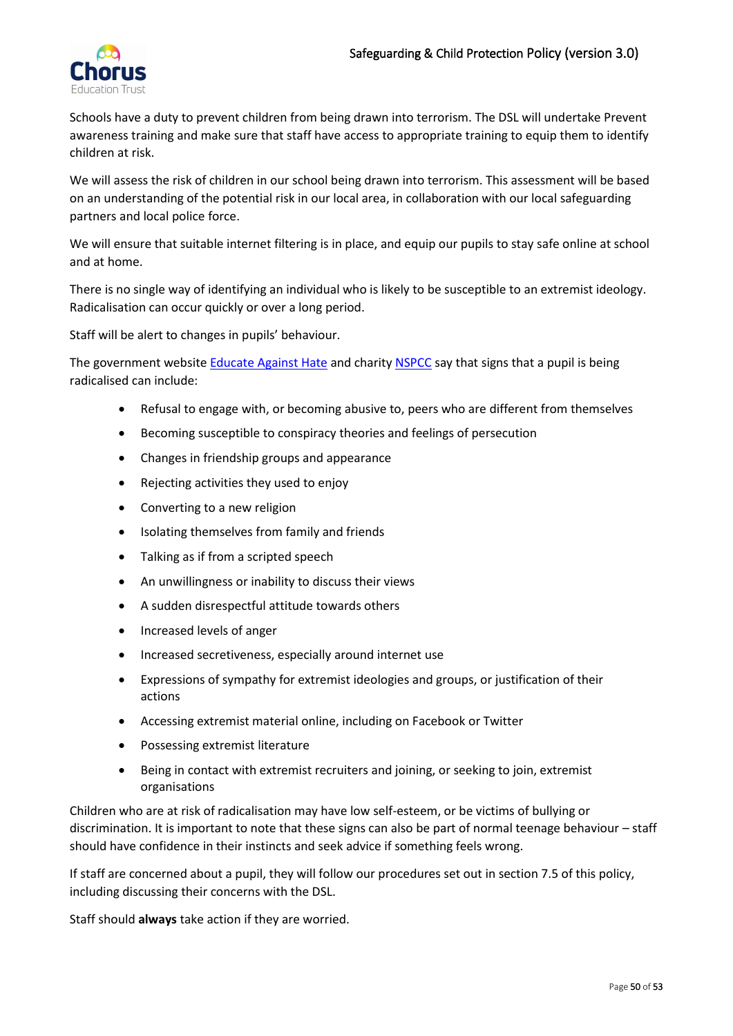

Schools have a duty to prevent children from being drawn into terrorism. The DSL will undertake Prevent awareness training and make sure that staff have access to appropriate training to equip them to identify children at risk.

We will assess the risk of children in our school being drawn into terrorism. This assessment will be based on an understanding of the potential risk in our local area, in collaboration with our local safeguarding partners and local police force.

We will ensure that suitable internet filtering is in place, and equip our pupils to stay safe online at school and at home.

There is no single way of identifying an individual who is likely to be susceptible to an extremist ideology. Radicalisation can occur quickly or over a long period.

Staff will be alert to changes in pupils' behaviour.

The government websit[e Educate Against](http://educateagainsthate.com/parents/what-are-the-warning-signs/) Hate and charity [NSPCC](https://www.nspcc.org.uk/what-you-can-do/report-abuse/dedicated-helplines/protecting-children-from-radicalisation/) say that signs that a pupil is being radicalised can include:

- Refusal to engage with, or becoming abusive to, peers who are different from themselves
- Becoming susceptible to conspiracy theories and feelings of persecution
- Changes in friendship groups and appearance
- Rejecting activities they used to enjoy
- Converting to a new religion
- Isolating themselves from family and friends
- Talking as if from a scripted speech
- An unwillingness or inability to discuss their views
- A sudden disrespectful attitude towards others
- Increased levels of anger
- Increased secretiveness, especially around internet use
- Expressions of sympathy for extremist ideologies and groups, or justification of their actions
- Accessing extremist material online, including on Facebook or Twitter
- Possessing extremist literature
- Being in contact with extremist recruiters and joining, or seeking to join, extremist organisations

Children who are at risk of radicalisation may have low self-esteem, or be victims of bullying or discrimination. It is important to note that these signs can also be part of normal teenage behaviour – staff should have confidence in their instincts and seek advice if something feels wrong.

If staff are concerned about a pupil, they will follow our procedures set out in section 7.5 of this policy, including discussing their concerns with the DSL.

Staff should **always** take action if they are worried.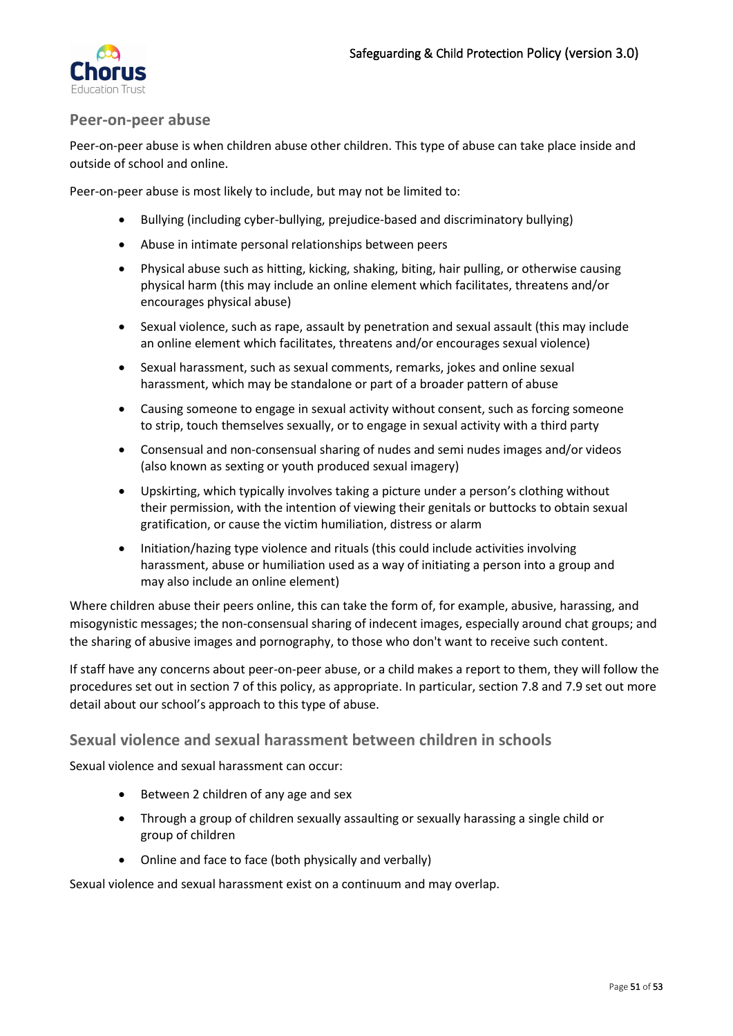

### <span id="page-50-0"></span>**Peer-on-peer abuse**

Peer-on-peer abuse is when children abuse other children. This type of abuse can take place inside and outside of school and online.

Peer-on-peer abuse is most likely to include, but may not be limited to:

- Bullying (including cyber-bullying, prejudice-based and discriminatory bullying)
- Abuse in intimate personal relationships between peers
- Physical abuse such as hitting, kicking, shaking, biting, hair pulling, or otherwise causing physical harm (this may include an online element which facilitates, threatens and/or encourages physical abuse)
- Sexual violence, such as rape, assault by penetration and sexual assault (this may include an online element which facilitates, threatens and/or encourages sexual violence)
- Sexual harassment, such as sexual comments, remarks, jokes and online sexual harassment, which may be standalone or part of a broader pattern of abuse
- Causing someone to engage in sexual activity without consent, such as forcing someone to strip, touch themselves sexually, or to engage in sexual activity with a third party
- Consensual and non-consensual sharing of nudes and semi nudes images and/or videos (also known as sexting or youth produced sexual imagery)
- Upskirting, which typically involves taking a picture under a person's clothing without their permission, with the intention of viewing their genitals or buttocks to obtain sexual gratification, or cause the victim humiliation, distress or alarm
- Initiation/hazing type violence and rituals (this could include activities involving harassment, abuse or humiliation used as a way of initiating a person into a group and may also include an online element)

Where children abuse their peers online, this can take the form of, for example, abusive, harassing, and misogynistic messages; the non-consensual sharing of indecent images, especially around chat groups; and the sharing of abusive images and pornography, to those who don't want to receive such content.

If staff have any concerns about peer-on-peer abuse, or a child makes a report to them, they will follow the procedures set out in section 7 of this policy, as appropriate. In particular, section 7.8 and 7.9 set out more detail about our school's approach to this type of abuse.

## <span id="page-50-1"></span>**Sexual violence and sexual harassment between children in schools**

Sexual violence and sexual harassment can occur:

- Between 2 children of any age and sex
- Through a group of children sexually assaulting or sexually harassing a single child or group of children
- Online and face to face (both physically and verbally)

Sexual violence and sexual harassment exist on a continuum and may overlap.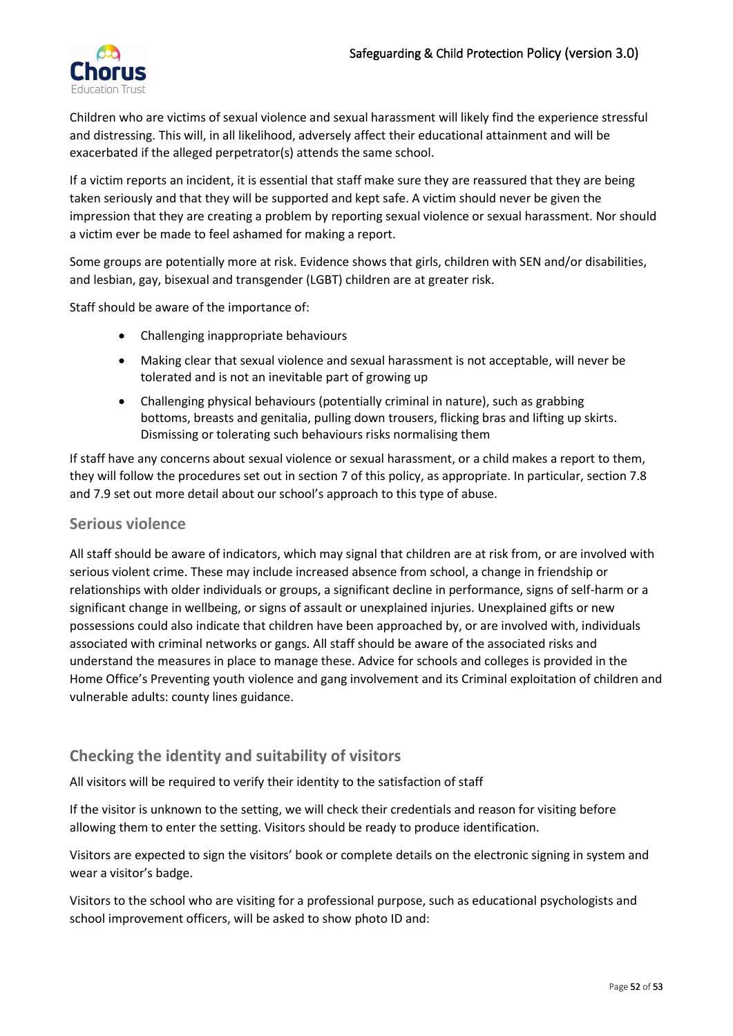

Children who are victims of sexual violence and sexual harassment will likely find the experience stressful and distressing. This will, in all likelihood, adversely affect their educational attainment and will be exacerbated if the alleged perpetrator(s) attends the same school.

If a victim reports an incident, it is essential that staff make sure they are reassured that they are being taken seriously and that they will be supported and kept safe. A victim should never be given the impression that they are creating a problem by reporting sexual violence or sexual harassment. Nor should a victim ever be made to feel ashamed for making a report.

Some groups are potentially more at risk. Evidence shows that girls, children with SEN and/or disabilities, and lesbian, gay, bisexual and transgender (LGBT) children are at greater risk.

Staff should be aware of the importance of:

- Challenging inappropriate behaviours
- Making clear that sexual violence and sexual harassment is not acceptable, will never be tolerated and is not an inevitable part of growing up
- Challenging physical behaviours (potentially criminal in nature), such as grabbing bottoms, breasts and genitalia, pulling down trousers, flicking bras and lifting up skirts. Dismissing or tolerating such behaviours risks normalising them

If staff have any concerns about sexual violence or sexual harassment, or a child makes a report to them, they will follow the procedures set out in section 7 of this policy, as appropriate. In particular, section 7.8 and 7.9 set out more detail about our school's approach to this type of abuse.

### <span id="page-51-0"></span>**Serious violence**

All staff should be aware of indicators, which may signal that children are at risk from, or are involved with serious violent crime. These may include increased absence from school, a change in friendship or relationships with older individuals or groups, a significant decline in performance, signs of self-harm or a significant change in wellbeing, or signs of assault or unexplained injuries. Unexplained gifts or new possessions could also indicate that children have been approached by, or are involved with, individuals associated with criminal networks or gangs. All staff should be aware of the associated risks and understand the measures in place to manage these. Advice for schools and colleges is provided in the Home Office's Preventing youth violence and gang involvement and its Criminal exploitation of children and vulnerable adults: county lines guidance.

# <span id="page-51-1"></span>**Checking the identity and suitability of visitors**

All visitors will be required to verify their identity to the satisfaction of staff

If the visitor is unknown to the setting, we will check their credentials and reason for visiting before allowing them to enter the setting. Visitors should be ready to produce identification.

Visitors are expected to sign the visitors' book or complete details on the electronic signing in system and wear a visitor's badge.

Visitors to the school who are visiting for a professional purpose, such as educational psychologists and school improvement officers, will be asked to show photo ID and: